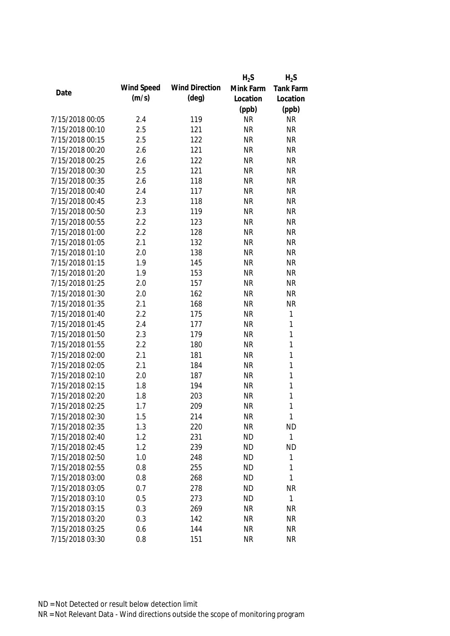|                 |            |                       | $H_2S$    | $H_2S$       |
|-----------------|------------|-----------------------|-----------|--------------|
|                 | Wind Speed | <b>Wind Direction</b> | Mink Farm | Tank Farm    |
| Date            | (m/s)      | $(\text{deg})$        | Location  | Location     |
|                 |            |                       | (ppb)     | (ppb)        |
| 7/15/2018 00:05 | 2.4        | 119                   | <b>NR</b> | <b>NR</b>    |
| 7/15/2018 00:10 | 2.5        | 121                   | <b>NR</b> | <b>NR</b>    |
| 7/15/2018 00:15 | 2.5        | 122                   | <b>NR</b> | <b>NR</b>    |
| 7/15/2018 00:20 | 2.6        | 121                   | <b>NR</b> | <b>NR</b>    |
| 7/15/2018 00:25 | 2.6        | 122                   | <b>NR</b> | <b>NR</b>    |
| 7/15/2018 00:30 | 2.5        | 121                   | <b>NR</b> | <b>NR</b>    |
| 7/15/2018 00:35 | 2.6        | 118                   | <b>NR</b> | <b>NR</b>    |
| 7/15/2018 00:40 | 2.4        | 117                   | <b>NR</b> | <b>NR</b>    |
| 7/15/2018 00:45 | 2.3        | 118                   | <b>NR</b> | <b>NR</b>    |
| 7/15/2018 00:50 | 2.3        | 119                   | <b>NR</b> | <b>NR</b>    |
| 7/15/2018 00:55 | 2.2        | 123                   | <b>NR</b> | <b>NR</b>    |
| 7/15/2018 01:00 | 2.2        | 128                   | <b>NR</b> | <b>NR</b>    |
| 7/15/2018 01:05 | 2.1        | 132                   | <b>NR</b> | <b>NR</b>    |
| 7/15/2018 01:10 | 2.0        | 138                   | <b>NR</b> | <b>NR</b>    |
| 7/15/2018 01:15 | 1.9        | 145                   | <b>NR</b> | <b>NR</b>    |
| 7/15/2018 01:20 | 1.9        | 153                   | <b>NR</b> | <b>NR</b>    |
| 7/15/2018 01:25 | 2.0        | 157                   | <b>NR</b> | <b>NR</b>    |
| 7/15/2018 01:30 | 2.0        | 162                   | <b>NR</b> | <b>NR</b>    |
| 7/15/2018 01:35 | 2.1        | 168                   | <b>NR</b> | NR           |
| 7/15/2018 01:40 | 2.2        | 175                   | <b>NR</b> | $\mathbf{1}$ |
| 7/15/2018 01:45 | 2.4        | 177                   | <b>NR</b> | $\mathbf{1}$ |
| 7/15/2018 01:50 | 2.3        | 179                   | <b>NR</b> | $\mathbf{1}$ |
| 7/15/2018 01:55 | 2.2        | 180                   | <b>NR</b> | $\mathbf{1}$ |
| 7/15/2018 02:00 | 2.1        | 181                   | <b>NR</b> | $\mathbf{1}$ |
| 7/15/2018 02:05 | 2.1        | 184                   | <b>NR</b> | $\mathbf{1}$ |
| 7/15/2018 02:10 | 2.0        | 187                   | <b>NR</b> | $\mathbf{1}$ |
| 7/15/2018 02:15 | 1.8        | 194                   | <b>NR</b> | $\mathbf{1}$ |
| 7/15/2018 02:20 | 1.8        | 203                   | <b>NR</b> | $\mathbf{1}$ |
| 7/15/2018 02:25 | 1.7        | 209                   | <b>NR</b> | 1            |
| 7/15/2018 02:30 | 1.5        | 214                   | <b>NR</b> | $\mathbf{1}$ |
| 7/15/2018 02:35 | 1.3        | 220                   | <b>NR</b> | <b>ND</b>    |
| 7/15/2018 02:40 | 1.2        | 231                   | <b>ND</b> | $\mathbf{1}$ |
| 7/15/2018 02:45 | 1.2        | 239                   | <b>ND</b> | <b>ND</b>    |
| 7/15/2018 02:50 | 1.0        | 248                   | <b>ND</b> | $\mathbf{1}$ |
| 7/15/2018 02:55 | 0.8        | 255                   | <b>ND</b> | 1            |
| 7/15/2018 03:00 | 0.8        | 268                   | <b>ND</b> | 1            |
| 7/15/2018 03:05 | 0.7        | 278                   | <b>ND</b> | <b>NR</b>    |
| 7/15/2018 03:10 | 0.5        | 273                   | <b>ND</b> | $\mathbf{1}$ |
| 7/15/2018 03:15 | 0.3        | 269                   | <b>NR</b> | <b>NR</b>    |
| 7/15/2018 03:20 | 0.3        | 142                   | <b>NR</b> | <b>NR</b>    |
| 7/15/2018 03:25 | 0.6        | 144                   | <b>NR</b> | <b>NR</b>    |
| 7/15/2018 03:30 | 0.8        | 151                   | <b>NR</b> | <b>NR</b>    |
|                 |            |                       |           |              |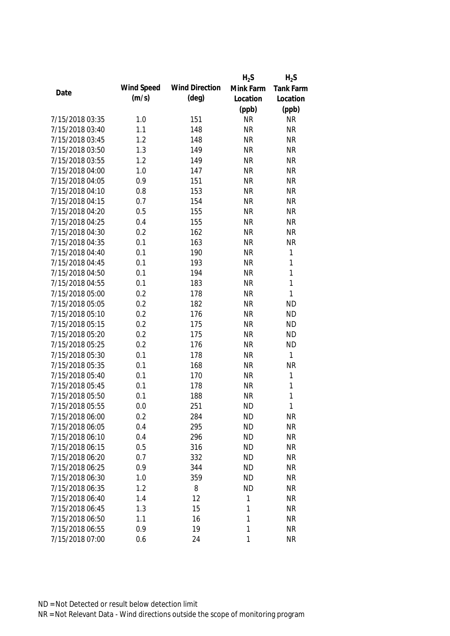|                 |            |                       | $H_2S$    | $H_2S$           |
|-----------------|------------|-----------------------|-----------|------------------|
|                 | Wind Speed | <b>Wind Direction</b> | Mink Farm | <b>Tank Farm</b> |
| Date            | (m/s)      | $(\text{deg})$        | Location  | Location         |
|                 |            |                       | (ppb)     | (ppb)            |
| 7/15/2018 03:35 | 1.0        | 151                   | <b>NR</b> | <b>NR</b>        |
| 7/15/2018 03:40 | 1.1        | 148                   | <b>NR</b> | <b>NR</b>        |
| 7/15/2018 03:45 | 1.2        | 148                   | <b>NR</b> | <b>NR</b>        |
| 7/15/2018 03:50 | 1.3        | 149                   | <b>NR</b> | <b>NR</b>        |
| 7/15/2018 03:55 | 1.2        | 149                   | <b>NR</b> | <b>NR</b>        |
| 7/15/2018 04:00 | 1.0        | 147                   | <b>NR</b> | <b>NR</b>        |
| 7/15/2018 04:05 | 0.9        | 151                   | <b>NR</b> | <b>NR</b>        |
| 7/15/2018 04:10 | 0.8        | 153                   | <b>NR</b> | <b>NR</b>        |
| 7/15/2018 04:15 | 0.7        | 154                   | <b>NR</b> | <b>NR</b>        |
| 7/15/2018 04:20 | 0.5        | 155                   | <b>NR</b> | <b>NR</b>        |
| 7/15/2018 04:25 | 0.4        | 155                   | <b>NR</b> | <b>NR</b>        |
| 7/15/2018 04:30 | 0.2        | 162                   | <b>NR</b> | <b>NR</b>        |
| 7/15/2018 04:35 | 0.1        | 163                   | <b>NR</b> | <b>NR</b>        |
| 7/15/2018 04:40 | 0.1        | 190                   | <b>NR</b> | 1                |
| 7/15/2018 04:45 | 0.1        | 193                   | <b>NR</b> | 1                |
| 7/15/2018 04:50 | 0.1        | 194                   | <b>NR</b> | $\mathbf{1}$     |
| 7/15/2018 04:55 | 0.1        | 183                   | <b>NR</b> | $\mathbf{1}$     |
| 7/15/2018 05:00 | 0.2        | 178                   | <b>NR</b> | $\mathbf{1}$     |
| 7/15/2018 05:05 | 0.2        | 182                   | <b>NR</b> | <b>ND</b>        |
| 7/15/2018 05:10 | 0.2        | 176                   | <b>NR</b> | <b>ND</b>        |
| 7/15/2018 05:15 | 0.2        | 175                   | <b>NR</b> | <b>ND</b>        |
| 7/15/2018 05:20 | 0.2        | 175                   | <b>NR</b> | <b>ND</b>        |
| 7/15/2018 05:25 | 0.2        | 176                   | <b>NR</b> | <b>ND</b>        |
| 7/15/2018 05:30 | 0.1        | 178                   | <b>NR</b> | 1                |
| 7/15/2018 05:35 | 0.1        | 168                   | <b>NR</b> | <b>NR</b>        |
| 7/15/2018 05:40 | 0.1        | 170                   | <b>NR</b> | 1                |
| 7/15/2018 05:45 | 0.1        | 178                   | <b>NR</b> | $\mathbf{1}$     |
| 7/15/2018 05:50 | 0.1        | 188                   | <b>NR</b> | 1                |
| 7/15/2018 05:55 | 0.0        | 251                   | <b>ND</b> | 1                |
| 7/15/2018 06:00 | 0.2        | 284                   | <b>ND</b> | <b>NR</b>        |
| 7/15/2018 06:05 | 0.4        | 295                   | <b>ND</b> | <b>NR</b>        |
| 7/15/2018 06:10 | 0.4        | 296                   | <b>ND</b> | <b>NR</b>        |
| 7/15/2018 06:15 | 0.5        | 316                   | <b>ND</b> | <b>NR</b>        |
| 7/15/2018 06:20 | 0.7        | 332                   | <b>ND</b> | <b>NR</b>        |
| 7/15/2018 06:25 | 0.9        | 344                   | <b>ND</b> | <b>NR</b>        |
| 7/15/2018 06:30 | 1.0        | 359                   | <b>ND</b> | <b>NR</b>        |
| 7/15/2018 06:35 | 1.2        | 8                     | <b>ND</b> | <b>NR</b>        |
| 7/15/2018 06:40 | 1.4        | 12                    | 1         | <b>NR</b>        |
| 7/15/2018 06:45 | 1.3        | 15                    | 1         | <b>NR</b>        |
| 7/15/2018 06:50 | 1.1        | 16                    | 1         | <b>NR</b>        |
| 7/15/2018 06:55 | 0.9        | 19                    | 1         | <b>NR</b>        |
| 7/15/2018 07:00 | 0.6        | 24                    | 1         | <b>NR</b>        |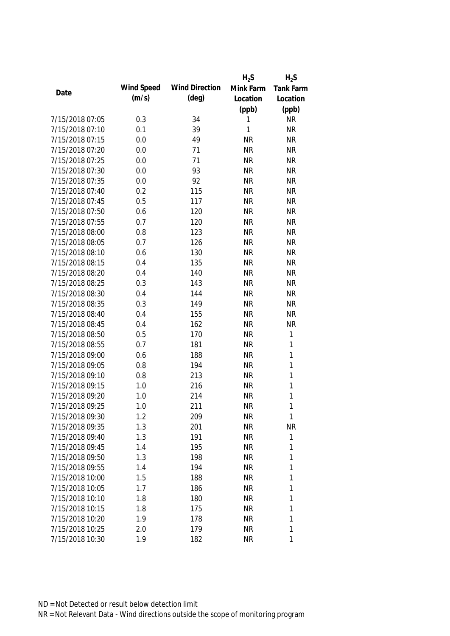|                 |            |                       | $H_2S$    | $H_2S$       |
|-----------------|------------|-----------------------|-----------|--------------|
|                 | Wind Speed | <b>Wind Direction</b> | Mink Farm | Tank Farm    |
| Date            | (m/s)      | $(\text{deg})$        | Location  | Location     |
|                 |            |                       | (ppb)     | (ppb)        |
| 7/15/2018 07:05 | 0.3        | 34                    | 1         | <b>NR</b>    |
| 7/15/2018 07:10 | 0.1        | 39                    | 1         | <b>NR</b>    |
| 7/15/2018 07:15 | 0.0        | 49                    | <b>NR</b> | <b>NR</b>    |
| 7/15/2018 07:20 | 0.0        | 71                    | <b>NR</b> | <b>NR</b>    |
| 7/15/2018 07:25 | 0.0        | 71                    | <b>NR</b> | <b>NR</b>    |
| 7/15/2018 07:30 | 0.0        | 93                    | <b>NR</b> | <b>NR</b>    |
| 7/15/2018 07:35 | 0.0        | 92                    | <b>NR</b> | <b>NR</b>    |
| 7/15/2018 07:40 | 0.2        | 115                   | <b>NR</b> | <b>NR</b>    |
| 7/15/2018 07:45 | 0.5        | 117                   | <b>NR</b> | <b>NR</b>    |
| 7/15/2018 07:50 | 0.6        | 120                   | <b>NR</b> | <b>NR</b>    |
| 7/15/2018 07:55 | 0.7        | 120                   | <b>NR</b> | <b>NR</b>    |
| 7/15/2018 08:00 | 0.8        | 123                   | <b>NR</b> | <b>NR</b>    |
| 7/15/2018 08:05 | 0.7        | 126                   | <b>NR</b> | <b>NR</b>    |
| 7/15/2018 08:10 | 0.6        | 130                   | <b>NR</b> | <b>NR</b>    |
| 7/15/2018 08:15 | 0.4        | 135                   | <b>NR</b> | <b>NR</b>    |
| 7/15/2018 08:20 | 0.4        | 140                   | <b>NR</b> | <b>NR</b>    |
| 7/15/2018 08:25 | 0.3        | 143                   | <b>NR</b> | <b>NR</b>    |
| 7/15/2018 08:30 | 0.4        | 144                   | <b>NR</b> | <b>NR</b>    |
| 7/15/2018 08:35 | 0.3        | 149                   | <b>NR</b> | <b>NR</b>    |
| 7/15/2018 08:40 | 0.4        | 155                   | <b>NR</b> | <b>NR</b>    |
| 7/15/2018 08:45 | 0.4        | 162                   | <b>NR</b> | <b>NR</b>    |
| 7/15/2018 08:50 | 0.5        | 170                   | <b>NR</b> | $\mathbf{1}$ |
| 7/15/2018 08:55 | 0.7        | 181                   | <b>NR</b> | $\mathbf{1}$ |
| 7/15/2018 09:00 | 0.6        | 188                   | <b>NR</b> | $\mathbf{1}$ |
| 7/15/2018 09:05 | 0.8        | 194                   | <b>NR</b> | $\mathbf{1}$ |
| 7/15/2018 09:10 | 0.8        | 213                   | <b>NR</b> | $\mathbf{1}$ |
| 7/15/2018 09:15 | 1.0        | 216                   | <b>NR</b> | $\mathbf{1}$ |
| 7/15/2018 09:20 | 1.0        | 214                   | <b>NR</b> | $\mathbf{1}$ |
| 7/15/2018 09:25 | 1.0        | 211                   | <b>NR</b> | 1            |
| 7/15/2018 09:30 | 1.2        | 209                   | <b>NR</b> | $\mathbf{1}$ |
| 7/15/2018 09:35 | 1.3        | 201                   | <b>NR</b> | <b>NR</b>    |
| 7/15/2018 09:40 | 1.3        | 191                   | <b>NR</b> | 1            |
| 7/15/2018 09:45 | 1.4        | 195                   | <b>NR</b> | 1            |
| 7/15/2018 09:50 | 1.3        | 198                   | <b>NR</b> | 1            |
| 7/15/2018 09:55 | 1.4        | 194                   | <b>NR</b> | 1            |
| 7/15/2018 10:00 | 1.5        | 188                   | <b>NR</b> | 1            |
| 7/15/2018 10:05 | 1.7        | 186                   | <b>NR</b> | 1            |
| 7/15/2018 10:10 | 1.8        | 180                   | <b>NR</b> | 1            |
| 7/15/2018 10:15 | 1.8        | 175                   | <b>NR</b> | 1            |
| 7/15/2018 10:20 | 1.9        | 178                   | <b>NR</b> | 1            |
| 7/15/2018 10:25 | 2.0        | 179                   | <b>NR</b> | 1            |
| 7/15/2018 10:30 | 1.9        | 182                   | <b>NR</b> | 1            |
|                 |            |                       |           |              |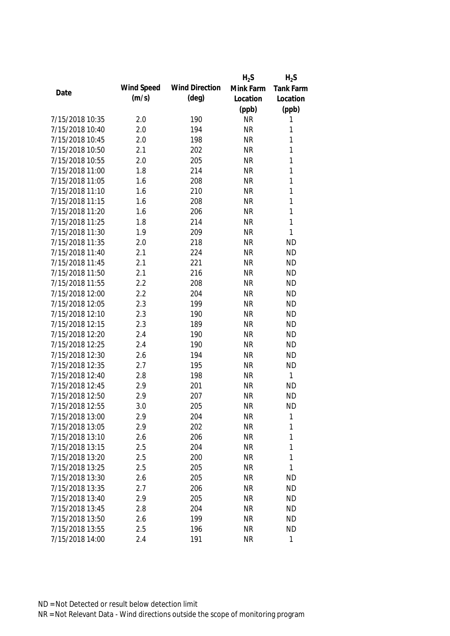|                 |            |                       | $H_2S$    | $H_2S$           |
|-----------------|------------|-----------------------|-----------|------------------|
|                 | Wind Speed | <b>Wind Direction</b> | Mink Farm | <b>Tank Farm</b> |
| Date            | (m/s)      | $(\text{deg})$        | Location  | Location         |
|                 |            |                       | (ppb)     | (ppb)            |
| 7/15/2018 10:35 | 2.0        | 190                   | <b>NR</b> | 1                |
| 7/15/2018 10:40 | 2.0        | 194                   | <b>NR</b> | 1                |
| 7/15/2018 10:45 | 2.0        | 198                   | <b>NR</b> | 1                |
| 7/15/2018 10:50 | 2.1        | 202                   | <b>NR</b> | 1                |
| 7/15/2018 10:55 | 2.0        | 205                   | <b>NR</b> | 1                |
| 7/15/2018 11:00 | 1.8        | 214                   | <b>NR</b> | 1                |
| 7/15/2018 11:05 | 1.6        | 208                   | <b>NR</b> | 1                |
| 7/15/2018 11:10 | 1.6        | 210                   | <b>NR</b> | 1                |
| 7/15/2018 11:15 | 1.6        | 208                   | <b>NR</b> | 1                |
| 7/15/2018 11:20 | 1.6        | 206                   | <b>NR</b> | $\mathbf{1}$     |
| 7/15/2018 11:25 | 1.8        | 214                   | <b>NR</b> | 1                |
| 7/15/2018 11:30 | 1.9        | 209                   | <b>NR</b> | 1                |
| 7/15/2018 11:35 | 2.0        | 218                   | <b>NR</b> | <b>ND</b>        |
| 7/15/2018 11:40 | 2.1        | 224                   | <b>NR</b> | <b>ND</b>        |
| 7/15/2018 11:45 | 2.1        | 221                   | <b>NR</b> | <b>ND</b>        |
| 7/15/2018 11:50 | 2.1        | 216                   | <b>NR</b> | <b>ND</b>        |
| 7/15/2018 11:55 | 2.2        | 208                   | <b>NR</b> | <b>ND</b>        |
| 7/15/2018 12:00 | 2.2        | 204                   | <b>NR</b> | <b>ND</b>        |
| 7/15/2018 12:05 | 2.3        | 199                   | <b>NR</b> | <b>ND</b>        |
| 7/15/2018 12:10 | 2.3        | 190                   | <b>NR</b> | <b>ND</b>        |
| 7/15/2018 12:15 | 2.3        | 189                   | <b>NR</b> | <b>ND</b>        |
| 7/15/2018 12:20 | 2.4        | 190                   | <b>NR</b> | <b>ND</b>        |
| 7/15/2018 12:25 | 2.4        | 190                   | <b>NR</b> | <b>ND</b>        |
| 7/15/2018 12:30 | 2.6        | 194                   | <b>NR</b> | <b>ND</b>        |
| 7/15/2018 12:35 | 2.7        | 195                   | <b>NR</b> | <b>ND</b>        |
| 7/15/2018 12:40 | 2.8        | 198                   | <b>NR</b> | 1                |
| 7/15/2018 12:45 | 2.9        | 201                   | <b>NR</b> | <b>ND</b>        |
| 7/15/2018 12:50 | 2.9        | 207                   | <b>NR</b> | <b>ND</b>        |
| 7/15/2018 12:55 | 3.0        | 205                   | <b>NR</b> | <b>ND</b>        |
| 7/15/2018 13:00 | 2.9        | 204                   | <b>NR</b> | 1                |
| 7/15/2018 13:05 | 2.9        | 202                   | <b>NR</b> | 1                |
| 7/15/2018 13:10 | 2.6        | 206                   | <b>NR</b> | 1                |
| 7/15/2018 13:15 | 2.5        | 204                   | <b>NR</b> | $\mathbf{1}$     |
| 7/15/2018 13:20 | 2.5        | 200                   | <b>NR</b> | 1                |
| 7/15/2018 13:25 | 2.5        | 205                   | <b>NR</b> | 1                |
| 7/15/2018 13:30 | 2.6        | 205                   | <b>NR</b> | <b>ND</b>        |
| 7/15/2018 13:35 | 2.7        | 206                   | <b>NR</b> | <b>ND</b>        |
| 7/15/2018 13:40 | 2.9        | 205                   | <b>NR</b> | ND               |
| 7/15/2018 13:45 | 2.8        | 204                   | <b>NR</b> | <b>ND</b>        |
| 7/15/2018 13:50 | 2.6        | 199                   | <b>NR</b> | <b>ND</b>        |
| 7/15/2018 13:55 | 2.5        | 196                   | <b>NR</b> | <b>ND</b>        |
| 7/15/2018 14:00 | 2.4        | 191                   | <b>NR</b> | 1                |
|                 |            |                       |           |                  |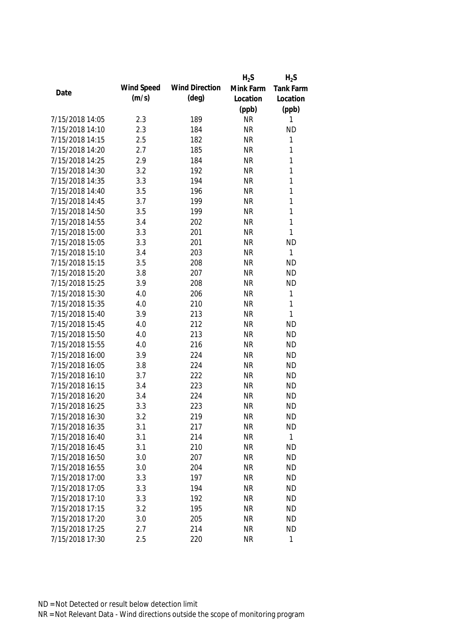|                 |            |                       | $H_2S$    | $H_2S$           |
|-----------------|------------|-----------------------|-----------|------------------|
|                 | Wind Speed | <b>Wind Direction</b> | Mink Farm | <b>Tank Farm</b> |
| Date            | (m/s)      | $(\text{deg})$        | Location  | Location         |
|                 |            |                       | (ppb)     | (ppb)            |
| 7/15/2018 14:05 | 2.3        | 189                   | <b>NR</b> | 1                |
| 7/15/2018 14:10 | 2.3        | 184                   | <b>NR</b> | <b>ND</b>        |
| 7/15/2018 14:15 | 2.5        | 182                   | <b>NR</b> | 1                |
| 7/15/2018 14:20 | 2.7        | 185                   | <b>NR</b> | 1                |
| 7/15/2018 14:25 | 2.9        | 184                   | <b>NR</b> | 1                |
| 7/15/2018 14:30 | 3.2        | 192                   | <b>NR</b> | 1                |
| 7/15/2018 14:35 | 3.3        | 194                   | <b>NR</b> | 1                |
| 7/15/2018 14:40 | 3.5        | 196                   | <b>NR</b> | 1                |
| 7/15/2018 14:45 | 3.7        | 199                   | <b>NR</b> | 1                |
| 7/15/2018 14:50 | 3.5        | 199                   | <b>NR</b> | $\mathbf{1}$     |
| 7/15/2018 14:55 | 3.4        | 202                   | <b>NR</b> | 1                |
| 7/15/2018 15:00 | 3.3        | 201                   | <b>NR</b> | 1                |
| 7/15/2018 15:05 | 3.3        | 201                   | <b>NR</b> | <b>ND</b>        |
| 7/15/2018 15:10 | 3.4        | 203                   | <b>NR</b> | 1                |
| 7/15/2018 15:15 | 3.5        | 208                   | <b>NR</b> | <b>ND</b>        |
| 7/15/2018 15:20 | 3.8        | 207                   | <b>NR</b> | <b>ND</b>        |
| 7/15/2018 15:25 | 3.9        | 208                   | <b>NR</b> | <b>ND</b>        |
| 7/15/2018 15:30 | 4.0        | 206                   | <b>NR</b> | 1                |
| 7/15/2018 15:35 | 4.0        | 210                   | <b>NR</b> | 1                |
| 7/15/2018 15:40 | 3.9        | 213                   | <b>NR</b> | 1                |
| 7/15/2018 15:45 | 4.0        | 212                   | <b>NR</b> | <b>ND</b>        |
| 7/15/2018 15:50 | 4.0        | 213                   | <b>NR</b> | <b>ND</b>        |
| 7/15/2018 15:55 | 4.0        | 216                   | <b>NR</b> | <b>ND</b>        |
| 7/15/2018 16:00 | 3.9        | 224                   | <b>NR</b> | <b>ND</b>        |
| 7/15/2018 16:05 | 3.8        | 224                   | <b>NR</b> | <b>ND</b>        |
| 7/15/2018 16:10 | 3.7        | 222                   | <b>NR</b> | <b>ND</b>        |
| 7/15/2018 16:15 | 3.4        | 223                   | <b>NR</b> | <b>ND</b>        |
| 7/15/2018 16:20 | 3.4        | 224                   | <b>NR</b> | <b>ND</b>        |
| 7/15/2018 16:25 | 3.3        | 223                   | <b>NR</b> | <b>ND</b>        |
| 7/15/2018 16:30 | 3.2        | 219                   | <b>NR</b> | <b>ND</b>        |
| 7/15/2018 16:35 | 3.1        | 217                   | <b>NR</b> | <b>ND</b>        |
| 7/15/2018 16:40 | 3.1        | 214                   | <b>NR</b> | $\mathbf{1}$     |
| 7/15/2018 16:45 | 3.1        | 210                   | <b>NR</b> | <b>ND</b>        |
| 7/15/2018 16:50 | 3.0        | 207                   | <b>NR</b> | <b>ND</b>        |
| 7/15/2018 16:55 | 3.0        | 204                   | <b>NR</b> | <b>ND</b>        |
| 7/15/2018 17:00 | 3.3        | 197                   | <b>NR</b> | <b>ND</b>        |
| 7/15/2018 17:05 | 3.3        | 194                   | <b>NR</b> | <b>ND</b>        |
| 7/15/2018 17:10 | 3.3        | 192                   | <b>NR</b> | <b>ND</b>        |
| 7/15/2018 17:15 | 3.2        | 195                   | <b>NR</b> | <b>ND</b>        |
| 7/15/2018 17:20 | 3.0        | 205                   | <b>NR</b> | <b>ND</b>        |
| 7/15/2018 17:25 | 2.7        | 214                   | <b>NR</b> | <b>ND</b>        |
| 7/15/2018 17:30 | 2.5        | 220                   | <b>NR</b> | 1                |
|                 |            |                       |           |                  |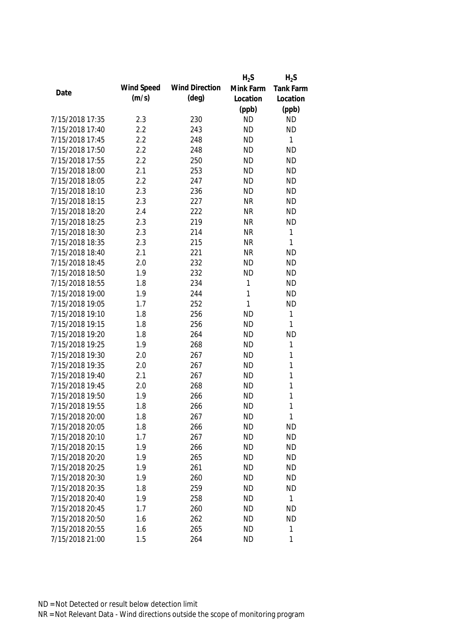|                 |            |                       | $H_2S$    | $H_2S$       |
|-----------------|------------|-----------------------|-----------|--------------|
| Date            | Wind Speed | <b>Wind Direction</b> | Mink Farm | Tank Farm    |
|                 | (m/s)      | $(\text{deg})$        | Location  | Location     |
|                 |            |                       | (ppb)     | (ppb)        |
| 7/15/2018 17:35 | 2.3        | 230                   | <b>ND</b> | <b>ND</b>    |
| 7/15/2018 17:40 | 2.2        | 243                   | <b>ND</b> | <b>ND</b>    |
| 7/15/2018 17:45 | 2.2        | 248                   | <b>ND</b> | $\mathbf{1}$ |
| 7/15/2018 17:50 | 2.2        | 248                   | <b>ND</b> | <b>ND</b>    |
| 7/15/2018 17:55 | 2.2        | 250                   | <b>ND</b> | <b>ND</b>    |
| 7/15/2018 18:00 | 2.1        | 253                   | <b>ND</b> | <b>ND</b>    |
| 7/15/2018 18:05 | 2.2        | 247                   | <b>ND</b> | <b>ND</b>    |
| 7/15/2018 18:10 | 2.3        | 236                   | <b>ND</b> | <b>ND</b>    |
| 7/15/2018 18:15 | 2.3        | 227                   | <b>NR</b> | <b>ND</b>    |
| 7/15/2018 18:20 | 2.4        | 222                   | <b>NR</b> | <b>ND</b>    |
| 7/15/2018 18:25 | 2.3        | 219                   | <b>NR</b> | <b>ND</b>    |
| 7/15/2018 18:30 | 2.3        | 214                   | <b>NR</b> | 1            |
| 7/15/2018 18:35 | 2.3        | 215                   | <b>NR</b> | 1            |
| 7/15/2018 18:40 | 2.1        | 221                   | <b>NR</b> | <b>ND</b>    |
| 7/15/2018 18:45 | 2.0        | 232                   | <b>ND</b> | <b>ND</b>    |
| 7/15/2018 18:50 | 1.9        | 232                   | <b>ND</b> | <b>ND</b>    |
| 7/15/2018 18:55 | 1.8        | 234                   | 1         | <b>ND</b>    |
| 7/15/2018 19:00 | 1.9        | 244                   | 1         | <b>ND</b>    |
| 7/15/2018 19:05 | 1.7        | 252                   | 1         | <b>ND</b>    |
| 7/15/2018 19:10 | 1.8        | 256                   | <b>ND</b> | 1            |
| 7/15/2018 19:15 | 1.8        | 256                   | <b>ND</b> | 1            |
| 7/15/2018 19:20 | 1.8        | 264                   | <b>ND</b> | <b>ND</b>    |
| 7/15/2018 19:25 | 1.9        | 268                   | <b>ND</b> | 1            |
| 7/15/2018 19:30 | 2.0        | 267                   | <b>ND</b> | 1            |
| 7/15/2018 19:35 | 2.0        | 267                   | <b>ND</b> | 1            |
| 7/15/2018 19:40 | 2.1        | 267                   | <b>ND</b> | 1            |
| 7/15/2018 19:45 | 2.0        | 268                   | <b>ND</b> | 1            |
| 7/15/2018 19:50 | 1.9        | 266                   | <b>ND</b> | 1            |
| 7/15/2018 19:55 | 1.8        | 266                   | <b>ND</b> | 1            |
| 7/15/2018 20:00 | 1.8        | 267                   | <b>ND</b> | 1            |
| 7/15/2018 20:05 | 1.8        | 266                   | <b>ND</b> | <b>ND</b>    |
| 7/15/2018 20:10 | 1.7        | 267                   | <b>ND</b> | <b>ND</b>    |
| 7/15/2018 20:15 | 1.9        | 266                   | <b>ND</b> | <b>ND</b>    |
| 7/15/2018 20:20 | 1.9        | 265                   | <b>ND</b> | <b>ND</b>    |
| 7/15/2018 20:25 | 1.9        | 261                   | <b>ND</b> | <b>ND</b>    |
| 7/15/2018 20:30 | 1.9        | 260                   | <b>ND</b> | <b>ND</b>    |
| 7/15/2018 20:35 | 1.8        | 259                   | <b>ND</b> | <b>ND</b>    |
| 7/15/2018 20:40 | 1.9        | 258                   | <b>ND</b> | $\mathbf{1}$ |
| 7/15/2018 20:45 | 1.7        | 260                   | <b>ND</b> | <b>ND</b>    |
| 7/15/2018 20:50 | 1.6        | 262                   | <b>ND</b> | <b>ND</b>    |
| 7/15/2018 20:55 | 1.6        | 265                   | <b>ND</b> | 1            |
| 7/15/2018 21:00 | 1.5        | 264                   | <b>ND</b> | 1            |
|                 |            |                       |           |              |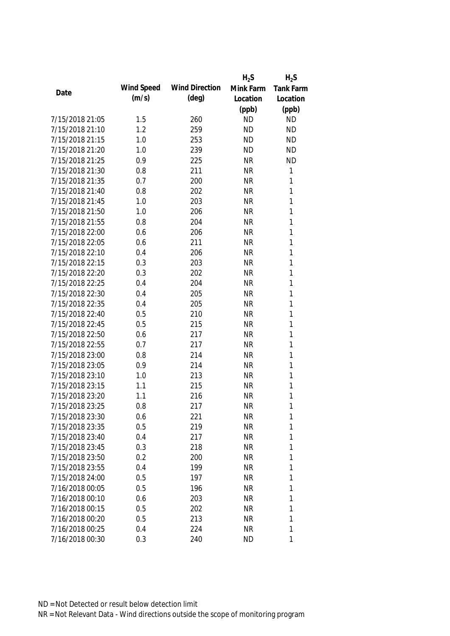|                 |            |                       | $H_2S$    | $H_2S$           |
|-----------------|------------|-----------------------|-----------|------------------|
|                 | Wind Speed | <b>Wind Direction</b> | Mink Farm | <b>Tank Farm</b> |
| Date            | (m/s)      | $(\text{deg})$        | Location  | Location         |
|                 |            |                       | (ppb)     | (ppb)            |
| 7/15/2018 21:05 | 1.5        | 260                   | <b>ND</b> | <b>ND</b>        |
| 7/15/2018 21:10 | 1.2        | 259                   | <b>ND</b> | <b>ND</b>        |
| 7/15/2018 21:15 | 1.0        | 253                   | <b>ND</b> | <b>ND</b>        |
| 7/15/2018 21:20 | 1.0        | 239                   | <b>ND</b> | <b>ND</b>        |
| 7/15/2018 21:25 | 0.9        | 225                   | <b>NR</b> | <b>ND</b>        |
| 7/15/2018 21:30 | 0.8        | 211                   | <b>NR</b> | $\mathbf{1}$     |
| 7/15/2018 21:35 | 0.7        | 200                   | <b>NR</b> | 1                |
| 7/15/2018 21:40 | 0.8        | 202                   | <b>NR</b> | $\mathbf{1}$     |
| 7/15/2018 21:45 | 1.0        | 203                   | <b>NR</b> | 1                |
| 7/15/2018 21:50 | 1.0        | 206                   | <b>NR</b> | 1                |
| 7/15/2018 21:55 | 0.8        | 204                   | <b>NR</b> | 1                |
| 7/15/2018 22:00 | 0.6        | 206                   | <b>NR</b> | 1                |
| 7/15/2018 22:05 | 0.6        | 211                   | <b>NR</b> | 1                |
| 7/15/2018 22:10 | 0.4        | 206                   | <b>NR</b> | 1                |
| 7/15/2018 22:15 | 0.3        | 203                   | <b>NR</b> | 1                |
| 7/15/2018 22:20 | 0.3        | 202                   | <b>NR</b> | 1                |
| 7/15/2018 22:25 | 0.4        | 204                   | <b>NR</b> | 1                |
| 7/15/2018 22:30 | 0.4        | 205                   | <b>NR</b> | 1                |
| 7/15/2018 22:35 | 0.4        | 205                   | <b>NR</b> | 1                |
| 7/15/2018 22:40 | 0.5        | 210                   | <b>NR</b> | 1                |
| 7/15/2018 22:45 | 0.5        | 215                   | <b>NR</b> | 1                |
| 7/15/2018 22:50 | 0.6        | 217                   | <b>NR</b> | 1                |
| 7/15/2018 22:55 | 0.7        | 217                   | <b>NR</b> | $\mathbf{1}$     |
| 7/15/2018 23:00 | 0.8        | 214                   | <b>NR</b> | 1                |
| 7/15/2018 23:05 | 0.9        | 214                   | <b>NR</b> | 1                |
| 7/15/2018 23:10 | 1.0        | 213                   | <b>NR</b> | 1                |
| 7/15/2018 23:15 | 1.1        | 215                   | <b>NR</b> | 1                |
| 7/15/2018 23:20 | 1.1        | 216                   | <b>NR</b> | 1                |
| 7/15/2018 23:25 | 0.8        | 217                   | <b>NR</b> | 1                |
| 7/15/2018 23:30 | 0.6        | 221                   | <b>NR</b> | 1                |
| 7/15/2018 23:35 | 0.5        | 219                   | <b>NR</b> | 1                |
| 7/15/2018 23:40 | 0.4        | 217                   | <b>NR</b> | 1                |
| 7/15/2018 23:45 | 0.3        | 218                   | <b>NR</b> | 1                |
| 7/15/2018 23:50 | 0.2        | 200                   | <b>NR</b> | 1                |
| 7/15/2018 23:55 | 0.4        | 199                   | <b>NR</b> | 1                |
| 7/15/2018 24:00 | 0.5        | 197                   | <b>NR</b> | 1                |
| 7/16/2018 00:05 | 0.5        | 196                   | <b>NR</b> | 1                |
| 7/16/2018 00:10 | 0.6        | 203                   | <b>NR</b> | 1                |
| 7/16/2018 00:15 | 0.5        | 202                   | <b>NR</b> | 1                |
| 7/16/2018 00:20 | 0.5        | 213                   | <b>NR</b> | 1                |
| 7/16/2018 00:25 | 0.4        | 224                   | <b>NR</b> | 1                |
| 7/16/2018 00:30 | 0.3        | 240                   | <b>ND</b> | 1                |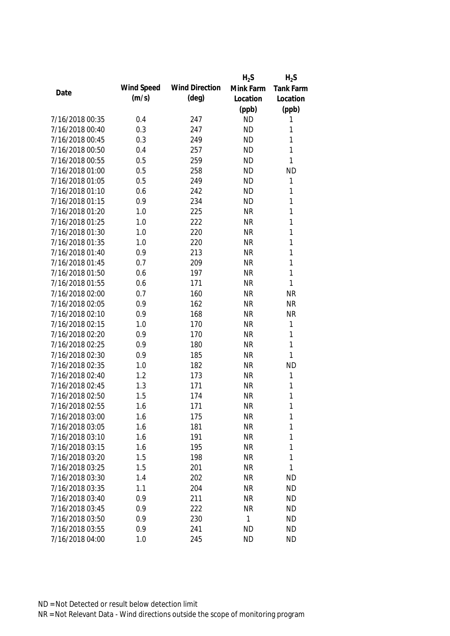|                 |            |                       | $H_2S$    | $H_2S$           |
|-----------------|------------|-----------------------|-----------|------------------|
| Date            | Wind Speed | <b>Wind Direction</b> | Mink Farm | <b>Tank Farm</b> |
|                 | (m/s)      | $(\text{deg})$        | Location  | Location         |
|                 |            |                       | (ppb)     | (ppb)            |
| 7/16/2018 00:35 | 0.4        | 247                   | <b>ND</b> | 1                |
| 7/16/2018 00:40 | 0.3        | 247                   | <b>ND</b> | 1                |
| 7/16/2018 00:45 | 0.3        | 249                   | <b>ND</b> | 1                |
| 7/16/2018 00:50 | 0.4        | 257                   | <b>ND</b> | 1                |
| 7/16/2018 00:55 | 0.5        | 259                   | <b>ND</b> | 1                |
| 7/16/2018 01:00 | 0.5        | 258                   | <b>ND</b> | <b>ND</b>        |
| 7/16/2018 01:05 | 0.5        | 249                   | <b>ND</b> | 1                |
| 7/16/2018 01:10 | 0.6        | 242                   | <b>ND</b> | 1                |
| 7/16/2018 01:15 | 0.9        | 234                   | <b>ND</b> | 1                |
| 7/16/2018 01:20 | 1.0        | 225                   | <b>NR</b> | 1                |
| 7/16/2018 01:25 | 1.0        | 222                   | <b>NR</b> | 1                |
| 7/16/2018 01:30 | 1.0        | 220                   | <b>NR</b> | 1                |
| 7/16/2018 01:35 | 1.0        | 220                   | <b>NR</b> | 1                |
| 7/16/2018 01:40 | 0.9        | 213                   | <b>NR</b> | 1                |
| 7/16/2018 01:45 | 0.7        | 209                   | <b>NR</b> | 1                |
| 7/16/2018 01:50 | 0.6        | 197                   | <b>NR</b> | $\mathbf{1}$     |
| 7/16/2018 01:55 | 0.6        | 171                   | <b>NR</b> | 1                |
| 7/16/2018 02:00 | 0.7        | 160                   | <b>NR</b> | <b>NR</b>        |
| 7/16/2018 02:05 | 0.9        | 162                   | <b>NR</b> | <b>NR</b>        |
| 7/16/2018 02:10 | 0.9        | 168                   | <b>NR</b> | <b>NR</b>        |
| 7/16/2018 02:15 | 1.0        | 170                   | <b>NR</b> | 1                |
| 7/16/2018 02:20 | 0.9        | 170                   | <b>NR</b> | 1                |
| 7/16/2018 02:25 | 0.9        | 180                   | <b>NR</b> | $\mathbf{1}$     |
| 7/16/2018 02:30 | 0.9        | 185                   | <b>NR</b> | 1                |
| 7/16/2018 02:35 | 1.0        | 182                   | <b>NR</b> | <b>ND</b>        |
| 7/16/2018 02:40 | 1.2        | 173                   | <b>NR</b> | 1                |
| 7/16/2018 02:45 | 1.3        | 171                   | <b>NR</b> | 1                |
| 7/16/2018 02:50 | 1.5        | 174                   | <b>NR</b> | 1                |
| 7/16/2018 02:55 | 1.6        | 171                   | <b>NR</b> | 1                |
| 7/16/2018 03:00 | 1.6        | 175                   | <b>NR</b> | 1                |
| 7/16/2018 03:05 | 1.6        | 181                   | <b>NR</b> | 1                |
| 7/16/2018 03:10 | 1.6        | 191                   | <b>NR</b> | 1                |
| 7/16/2018 03:15 | 1.6        | 195                   | <b>NR</b> | 1                |
| 7/16/2018 03:20 | 1.5        | 198                   | <b>NR</b> | 1                |
| 7/16/2018 03:25 | 1.5        | 201                   | <b>NR</b> | 1                |
| 7/16/2018 03:30 | 1.4        | 202                   | <b>NR</b> | <b>ND</b>        |
| 7/16/2018 03:35 | 1.1        | 204                   | <b>NR</b> | <b>ND</b>        |
| 7/16/2018 03:40 | 0.9        | 211                   | <b>NR</b> | <b>ND</b>        |
| 7/16/2018 03:45 | 0.9        | 222                   | <b>NR</b> | <b>ND</b>        |
| 7/16/2018 03:50 | 0.9        | 230                   | 1         | <b>ND</b>        |
| 7/16/2018 03:55 | 0.9        | 241                   | <b>ND</b> | <b>ND</b>        |
| 7/16/2018 04:00 | 1.0        | 245                   | <b>ND</b> | <b>ND</b>        |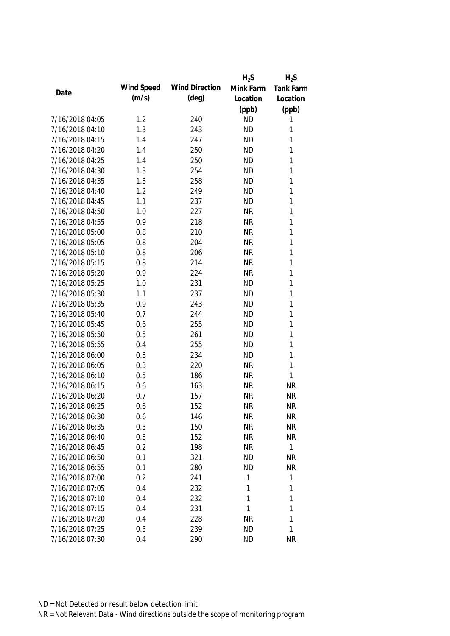|                 |            |                       | $H_2S$    | $H_2S$           |
|-----------------|------------|-----------------------|-----------|------------------|
| Date            | Wind Speed | <b>Wind Direction</b> | Mink Farm | <b>Tank Farm</b> |
|                 | (m/s)      | $(\text{deg})$        | Location  | Location         |
|                 |            |                       | (ppb)     | (ppb)            |
| 7/16/2018 04:05 | 1.2        | 240                   | <b>ND</b> | 1                |
| 7/16/2018 04:10 | 1.3        | 243                   | <b>ND</b> | 1                |
| 7/16/2018 04:15 | 1.4        | 247                   | <b>ND</b> | 1                |
| 7/16/2018 04:20 | 1.4        | 250                   | <b>ND</b> | 1                |
| 7/16/2018 04:25 | 1.4        | 250                   | <b>ND</b> | 1                |
| 7/16/2018 04:30 | 1.3        | 254                   | <b>ND</b> | 1                |
| 7/16/2018 04:35 | 1.3        | 258                   | <b>ND</b> | 1                |
| 7/16/2018 04:40 | 1.2        | 249                   | <b>ND</b> | 1                |
| 7/16/2018 04:45 | 1.1        | 237                   | <b>ND</b> | 1                |
| 7/16/2018 04:50 | 1.0        | 227                   | <b>NR</b> | 1                |
| 7/16/2018 04:55 | 0.9        | 218                   | <b>NR</b> | 1                |
| 7/16/2018 05:00 | 0.8        | 210                   | <b>NR</b> | 1                |
| 7/16/2018 05:05 | 0.8        | 204                   | <b>NR</b> | 1                |
| 7/16/2018 05:10 | 0.8        | 206                   | <b>NR</b> | 1                |
| 7/16/2018 05:15 | 0.8        | 214                   | <b>NR</b> | 1                |
| 7/16/2018 05:20 | 0.9        | 224                   | <b>NR</b> | 1                |
| 7/16/2018 05:25 | 1.0        | 231                   | <b>ND</b> | 1                |
| 7/16/2018 05:30 | 1.1        | 237                   | <b>ND</b> | 1                |
| 7/16/2018 05:35 | 0.9        | 243                   | <b>ND</b> | 1                |
| 7/16/2018 05:40 | 0.7        | 244                   | <b>ND</b> | 1                |
| 7/16/2018 05:45 | 0.6        | 255                   | <b>ND</b> | 1                |
| 7/16/2018 05:50 | 0.5        | 261                   | <b>ND</b> | 1                |
| 7/16/2018 05:55 | 0.4        | 255                   | <b>ND</b> | 1                |
| 7/16/2018 06:00 | 0.3        | 234                   | <b>ND</b> | 1                |
| 7/16/2018 06:05 | 0.3        | 220                   | <b>NR</b> | $\mathbf{1}$     |
| 7/16/2018 06:10 | 0.5        | 186                   | <b>NR</b> | $\mathbf{1}$     |
| 7/16/2018 06:15 | 0.6        | 163                   | <b>NR</b> | <b>NR</b>        |
| 7/16/2018 06:20 | 0.7        | 157                   | <b>NR</b> | <b>NR</b>        |
| 7/16/2018 06:25 | 0.6        | 152                   | <b>NR</b> | <b>NR</b>        |
| 7/16/2018 06:30 | 0.6        | 146                   | <b>NR</b> | ΝR               |
| 7/16/2018 06:35 | 0.5        | 150                   | <b>NR</b> | <b>NR</b>        |
| 7/16/2018 06:40 | 0.3        | 152                   | <b>NR</b> | <b>NR</b>        |
| 7/16/2018 06:45 | 0.2        | 198                   | <b>NR</b> | 1                |
| 7/16/2018 06:50 | 0.1        | 321                   | <b>ND</b> | NR               |
| 7/16/2018 06:55 | 0.1        | 280                   | <b>ND</b> | <b>NR</b>        |
| 7/16/2018 07:00 | 0.2        | 241                   | 1         | 1                |
| 7/16/2018 07:05 | 0.4        | 232                   | 1         | 1                |
| 7/16/2018 07:10 | 0.4        | 232                   | 1         | 1                |
| 7/16/2018 07:15 | 0.4        | 231                   | 1         | 1                |
| 7/16/2018 07:20 | 0.4        | 228                   | <b>NR</b> | 1                |
| 7/16/2018 07:25 | 0.5        | 239                   | <b>ND</b> | 1                |
| 7/16/2018 07:30 | 0.4        | 290                   | <b>ND</b> | <b>NR</b>        |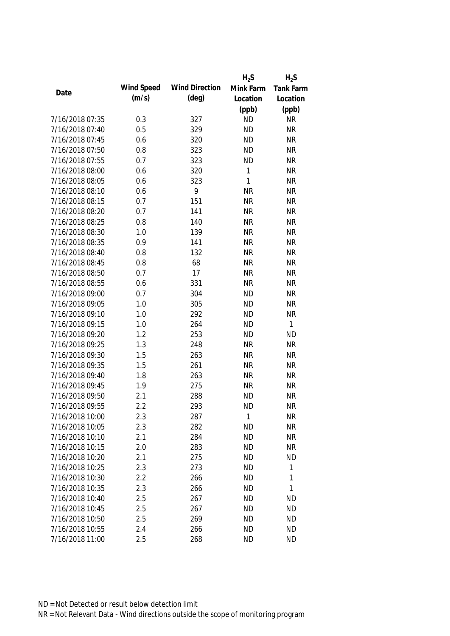|                 |            |                       | $H_2S$       | $H_2S$           |
|-----------------|------------|-----------------------|--------------|------------------|
|                 | Wind Speed | <b>Wind Direction</b> | Mink Farm    | <b>Tank Farm</b> |
| Date            | (m/s)      | $(\text{deg})$        | Location     | Location         |
|                 |            |                       | (ppb)        | (ppb)            |
| 7/16/2018 07:35 | 0.3        | 327                   | <b>ND</b>    | <b>NR</b>        |
| 7/16/2018 07:40 | 0.5        | 329                   | <b>ND</b>    | <b>NR</b>        |
| 7/16/2018 07:45 | 0.6        | 320                   | <b>ND</b>    | <b>NR</b>        |
| 7/16/2018 07:50 | 0.8        | 323                   | <b>ND</b>    | <b>NR</b>        |
| 7/16/2018 07:55 | 0.7        | 323                   | <b>ND</b>    | <b>NR</b>        |
| 7/16/2018 08:00 | 0.6        | 320                   | 1            | <b>NR</b>        |
| 7/16/2018 08:05 | 0.6        | 323                   | $\mathbf{1}$ | <b>NR</b>        |
| 7/16/2018 08:10 | 0.6        | 9                     | <b>NR</b>    | <b>NR</b>        |
| 7/16/2018 08:15 | 0.7        | 151                   | <b>NR</b>    | <b>NR</b>        |
| 7/16/2018 08:20 | 0.7        | 141                   | <b>NR</b>    | <b>NR</b>        |
| 7/16/2018 08:25 | 0.8        | 140                   | <b>NR</b>    | <b>NR</b>        |
| 7/16/2018 08:30 | 1.0        | 139                   | <b>NR</b>    | <b>NR</b>        |
| 7/16/2018 08:35 | 0.9        | 141                   | <b>NR</b>    | <b>NR</b>        |
| 7/16/2018 08:40 | 0.8        | 132                   | <b>NR</b>    | <b>NR</b>        |
| 7/16/2018 08:45 | 0.8        | 68                    | <b>NR</b>    | <b>NR</b>        |
| 7/16/2018 08:50 | 0.7        | 17                    | <b>NR</b>    | <b>NR</b>        |
| 7/16/2018 08:55 | 0.6        | 331                   | <b>NR</b>    | <b>NR</b>        |
| 7/16/2018 09:00 | 0.7        | 304                   | <b>ND</b>    | <b>NR</b>        |
| 7/16/2018 09:05 | 1.0        | 305                   | <b>ND</b>    | <b>NR</b>        |
| 7/16/2018 09:10 | 1.0        | 292                   | <b>ND</b>    | <b>NR</b>        |
| 7/16/2018 09:15 | 1.0        | 264                   | <b>ND</b>    | 1                |
| 7/16/2018 09:20 | 1.2        | 253                   | <b>ND</b>    | <b>ND</b>        |
| 7/16/2018 09:25 | 1.3        | 248                   | <b>NR</b>    | <b>NR</b>        |
| 7/16/2018 09:30 | 1.5        | 263                   | <b>NR</b>    | <b>NR</b>        |
| 7/16/2018 09:35 | 1.5        | 261                   | <b>NR</b>    | <b>NR</b>        |
| 7/16/2018 09:40 | 1.8        | 263                   | <b>NR</b>    | <b>NR</b>        |
| 7/16/2018 09:45 | 1.9        | 275                   | <b>NR</b>    | <b>NR</b>        |
| 7/16/2018 09:50 | 2.1        | 288                   | <b>ND</b>    | <b>NR</b>        |
| 7/16/2018 09:55 | 2.2        | 293                   | <b>ND</b>    | <b>NR</b>        |
| 7/16/2018 10:00 | 2.3        | 287                   | 1            | NR               |
| 7/16/2018 10:05 | 2.3        | 282                   | <b>ND</b>    | <b>NR</b>        |
| 7/16/2018 10:10 | 2.1        | 284                   | <b>ND</b>    | <b>NR</b>        |
| 7/16/2018 10:15 | 2.0        | 283                   | <b>ND</b>    | <b>NR</b>        |
| 7/16/2018 10:20 | 2.1        | 275                   | <b>ND</b>    | <b>ND</b>        |
| 7/16/2018 10:25 | 2.3        | 273                   | <b>ND</b>    | 1                |
| 7/16/2018 10:30 | 2.2        | 266                   | <b>ND</b>    | 1                |
| 7/16/2018 10:35 | 2.3        | 266                   | <b>ND</b>    | 1                |
| 7/16/2018 10:40 | 2.5        | 267                   | <b>ND</b>    | ND               |
| 7/16/2018 10:45 | 2.5        | 267                   | <b>ND</b>    | <b>ND</b>        |
| 7/16/2018 10:50 | 2.5        | 269                   | <b>ND</b>    | <b>ND</b>        |
| 7/16/2018 10:55 | 2.4        | 266                   | <b>ND</b>    | <b>ND</b>        |
| 7/16/2018 11:00 | 2.5        | 268                   | <b>ND</b>    | <b>ND</b>        |
|                 |            |                       |              |                  |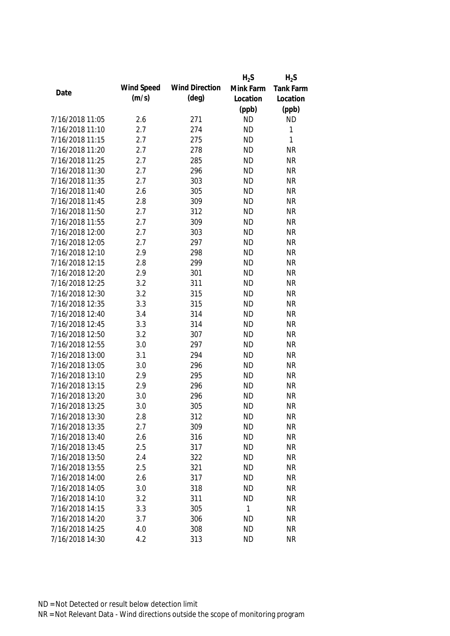|                 |            |                       | $H_2S$       | $H_2S$           |
|-----------------|------------|-----------------------|--------------|------------------|
|                 | Wind Speed | <b>Wind Direction</b> | Mink Farm    | <b>Tank Farm</b> |
| Date            | (m/s)      | $(\text{deg})$        | Location     | Location         |
|                 |            |                       | (ppb)        | (ppb)            |
| 7/16/2018 11:05 | 2.6        | 271                   | <b>ND</b>    | <b>ND</b>        |
| 7/16/2018 11:10 | 2.7        | 274                   | <b>ND</b>    | 1                |
| 7/16/2018 11:15 | 2.7        | 275                   | <b>ND</b>    | 1                |
| 7/16/2018 11:20 | 2.7        | 278                   | <b>ND</b>    | <b>NR</b>        |
| 7/16/2018 11:25 | 2.7        | 285                   | <b>ND</b>    | <b>NR</b>        |
| 7/16/2018 11:30 | 2.7        | 296                   | <b>ND</b>    | <b>NR</b>        |
| 7/16/2018 11:35 | 2.7        | 303                   | <b>ND</b>    | <b>NR</b>        |
| 7/16/2018 11:40 | 2.6        | 305                   | <b>ND</b>    | <b>NR</b>        |
| 7/16/2018 11:45 | 2.8        | 309                   | <b>ND</b>    | <b>NR</b>        |
| 7/16/2018 11:50 | 2.7        | 312                   | <b>ND</b>    | <b>NR</b>        |
| 7/16/2018 11:55 | 2.7        | 309                   | <b>ND</b>    | <b>NR</b>        |
| 7/16/2018 12:00 | 2.7        | 303                   | <b>ND</b>    | <b>NR</b>        |
| 7/16/2018 12:05 | 2.7        | 297                   | <b>ND</b>    | <b>NR</b>        |
| 7/16/2018 12:10 | 2.9        | 298                   | <b>ND</b>    | <b>NR</b>        |
| 7/16/2018 12:15 | 2.8        | 299                   | <b>ND</b>    | <b>NR</b>        |
| 7/16/2018 12:20 | 2.9        | 301                   | <b>ND</b>    | <b>NR</b>        |
| 7/16/2018 12:25 | 3.2        | 311                   | <b>ND</b>    | <b>NR</b>        |
| 7/16/2018 12:30 | 3.2        | 315                   | <b>ND</b>    | <b>NR</b>        |
| 7/16/2018 12:35 | 3.3        | 315                   | <b>ND</b>    | <b>NR</b>        |
| 7/16/2018 12:40 | 3.4        | 314                   | <b>ND</b>    | <b>NR</b>        |
| 7/16/2018 12:45 | 3.3        | 314                   | <b>ND</b>    | <b>NR</b>        |
| 7/16/2018 12:50 | 3.2        | 307                   | <b>ND</b>    | <b>NR</b>        |
| 7/16/2018 12:55 | 3.0        | 297                   | <b>ND</b>    | <b>NR</b>        |
| 7/16/2018 13:00 | 3.1        | 294                   | <b>ND</b>    | <b>NR</b>        |
| 7/16/2018 13:05 | 3.0        | 296                   | <b>ND</b>    | <b>NR</b>        |
| 7/16/2018 13:10 | 2.9        | 295                   | <b>ND</b>    | <b>NR</b>        |
| 7/16/2018 13:15 | 2.9        | 296                   | <b>ND</b>    | <b>NR</b>        |
| 7/16/2018 13:20 | 3.0        | 296                   | <b>ND</b>    | <b>NR</b>        |
| 7/16/2018 13:25 | 3.0        | 305                   | <b>ND</b>    | <b>NR</b>        |
| 7/16/2018 13:30 | 2.8        | 312                   | <b>ND</b>    | <b>NR</b>        |
| 7/16/2018 13:35 | 2.7        | 309                   | <b>ND</b>    | <b>NR</b>        |
| 7/16/2018 13:40 | 2.6        | 316                   | <b>ND</b>    | <b>NR</b>        |
| 7/16/2018 13:45 | 2.5        | 317                   | <b>ND</b>    | <b>NR</b>        |
| 7/16/2018 13:50 | 2.4        | 322                   | <b>ND</b>    | <b>NR</b>        |
| 7/16/2018 13:55 | 2.5        | 321                   | <b>ND</b>    | <b>NR</b>        |
| 7/16/2018 14:00 | 2.6        | 317                   | <b>ND</b>    | <b>NR</b>        |
| 7/16/2018 14:05 | 3.0        | 318                   | <b>ND</b>    | <b>NR</b>        |
| 7/16/2018 14:10 | 3.2        | 311                   | <b>ND</b>    | <b>NR</b>        |
| 7/16/2018 14:15 | 3.3        | 305                   | $\mathbf{1}$ | <b>NR</b>        |
| 7/16/2018 14:20 | 3.7        | 306                   | ND           | <b>NR</b>        |
| 7/16/2018 14:25 | 4.0        | 308                   | <b>ND</b>    | <b>NR</b>        |
| 7/16/2018 14:30 | 4.2        | 313                   | <b>ND</b>    | <b>NR</b>        |
|                 |            |                       |              |                  |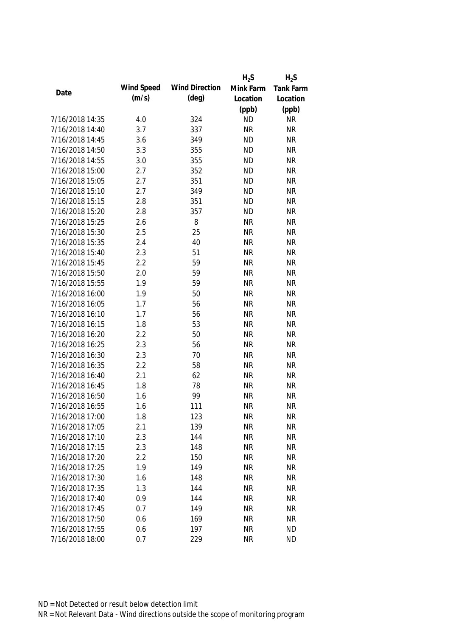|                 |            |                       | $H_2S$    | $H_2S$           |
|-----------------|------------|-----------------------|-----------|------------------|
|                 | Wind Speed | <b>Wind Direction</b> | Mink Farm | <b>Tank Farm</b> |
| Date            | (m/s)      | $(\text{deg})$        | Location  | Location         |
|                 |            |                       | (ppb)     | (ppb)            |
| 7/16/2018 14:35 | 4.0        | 324                   | <b>ND</b> | <b>NR</b>        |
| 7/16/2018 14:40 | 3.7        | 337                   | <b>NR</b> | <b>NR</b>        |
| 7/16/2018 14:45 | 3.6        | 349                   | <b>ND</b> | <b>NR</b>        |
| 7/16/2018 14:50 | 3.3        | 355                   | <b>ND</b> | <b>NR</b>        |
| 7/16/2018 14:55 | 3.0        | 355                   | <b>ND</b> | <b>NR</b>        |
| 7/16/2018 15:00 | 2.7        | 352                   | <b>ND</b> | <b>NR</b>        |
| 7/16/2018 15:05 | 2.7        | 351                   | <b>ND</b> | <b>NR</b>        |
| 7/16/2018 15:10 | 2.7        | 349                   | <b>ND</b> | <b>NR</b>        |
| 7/16/2018 15:15 | 2.8        | 351                   | <b>ND</b> | <b>NR</b>        |
| 7/16/2018 15:20 | 2.8        | 357                   | <b>ND</b> | <b>NR</b>        |
| 7/16/2018 15:25 | 2.6        | 8                     | <b>NR</b> | <b>NR</b>        |
| 7/16/2018 15:30 | 2.5        | 25                    | <b>NR</b> | <b>NR</b>        |
| 7/16/2018 15:35 | 2.4        | 40                    | <b>NR</b> | <b>NR</b>        |
| 7/16/2018 15:40 | 2.3        | 51                    | <b>NR</b> | <b>NR</b>        |
| 7/16/2018 15:45 | 2.2        | 59                    | <b>NR</b> | <b>NR</b>        |
| 7/16/2018 15:50 | 2.0        | 59                    | <b>NR</b> | <b>NR</b>        |
| 7/16/2018 15:55 | 1.9        | 59                    | <b>NR</b> | <b>NR</b>        |
| 7/16/2018 16:00 | 1.9        | 50                    | <b>NR</b> | <b>NR</b>        |
| 7/16/2018 16:05 | 1.7        | 56                    | <b>NR</b> | <b>NR</b>        |
| 7/16/2018 16:10 | 1.7        | 56                    | <b>NR</b> | <b>NR</b>        |
| 7/16/2018 16:15 | 1.8        | 53                    | <b>NR</b> | <b>NR</b>        |
| 7/16/2018 16:20 | 2.2        | 50                    | <b>NR</b> | <b>NR</b>        |
| 7/16/2018 16:25 | 2.3        | 56                    | <b>NR</b> | <b>NR</b>        |
| 7/16/2018 16:30 | 2.3        | 70                    | <b>NR</b> | <b>NR</b>        |
| 7/16/2018 16:35 | 2.2        | 58                    | <b>NR</b> | <b>NR</b>        |
| 7/16/2018 16:40 | 2.1        | 62                    | <b>NR</b> | <b>NR</b>        |
| 7/16/2018 16:45 | 1.8        | 78                    | <b>NR</b> | <b>NR</b>        |
| 7/16/2018 16:50 | 1.6        | 99                    | <b>NR</b> | <b>NR</b>        |
| 7/16/2018 16:55 | 1.6        | 111                   | <b>NR</b> | <b>NR</b>        |
| 7/16/2018 17:00 | 1.8        | 123                   | <b>NR</b> | <b>NR</b>        |
| 7/16/2018 17:05 | 2.1        | 139                   | <b>NR</b> | <b>NR</b>        |
| 7/16/2018 17:10 | 2.3        | 144                   | <b>NR</b> | <b>NR</b>        |
| 7/16/2018 17:15 | 2.3        | 148                   | <b>NR</b> | <b>NR</b>        |
|                 |            |                       |           |                  |
| 7/16/2018 17:20 | 2.2        | 150                   | <b>NR</b> | <b>NR</b>        |
| 7/16/2018 17:25 | 1.9        | 149                   | <b>NR</b> | <b>NR</b>        |
| 7/16/2018 17:30 | 1.6        | 148                   | <b>NR</b> | <b>NR</b>        |
| 7/16/2018 17:35 | 1.3        | 144                   | <b>NR</b> | <b>NR</b>        |
| 7/16/2018 17:40 | 0.9        | 144                   | <b>NR</b> | <b>NR</b>        |
| 7/16/2018 17:45 | 0.7        | 149                   | <b>NR</b> | <b>NR</b>        |
| 7/16/2018 17:50 | 0.6        | 169                   | <b>NR</b> | <b>NR</b>        |
| 7/16/2018 17:55 | 0.6        | 197                   | <b>NR</b> | <b>ND</b>        |
| 7/16/2018 18:00 | 0.7        | 229                   | <b>NR</b> | <b>ND</b>        |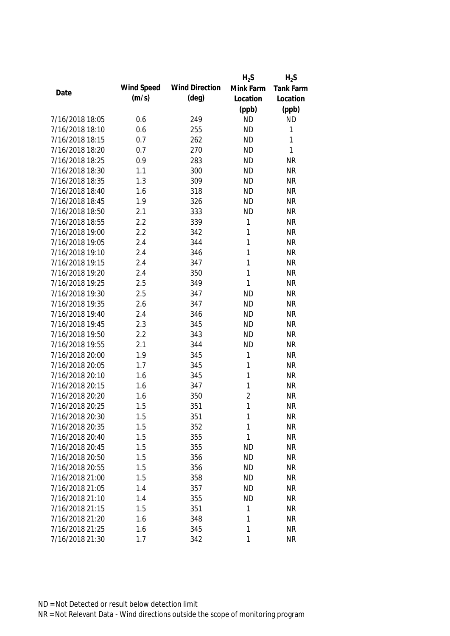|                 |            |                       | $H_2S$         | $H_2S$           |
|-----------------|------------|-----------------------|----------------|------------------|
| Date            | Wind Speed | <b>Wind Direction</b> | Mink Farm      | <b>Tank Farm</b> |
|                 | (m/s)      | $(\text{deg})$        | Location       | Location         |
|                 |            |                       | (ppb)          | (ppb)            |
| 7/16/2018 18:05 | 0.6        | 249                   | <b>ND</b>      | <b>ND</b>        |
| 7/16/2018 18:10 | 0.6        | 255                   | <b>ND</b>      | 1                |
| 7/16/2018 18:15 | 0.7        | 262                   | <b>ND</b>      | $\mathbf{1}$     |
| 7/16/2018 18:20 | 0.7        | 270                   | <b>ND</b>      | $\mathbf{1}$     |
| 7/16/2018 18:25 | 0.9        | 283                   | <b>ND</b>      | <b>NR</b>        |
| 7/16/2018 18:30 | 1.1        | 300                   | <b>ND</b>      | <b>NR</b>        |
| 7/16/2018 18:35 | 1.3        | 309                   | <b>ND</b>      | <b>NR</b>        |
| 7/16/2018 18:40 | 1.6        | 318                   | <b>ND</b>      | <b>NR</b>        |
| 7/16/2018 18:45 | 1.9        | 326                   | <b>ND</b>      | <b>NR</b>        |
| 7/16/2018 18:50 | 2.1        | 333                   | <b>ND</b>      | <b>NR</b>        |
| 7/16/2018 18:55 | 2.2        | 339                   | 1              | <b>NR</b>        |
| 7/16/2018 19:00 | 2.2        | 342                   | 1              | <b>NR</b>        |
| 7/16/2018 19:05 | 2.4        | 344                   | 1              | <b>NR</b>        |
| 7/16/2018 19:10 | 2.4        | 346                   | 1              | <b>NR</b>        |
| 7/16/2018 19:15 | 2.4        | 347                   | 1              | <b>NR</b>        |
| 7/16/2018 19:20 | 2.4        | 350                   | $\mathbf{1}$   | <b>NR</b>        |
| 7/16/2018 19:25 | 2.5        | 349                   | 1              | <b>NR</b>        |
| 7/16/2018 19:30 | 2.5        | 347                   | <b>ND</b>      | <b>NR</b>        |
| 7/16/2018 19:35 | 2.6        | 347                   | <b>ND</b>      | <b>NR</b>        |
| 7/16/2018 19:40 | 2.4        | 346                   | <b>ND</b>      | <b>NR</b>        |
| 7/16/2018 19:45 | 2.3        | 345                   | <b>ND</b>      | <b>NR</b>        |
| 7/16/2018 19:50 | 2.2        | 343                   | <b>ND</b>      | <b>NR</b>        |
| 7/16/2018 19:55 | 2.1        | 344                   | <b>ND</b>      | <b>NR</b>        |
| 7/16/2018 20:00 | 1.9        | 345                   | 1              | <b>NR</b>        |
| 7/16/2018 20:05 | 1.7        | 345                   | 1              | <b>NR</b>        |
| 7/16/2018 20:10 | 1.6        | 345                   | 1              | <b>NR</b>        |
| 7/16/2018 20:15 | 1.6        | 347                   | 1              | <b>NR</b>        |
| 7/16/2018 20:20 | 1.6        | 350                   | $\overline{2}$ | <b>NR</b>        |
| 7/16/2018 20:25 | 1.5        | 351                   | 1              | <b>NR</b>        |
| 7/16/2018 20:30 | 1.5        | 351                   | 1              | NR               |
| 7/16/2018 20:35 | 1.5        | 352                   | 1              | <b>NR</b>        |
| 7/16/2018 20:40 | 1.5        | 355                   | 1              | <b>NR</b>        |
| 7/16/2018 20:45 | 1.5        | 355                   | <b>ND</b>      | <b>NR</b>        |
| 7/16/2018 20:50 | 1.5        | 356                   | <b>ND</b>      | <b>NR</b>        |
| 7/16/2018 20:55 | 1.5        | 356                   | <b>ND</b>      | <b>NR</b>        |
| 7/16/2018 21:00 | 1.5        | 358                   | <b>ND</b>      | <b>NR</b>        |
| 7/16/2018 21:05 | 1.4        | 357                   | <b>ND</b>      | <b>NR</b>        |
| 7/16/2018 21:10 | 1.4        | 355                   | <b>ND</b>      | <b>NR</b>        |
| 7/16/2018 21:15 | 1.5        | 351                   | 1              | <b>NR</b>        |
| 7/16/2018 21:20 | 1.6        | 348                   | 1              | <b>NR</b>        |
| 7/16/2018 21:25 | 1.6        | 345                   | 1              | <b>NR</b>        |
| 7/16/2018 21:30 | 1.7        | 342                   | 1              | <b>NR</b>        |
|                 |            |                       |                |                  |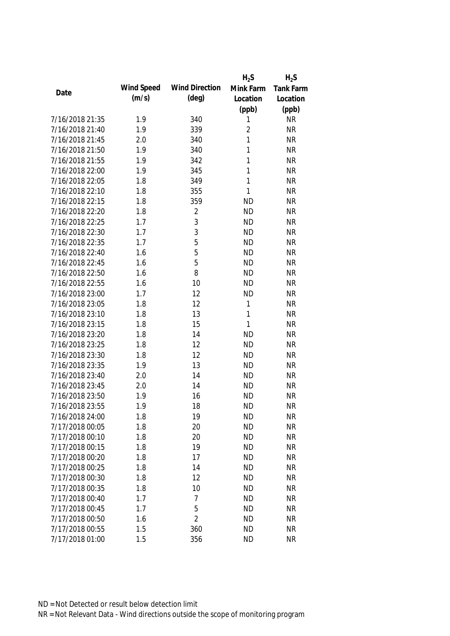|                 |            |                       | $H_2S$         | $H_2S$           |
|-----------------|------------|-----------------------|----------------|------------------|
|                 | Wind Speed | <b>Wind Direction</b> | Mink Farm      | <b>Tank Farm</b> |
| Date            | (m/s)      | $(\text{deg})$        | Location       | Location         |
|                 |            |                       | (ppb)          | (ppb)            |
| 7/16/2018 21:35 | 1.9        | 340                   | 1              | <b>NR</b>        |
| 7/16/2018 21:40 | 1.9        | 339                   | $\overline{2}$ | <b>NR</b>        |
| 7/16/2018 21:45 | 2.0        | 340                   | 1              | <b>NR</b>        |
| 7/16/2018 21:50 | 1.9        | 340                   | 1              | <b>NR</b>        |
| 7/16/2018 21:55 | 1.9        | 342                   | 1              | <b>NR</b>        |
| 7/16/2018 22:00 | 1.9        | 345                   | 1              | <b>NR</b>        |
| 7/16/2018 22:05 | 1.8        | 349                   | 1              | <b>NR</b>        |
| 7/16/2018 22:10 | 1.8        | 355                   | 1              | <b>NR</b>        |
| 7/16/2018 22:15 | 1.8        | 359                   | <b>ND</b>      | <b>NR</b>        |
| 7/16/2018 22:20 | 1.8        | $\overline{2}$        | <b>ND</b>      | <b>NR</b>        |
| 7/16/2018 22:25 | 1.7        | 3                     | <b>ND</b>      | <b>NR</b>        |
| 7/16/2018 22:30 | 1.7        | 3                     | <b>ND</b>      | <b>NR</b>        |
| 7/16/2018 22:35 | 1.7        | 5                     | <b>ND</b>      | <b>NR</b>        |
| 7/16/2018 22:40 | 1.6        | 5                     | <b>ND</b>      | <b>NR</b>        |
| 7/16/2018 22:45 | 1.6        | 5                     | <b>ND</b>      | <b>NR</b>        |
| 7/16/2018 22:50 | 1.6        | 8                     | <b>ND</b>      | <b>NR</b>        |
| 7/16/2018 22:55 | 1.6        | 10                    | <b>ND</b>      | <b>NR</b>        |
| 7/16/2018 23:00 | 1.7        | 12                    | <b>ND</b>      | <b>NR</b>        |
| 7/16/2018 23:05 | 1.8        | 12                    | 1              | <b>NR</b>        |
| 7/16/2018 23:10 | 1.8        | 13                    | 1              | <b>NR</b>        |
| 7/16/2018 23:15 | 1.8        | 15                    | 1              | <b>NR</b>        |
| 7/16/2018 23:20 | 1.8        | 14                    | <b>ND</b>      | <b>NR</b>        |
| 7/16/2018 23:25 | 1.8        | 12                    | <b>ND</b>      | <b>NR</b>        |
| 7/16/2018 23:30 | 1.8        | 12                    | <b>ND</b>      | <b>NR</b>        |
| 7/16/2018 23:35 | 1.9        | 13                    | <b>ND</b>      | <b>NR</b>        |
| 7/16/2018 23:40 | 2.0        | 14                    | <b>ND</b>      | <b>NR</b>        |
| 7/16/2018 23:45 | 2.0        | 14                    | <b>ND</b>      | <b>NR</b>        |
| 7/16/2018 23:50 | 1.9        | 16                    | <b>ND</b>      | <b>NR</b>        |
| 7/16/2018 23:55 | 1.9        | 18                    | <b>ND</b>      | <b>NR</b>        |
| 7/16/2018 24:00 | 1.8        | 19                    | <b>ND</b>      | <b>NR</b>        |
| 7/17/2018 00:05 | 1.8        | 20                    | <b>ND</b>      | <b>NR</b>        |
| 7/17/2018 00:10 | 1.8        | 20                    | <b>ND</b>      | <b>NR</b>        |
| 7/17/2018 00:15 | 1.8        | 19                    | <b>ND</b>      | <b>NR</b>        |
| 7/17/2018 00:20 | 1.8        | 17                    | <b>ND</b>      | <b>NR</b>        |
| 7/17/2018 00:25 | 1.8        | 14                    | <b>ND</b>      | <b>NR</b>        |
| 7/17/2018 00:30 | 1.8        | 12                    | <b>ND</b>      | <b>NR</b>        |
| 7/17/2018 00:35 | 1.8        | 10                    | <b>ND</b>      | <b>NR</b>        |
| 7/17/2018 00:40 | 1.7        | 7                     | <b>ND</b>      | <b>NR</b>        |
| 7/17/2018 00:45 | 1.7        | 5                     | <b>ND</b>      | <b>NR</b>        |
| 7/17/2018 00:50 | 1.6        | $\overline{2}$        | <b>ND</b>      | <b>NR</b>        |
| 7/17/2018 00:55 | 1.5        | 360                   | <b>ND</b>      | <b>NR</b>        |
| 7/17/2018 01:00 | 1.5        | 356                   | <b>ND</b>      | <b>NR</b>        |
|                 |            |                       |                |                  |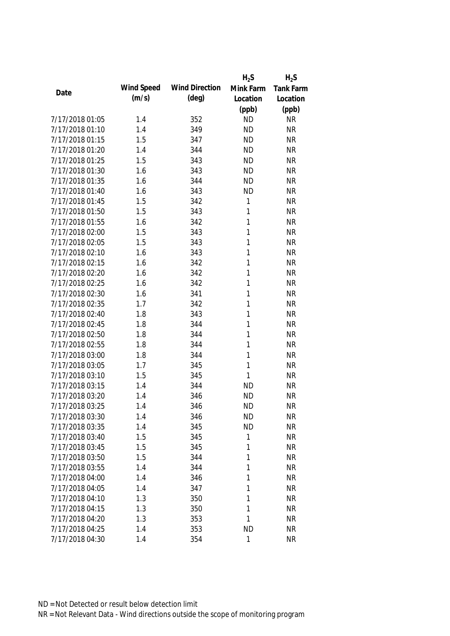|                 |            |                       | $H_2S$       | $H_2S$    |
|-----------------|------------|-----------------------|--------------|-----------|
| Date            | Wind Speed | <b>Wind Direction</b> | Mink Farm    | Tank Farm |
|                 | (m/s)      | $(\text{deg})$        | Location     | Location  |
|                 |            |                       | (ppb)        | (ppb)     |
| 7/17/2018 01:05 | 1.4        | 352                   | <b>ND</b>    | <b>NR</b> |
| 7/17/2018 01:10 | 1.4        | 349                   | <b>ND</b>    | <b>NR</b> |
| 7/17/2018 01:15 | 1.5        | 347                   | <b>ND</b>    | <b>NR</b> |
| 7/17/2018 01:20 | 1.4        | 344                   | <b>ND</b>    | <b>NR</b> |
| 7/17/2018 01:25 | 1.5        | 343                   | <b>ND</b>    | <b>NR</b> |
| 7/17/2018 01:30 | 1.6        | 343                   | <b>ND</b>    | <b>NR</b> |
| 7/17/2018 01:35 | 1.6        | 344                   | <b>ND</b>    | <b>NR</b> |
| 7/17/2018 01:40 | 1.6        | 343                   | <b>ND</b>    | <b>NR</b> |
| 7/17/2018 01:45 | 1.5        | 342                   | 1            | <b>NR</b> |
| 7/17/2018 01:50 | 1.5        | 343                   | 1            | <b>NR</b> |
| 7/17/2018 01:55 | 1.6        | 342                   | 1            | <b>NR</b> |
| 7/17/2018 02:00 | 1.5        | 343                   | 1            | <b>NR</b> |
| 7/17/2018 02:05 | 1.5        | 343                   | 1            | <b>NR</b> |
| 7/17/2018 02:10 | 1.6        | 343                   | 1            | <b>NR</b> |
| 7/17/2018 02:15 | 1.6        | 342                   | 1            | <b>NR</b> |
| 7/17/2018 02:20 | 1.6        | 342                   | 1            | <b>NR</b> |
| 7/17/2018 02:25 | 1.6        | 342                   | 1            | <b>NR</b> |
| 7/17/2018 02:30 | 1.6        | 341                   | 1            | <b>NR</b> |
| 7/17/2018 02:35 | 1.7        | 342                   | 1            | <b>NR</b> |
| 7/17/2018 02:40 | 1.8        | 343                   | 1            | <b>NR</b> |
| 7/17/2018 02:45 | 1.8        | 344                   | 1            | <b>NR</b> |
| 7/17/2018 02:50 | 1.8        | 344                   | 1            | <b>NR</b> |
| 7/17/2018 02:55 | 1.8        | 344                   | 1            | <b>NR</b> |
| 7/17/2018 03:00 | 1.8        | 344                   | $\mathbf{1}$ | <b>NR</b> |
| 7/17/2018 03:05 | 1.7        | 345                   | 1            | <b>NR</b> |
| 7/17/2018 03:10 | 1.5        | 345                   | 1            | <b>NR</b> |
| 7/17/2018 03:15 | 1.4        | 344                   | <b>ND</b>    | <b>NR</b> |
| 7/17/2018 03:20 | 1.4        | 346                   | <b>ND</b>    | <b>NR</b> |
| 7/17/2018 03:25 | 1.4        | 346                   | <b>ND</b>    | <b>NR</b> |
| 7/17/2018 03:30 | 1.4        | 346                   | <b>ND</b>    | <b>NR</b> |
| 7/17/2018 03:35 | 1.4        | 345                   | <b>ND</b>    | <b>NR</b> |
| 7/17/2018 03:40 | 1.5        | 345                   | 1            | <b>NR</b> |
| 7/17/2018 03:45 | 1.5        | 345                   | 1            | <b>NR</b> |
| 7/17/2018 03:50 | 1.5        | 344                   | 1            | <b>NR</b> |
| 7/17/2018 03:55 | 1.4        | 344                   | 1            | <b>NR</b> |
| 7/17/2018 04:00 | 1.4        | 346                   | 1            | <b>NR</b> |
| 7/17/2018 04:05 | 1.4        | 347                   | 1            | <b>NR</b> |
| 7/17/2018 04:10 | 1.3        | 350                   | 1            | <b>NR</b> |
| 7/17/2018 04:15 | 1.3        | 350                   | 1            | <b>NR</b> |
| 7/17/2018 04:20 | 1.3        | 353                   | 1            | <b>NR</b> |
| 7/17/2018 04:25 | 1.4        | 353                   | <b>ND</b>    | <b>NR</b> |
| 7/17/2018 04:30 | 1.4        | 354                   | $\mathbf{1}$ | <b>NR</b> |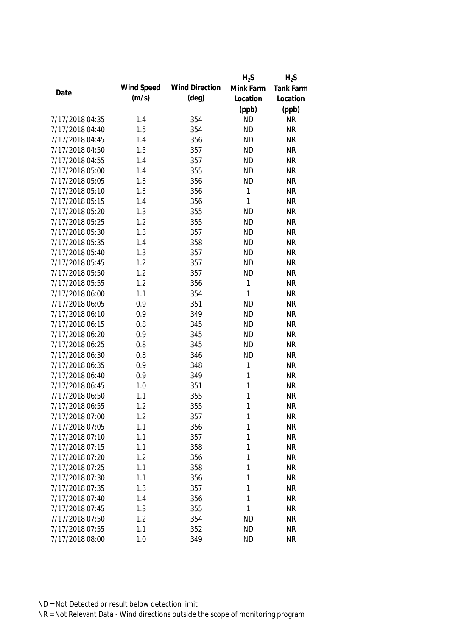|                 |            |                       | $H_2S$       | $H_2S$           |
|-----------------|------------|-----------------------|--------------|------------------|
| Date            | Wind Speed | <b>Wind Direction</b> | Mink Farm    | <b>Tank Farm</b> |
|                 | (m/s)      | $(\text{deg})$        | Location     | Location         |
|                 |            |                       | (ppb)        | (ppb)            |
| 7/17/2018 04:35 | 1.4        | 354                   | <b>ND</b>    | <b>NR</b>        |
| 7/17/2018 04:40 | 1.5        | 354                   | <b>ND</b>    | <b>NR</b>        |
| 7/17/2018 04:45 | 1.4        | 356                   | <b>ND</b>    | <b>NR</b>        |
| 7/17/2018 04:50 | 1.5        | 357                   | <b>ND</b>    | <b>NR</b>        |
| 7/17/2018 04:55 | 1.4        | 357                   | <b>ND</b>    | <b>NR</b>        |
| 7/17/2018 05:00 | 1.4        | 355                   | <b>ND</b>    | <b>NR</b>        |
| 7/17/2018 05:05 | 1.3        | 356                   | <b>ND</b>    | <b>NR</b>        |
| 7/17/2018 05:10 | 1.3        | 356                   | 1            | <b>NR</b>        |
| 7/17/2018 05:15 | 1.4        | 356                   | 1            | <b>NR</b>        |
| 7/17/2018 05:20 | 1.3        | 355                   | <b>ND</b>    | <b>NR</b>        |
| 7/17/2018 05:25 | 1.2        | 355                   | <b>ND</b>    | <b>NR</b>        |
| 7/17/2018 05:30 | 1.3        | 357                   | <b>ND</b>    | <b>NR</b>        |
| 7/17/2018 05:35 | 1.4        | 358                   | <b>ND</b>    | <b>NR</b>        |
| 7/17/2018 05:40 | 1.3        | 357                   | <b>ND</b>    | <b>NR</b>        |
| 7/17/2018 05:45 | 1.2        | 357                   | <b>ND</b>    | <b>NR</b>        |
| 7/17/2018 05:50 | 1.2        | 357                   | <b>ND</b>    | <b>NR</b>        |
| 7/17/2018 05:55 | 1.2        | 356                   | $\mathbf{1}$ | <b>NR</b>        |
| 7/17/2018 06:00 | 1.1        | 354                   | 1            | <b>NR</b>        |
| 7/17/2018 06:05 | 0.9        | 351                   | <b>ND</b>    | <b>NR</b>        |
| 7/17/2018 06:10 | 0.9        | 349                   | <b>ND</b>    | <b>NR</b>        |
| 7/17/2018 06:15 | 0.8        | 345                   | <b>ND</b>    | <b>NR</b>        |
| 7/17/2018 06:20 | 0.9        | 345                   | <b>ND</b>    | <b>NR</b>        |
| 7/17/2018 06:25 | 0.8        | 345                   | <b>ND</b>    | <b>NR</b>        |
| 7/17/2018 06:30 | 0.8        | 346                   | <b>ND</b>    | <b>NR</b>        |
| 7/17/2018 06:35 | 0.9        | 348                   | 1            | <b>NR</b>        |
| 7/17/2018 06:40 | 0.9        | 349                   | 1            | <b>NR</b>        |
| 7/17/2018 06:45 | 1.0        | 351                   | 1            | <b>NR</b>        |
| 7/17/2018 06:50 | 1.1        | 355                   | 1            | <b>NR</b>        |
| 7/17/2018 06:55 | 1.2        | 355                   | 1            | <b>NR</b>        |
| 7/17/2018 07:00 | 1.2        | 357                   | 1            | NR               |
| 7/17/2018 07:05 | 1.1        | 356                   | $\mathbf{1}$ | <b>NR</b>        |
| 7/17/2018 07:10 | 1.1        | 357                   | 1            | <b>NR</b>        |
| 7/17/2018 07:15 | 1.1        | 358                   | 1            | <b>NR</b>        |
| 7/17/2018 07:20 | 1.2        | 356                   | 1            | <b>NR</b>        |
| 7/17/2018 07:25 | 1.1        | 358                   | 1            | <b>NR</b>        |
| 7/17/2018 07:30 | 1.1        | 356                   | 1            | <b>NR</b>        |
| 7/17/2018 07:35 | 1.3        | 357                   | 1            | <b>NR</b>        |
| 7/17/2018 07:40 | 1.4        | 356                   | 1            | <b>NR</b>        |
| 7/17/2018 07:45 | 1.3        | 355                   | 1            | <b>NR</b>        |
| 7/17/2018 07:50 | 1.2        | 354                   | <b>ND</b>    | <b>NR</b>        |
| 7/17/2018 07:55 | 1.1        | 352                   | <b>ND</b>    | <b>NR</b>        |
| 7/17/2018 08:00 | 1.0        | 349                   | <b>ND</b>    | <b>NR</b>        |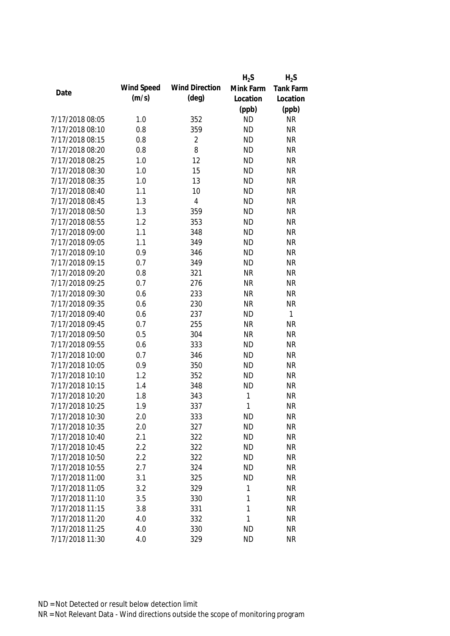|                 |            |                       | $H_2S$    | $H_2S$    |
|-----------------|------------|-----------------------|-----------|-----------|
| Date            | Wind Speed | <b>Wind Direction</b> | Mink Farm | Tank Farm |
|                 | (m/s)      | $(\text{deg})$        | Location  | Location  |
|                 |            |                       | (ppb)     | (ppb)     |
| 7/17/2018 08:05 | 1.0        | 352                   | <b>ND</b> | <b>NR</b> |
| 7/17/2018 08:10 | 0.8        | 359                   | <b>ND</b> | <b>NR</b> |
| 7/17/2018 08:15 | 0.8        | $\overline{2}$        | <b>ND</b> | <b>NR</b> |
| 7/17/2018 08:20 | 0.8        | 8                     | <b>ND</b> | <b>NR</b> |
| 7/17/2018 08:25 | 1.0        | 12                    | <b>ND</b> | <b>NR</b> |
| 7/17/2018 08:30 | 1.0        | 15                    | <b>ND</b> | <b>NR</b> |
| 7/17/2018 08:35 | 1.0        | 13                    | <b>ND</b> | <b>NR</b> |
| 7/17/2018 08:40 | 1.1        | 10                    | <b>ND</b> | <b>NR</b> |
| 7/17/2018 08:45 | 1.3        | $\overline{4}$        | <b>ND</b> | <b>NR</b> |
| 7/17/2018 08:50 | 1.3        | 359                   | <b>ND</b> | <b>NR</b> |
| 7/17/2018 08:55 | 1.2        | 353                   | <b>ND</b> | <b>NR</b> |
| 7/17/2018 09:00 | 1.1        | 348                   | <b>ND</b> | <b>NR</b> |
| 7/17/2018 09:05 | 1.1        | 349                   | <b>ND</b> | <b>NR</b> |
| 7/17/2018 09:10 | 0.9        | 346                   | <b>ND</b> | <b>NR</b> |
| 7/17/2018 09:15 | 0.7        | 349                   | <b>ND</b> | <b>NR</b> |
| 7/17/2018 09:20 | 0.8        | 321                   | <b>NR</b> | <b>NR</b> |
| 7/17/2018 09:25 | 0.7        | 276                   | <b>NR</b> | <b>NR</b> |
| 7/17/2018 09:30 | 0.6        | 233                   | <b>NR</b> | <b>NR</b> |
| 7/17/2018 09:35 | 0.6        | 230                   | <b>NR</b> | <b>NR</b> |
| 7/17/2018 09:40 | 0.6        | 237                   | <b>ND</b> | 1         |
| 7/17/2018 09:45 | 0.7        | 255                   | <b>NR</b> | <b>NR</b> |
| 7/17/2018 09:50 | 0.5        | 304                   | <b>NR</b> | <b>NR</b> |
| 7/17/2018 09:55 | 0.6        | 333                   | <b>ND</b> | <b>NR</b> |
| 7/17/2018 10:00 | 0.7        | 346                   | <b>ND</b> | <b>NR</b> |
| 7/17/2018 10:05 | 0.9        | 350                   | <b>ND</b> | <b>NR</b> |
| 7/17/2018 10:10 | 1.2        | 352                   | <b>ND</b> | <b>NR</b> |
| 7/17/2018 10:15 | 1.4        | 348                   | <b>ND</b> | <b>NR</b> |
| 7/17/2018 10:20 | 1.8        | 343                   | 1         | <b>NR</b> |
| 7/17/2018 10:25 | 1.9        | 337                   | 1         | <b>NR</b> |
| 7/17/2018 10:30 | 2.0        | 333                   | <b>ND</b> | <b>NR</b> |
| 7/17/2018 10:35 | 2.0        | 327                   | <b>ND</b> | <b>NR</b> |
| 7/17/2018 10:40 | 2.1        | 322                   | <b>ND</b> | <b>NR</b> |
| 7/17/2018 10:45 | 2.2        | 322                   | <b>ND</b> | <b>NR</b> |
| 7/17/2018 10:50 | 2.2        | 322                   | <b>ND</b> | <b>NR</b> |
| 7/17/2018 10:55 | 2.7        | 324                   | <b>ND</b> | <b>NR</b> |
| 7/17/2018 11:00 | 3.1        | 325                   | <b>ND</b> | <b>NR</b> |
| 7/17/2018 11:05 | 3.2        | 329                   | 1         | <b>NR</b> |
| 7/17/2018 11:10 | 3.5        | 330                   | 1         | <b>NR</b> |
| 7/17/2018 11:15 | 3.8        | 331                   | 1         | <b>NR</b> |
| 7/17/2018 11:20 | 4.0        | 332                   | 1         | <b>NR</b> |
| 7/17/2018 11:25 | 4.0        | 330                   | <b>ND</b> | <b>NR</b> |
| 7/17/2018 11:30 | 4.0        | 329                   | <b>ND</b> | <b>NR</b> |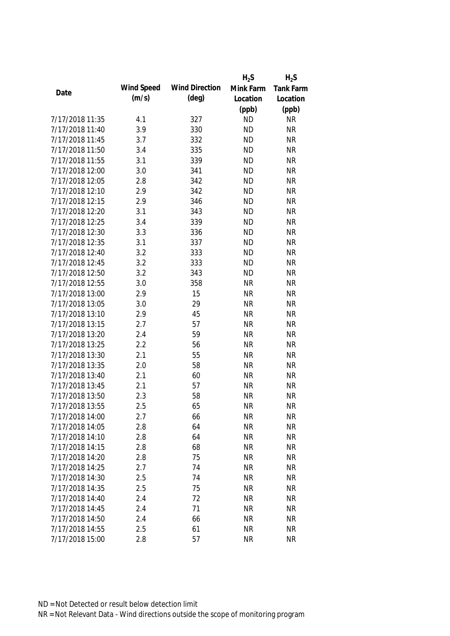|                 |            |                       | $H_2S$    | $H_2S$           |
|-----------------|------------|-----------------------|-----------|------------------|
|                 | Wind Speed | <b>Wind Direction</b> | Mink Farm | <b>Tank Farm</b> |
| Date            | (m/s)      | $(\text{deg})$        | Location  | Location         |
|                 |            |                       | (ppb)     | (ppb)            |
| 7/17/2018 11:35 | 4.1        | 327                   | <b>ND</b> | <b>NR</b>        |
| 7/17/2018 11:40 | 3.9        | 330                   | <b>ND</b> | <b>NR</b>        |
| 7/17/2018 11:45 | 3.7        | 332                   | <b>ND</b> | <b>NR</b>        |
| 7/17/2018 11:50 | 3.4        | 335                   | <b>ND</b> | <b>NR</b>        |
| 7/17/2018 11:55 | 3.1        | 339                   | <b>ND</b> | <b>NR</b>        |
| 7/17/2018 12:00 | 3.0        | 341                   | <b>ND</b> | <b>NR</b>        |
| 7/17/2018 12:05 | 2.8        | 342                   | <b>ND</b> | <b>NR</b>        |
| 7/17/2018 12:10 | 2.9        | 342                   | <b>ND</b> | <b>NR</b>        |
| 7/17/2018 12:15 | 2.9        | 346                   | <b>ND</b> | <b>NR</b>        |
| 7/17/2018 12:20 | 3.1        | 343                   | <b>ND</b> | <b>NR</b>        |
| 7/17/2018 12:25 | 3.4        | 339                   | <b>ND</b> | <b>NR</b>        |
| 7/17/2018 12:30 | 3.3        | 336                   | <b>ND</b> | <b>NR</b>        |
| 7/17/2018 12:35 | 3.1        | 337                   | <b>ND</b> | <b>NR</b>        |
| 7/17/2018 12:40 | 3.2        | 333                   | <b>ND</b> | <b>NR</b>        |
| 7/17/2018 12:45 | 3.2        | 333                   | <b>ND</b> | <b>NR</b>        |
| 7/17/2018 12:50 | 3.2        | 343                   | <b>ND</b> | <b>NR</b>        |
| 7/17/2018 12:55 | 3.0        | 358                   | <b>NR</b> | <b>NR</b>        |
| 7/17/2018 13:00 | 2.9        | 15                    | <b>NR</b> | <b>NR</b>        |
| 7/17/2018 13:05 | 3.0        | 29                    | <b>NR</b> | <b>NR</b>        |
| 7/17/2018 13:10 | 2.9        | 45                    | <b>NR</b> | <b>NR</b>        |
| 7/17/2018 13:15 | 2.7        | 57                    | <b>NR</b> | <b>NR</b>        |
| 7/17/2018 13:20 | 2.4        | 59                    | <b>NR</b> | <b>NR</b>        |
| 7/17/2018 13:25 | 2.2        | 56                    | <b>NR</b> | <b>NR</b>        |
| 7/17/2018 13:30 | 2.1        | 55                    | <b>NR</b> | <b>NR</b>        |
| 7/17/2018 13:35 | 2.0        | 58                    | <b>NR</b> | <b>NR</b>        |
| 7/17/2018 13:40 | 2.1        | 60                    | <b>NR</b> | <b>NR</b>        |
| 7/17/2018 13:45 | 2.1        | 57                    | <b>NR</b> | <b>NR</b>        |
| 7/17/2018 13:50 | 2.3        | 58                    | <b>NR</b> | <b>NR</b>        |
| 7/17/2018 13:55 | 2.5        | 65                    | <b>NR</b> | <b>NR</b>        |
| 7/17/2018 14:00 | 2.7        | 66                    | <b>NR</b> | NR               |
| 7/17/2018 14:05 | 2.8        | 64                    | <b>NR</b> | <b>NR</b>        |
| 7/17/2018 14:10 | 2.8        | 64                    | <b>NR</b> | <b>NR</b>        |
| 7/17/2018 14:15 | 2.8        | 68                    | <b>NR</b> | <b>NR</b>        |
| 7/17/2018 14:20 | 2.8        | 75                    | <b>NR</b> | <b>NR</b>        |
| 7/17/2018 14:25 | 2.7        | 74                    | <b>NR</b> | <b>NR</b>        |
| 7/17/2018 14:30 | 2.5        | 74                    | <b>NR</b> | <b>NR</b>        |
| 7/17/2018 14:35 | 2.5        | 75                    | <b>NR</b> | <b>NR</b>        |
| 7/17/2018 14:40 | 2.4        | 72                    | <b>NR</b> | <b>NR</b>        |
| 7/17/2018 14:45 | 2.4        | 71                    | <b>NR</b> | <b>NR</b>        |
| 7/17/2018 14:50 | 2.4        | 66                    | <b>NR</b> | <b>NR</b>        |
| 7/17/2018 14:55 | 2.5        | 61                    | <b>NR</b> | <b>NR</b>        |
| 7/17/2018 15:00 | 2.8        | 57                    | <b>NR</b> | <b>NR</b>        |
|                 |            |                       |           |                  |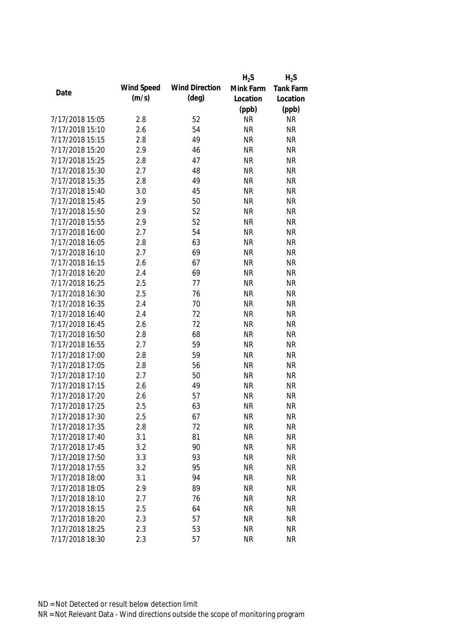|                 |            |                       | $H_2S$    | $H_2S$           |
|-----------------|------------|-----------------------|-----------|------------------|
|                 | Wind Speed | <b>Wind Direction</b> | Mink Farm | <b>Tank Farm</b> |
| Date            | (m/s)      | $(\text{deg})$        | Location  | Location         |
|                 |            |                       | (ppb)     | (ppb)            |
| 7/17/2018 15:05 | 2.8        | 52                    | <b>NR</b> | <b>NR</b>        |
| 7/17/2018 15:10 | 2.6        | 54                    | <b>NR</b> | <b>NR</b>        |
| 7/17/2018 15:15 | 2.8        | 49                    | <b>NR</b> | <b>NR</b>        |
| 7/17/2018 15:20 | 2.9        | 46                    | <b>NR</b> | <b>NR</b>        |
| 7/17/2018 15:25 | 2.8        | 47                    | <b>NR</b> | <b>NR</b>        |
| 7/17/2018 15:30 | 2.7        | 48                    | <b>NR</b> | <b>NR</b>        |
| 7/17/2018 15:35 | 2.8        | 49                    | <b>NR</b> | <b>NR</b>        |
| 7/17/2018 15:40 | 3.0        | 45                    | <b>NR</b> | <b>NR</b>        |
| 7/17/2018 15:45 | 2.9        | 50                    | <b>NR</b> | <b>NR</b>        |
| 7/17/2018 15:50 | 2.9        | 52                    | <b>NR</b> | <b>NR</b>        |
| 7/17/2018 15:55 | 2.9        | 52                    | <b>NR</b> | <b>NR</b>        |
| 7/17/2018 16:00 | 2.7        | 54                    | <b>NR</b> | <b>NR</b>        |
| 7/17/2018 16:05 | 2.8        | 63                    | <b>NR</b> | <b>NR</b>        |
| 7/17/2018 16:10 | 2.7        | 69                    | <b>NR</b> | <b>NR</b>        |
| 7/17/2018 16:15 | 2.6        | 67                    | <b>NR</b> | <b>NR</b>        |
| 7/17/2018 16:20 | 2.4        | 69                    | <b>NR</b> | <b>NR</b>        |
| 7/17/2018 16:25 | 2.5        | 77                    | <b>NR</b> | <b>NR</b>        |
| 7/17/2018 16:30 | 2.5        | 76                    | <b>NR</b> | <b>NR</b>        |
| 7/17/2018 16:35 | 2.4        | 70                    | <b>NR</b> | <b>NR</b>        |
| 7/17/2018 16:40 | 2.4        | 72                    | <b>NR</b> | <b>NR</b>        |
| 7/17/2018 16:45 | 2.6        | 72                    | <b>NR</b> | <b>NR</b>        |
| 7/17/2018 16:50 | 2.8        | 68                    | <b>NR</b> | <b>NR</b>        |
| 7/17/2018 16:55 | 2.7        | 59                    | <b>NR</b> | <b>NR</b>        |
| 7/17/2018 17:00 | 2.8        | 59                    | <b>NR</b> | <b>NR</b>        |
| 7/17/2018 17:05 | 2.8        | 56                    | <b>NR</b> | <b>NR</b>        |
| 7/17/2018 17:10 | 2.7        | 50                    | <b>NR</b> | <b>NR</b>        |
| 7/17/2018 17:15 | 2.6        | 49                    | <b>NR</b> | <b>NR</b>        |
| 7/17/2018 17:20 | 2.6        | 57                    | <b>NR</b> | <b>NR</b>        |
| 7/17/2018 17:25 | 2.5        | 63                    | <b>NR</b> | <b>NR</b>        |
| 7/17/2018 17:30 | 2.5        | 67                    | <b>NR</b> | NR               |
| 7/17/2018 17:35 | 2.8        | 72                    | <b>NR</b> | <b>NR</b>        |
| 7/17/2018 17:40 | 3.1        | 81                    | <b>NR</b> | <b>NR</b>        |
| 7/17/2018 17:45 | 3.2        | 90                    | <b>NR</b> | <b>NR</b>        |
| 7/17/2018 17:50 | 3.3        | 93                    | <b>NR</b> | <b>NR</b>        |
| 7/17/2018 17:55 | 3.2        | 95                    | <b>NR</b> | <b>NR</b>        |
| 7/17/2018 18:00 | 3.1        | 94                    | <b>NR</b> | <b>NR</b>        |
| 7/17/2018 18:05 | 2.9        | 89                    | <b>NR</b> | <b>NR</b>        |
| 7/17/2018 18:10 | 2.7        | 76                    | <b>NR</b> | <b>NR</b>        |
| 7/17/2018 18:15 | 2.5        | 64                    | <b>NR</b> | <b>NR</b>        |
| 7/17/2018 18:20 | 2.3        | 57                    | <b>NR</b> | <b>NR</b>        |
| 7/17/2018 18:25 | 2.3        | 53                    | <b>NR</b> | <b>NR</b>        |
| 7/17/2018 18:30 | 2.3        | 57                    | <b>NR</b> | <b>NR</b>        |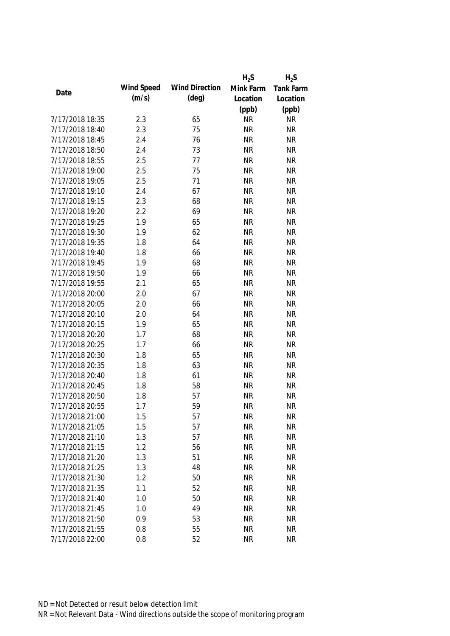|                 |            |                       | $H_2S$    | $H_2S$           |
|-----------------|------------|-----------------------|-----------|------------------|
|                 | Wind Speed | <b>Wind Direction</b> | Mink Farm | <b>Tank Farm</b> |
| Date            | (m/s)      | $(\text{deg})$        | Location  | Location         |
|                 |            |                       | (ppb)     | (ppb)            |
| 7/17/2018 18:35 | 2.3        | 65                    | <b>NR</b> | <b>NR</b>        |
| 7/17/2018 18:40 | 2.3        | 75                    | <b>NR</b> | <b>NR</b>        |
| 7/17/2018 18:45 | 2.4        | 76                    | <b>NR</b> | <b>NR</b>        |
| 7/17/2018 18:50 | 2.4        | 73                    | <b>NR</b> | <b>NR</b>        |
| 7/17/2018 18:55 | 2.5        | 77                    | <b>NR</b> | <b>NR</b>        |
| 7/17/2018 19:00 | 2.5        | 75                    | <b>NR</b> | <b>NR</b>        |
| 7/17/2018 19:05 | 2.5        | 71                    | <b>NR</b> | <b>NR</b>        |
| 7/17/2018 19:10 | 2.4        | 67                    | <b>NR</b> | <b>NR</b>        |
| 7/17/2018 19:15 | 2.3        | 68                    | <b>NR</b> | <b>NR</b>        |
| 7/17/2018 19:20 | 2.2        | 69                    | <b>NR</b> | <b>NR</b>        |
| 7/17/2018 19:25 | 1.9        | 65                    | <b>NR</b> | <b>NR</b>        |
| 7/17/2018 19:30 | 1.9        | 62                    | <b>NR</b> | <b>NR</b>        |
| 7/17/2018 19:35 | 1.8        | 64                    | <b>NR</b> | <b>NR</b>        |
| 7/17/2018 19:40 | 1.8        | 66                    | <b>NR</b> | <b>NR</b>        |
| 7/17/2018 19:45 | 1.9        | 68                    | <b>NR</b> | <b>NR</b>        |
| 7/17/2018 19:50 | 1.9        | 66                    | <b>NR</b> | <b>NR</b>        |
| 7/17/2018 19:55 | 2.1        | 65                    | <b>NR</b> | <b>NR</b>        |
| 7/17/2018 20:00 | 2.0        | 67                    | <b>NR</b> | <b>NR</b>        |
| 7/17/2018 20:05 | 2.0        | 66                    | <b>NR</b> | <b>NR</b>        |
| 7/17/2018 20:10 | 2.0        | 64                    | <b>NR</b> | <b>NR</b>        |
| 7/17/2018 20:15 | 1.9        | 65                    | <b>NR</b> | <b>NR</b>        |
| 7/17/2018 20:20 | 1.7        | 68                    | <b>NR</b> | <b>NR</b>        |
| 7/17/2018 20:25 | 1.7        | 66                    | <b>NR</b> | <b>NR</b>        |
| 7/17/2018 20:30 | 1.8        | 65                    | <b>NR</b> | <b>NR</b>        |
| 7/17/2018 20:35 | 1.8        | 63                    | <b>NR</b> | <b>NR</b>        |
| 7/17/2018 20:40 | 1.8        | 61                    | <b>NR</b> | <b>NR</b>        |
| 7/17/2018 20:45 | 1.8        | 58                    | <b>NR</b> | <b>NR</b>        |
| 7/17/2018 20:50 | 1.8        | 57                    | <b>NR</b> | <b>NR</b>        |
| 7/17/2018 20:55 | 1.7        | 59                    | <b>NR</b> | <b>NR</b>        |
| 7/17/2018 21:00 | 1.5        | 57                    | <b>NR</b> | <b>NR</b>        |
| 7/17/2018 21:05 | 1.5        | 57                    | <b>NR</b> | <b>NR</b>        |
| 7/17/2018 21:10 | 1.3        | 57                    | <b>NR</b> | <b>NR</b>        |
| 7/17/2018 21:15 | 1.2        | 56                    | <b>NR</b> | <b>NR</b>        |
| 7/17/2018 21:20 | 1.3        | 51                    | <b>NR</b> | <b>NR</b>        |
| 7/17/2018 21:25 | 1.3        | 48                    | <b>NR</b> | <b>NR</b>        |
|                 |            |                       |           |                  |
| 7/17/2018 21:30 | 1.2        | 50                    | <b>NR</b> | <b>NR</b>        |
| 7/17/2018 21:35 | 1.1        | 52                    | <b>NR</b> | <b>NR</b>        |
| 7/17/2018 21:40 | 1.0        | 50                    | <b>NR</b> | <b>NR</b>        |
| 7/17/2018 21:45 | 1.0        | 49                    | <b>NR</b> | <b>NR</b>        |
| 7/17/2018 21:50 | 0.9        | 53                    | <b>NR</b> | <b>NR</b>        |
| 7/17/2018 21:55 | 0.8        | 55                    | <b>NR</b> | <b>NR</b>        |
| 7/17/2018 22:00 | 0.8        | 52                    | <b>NR</b> | <b>NR</b>        |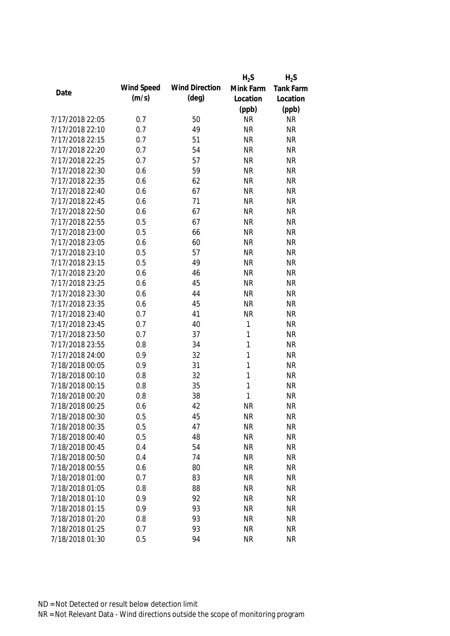|                 |            |                       | $H_2S$    | $H_2S$    |
|-----------------|------------|-----------------------|-----------|-----------|
|                 | Wind Speed | <b>Wind Direction</b> | Mink Farm | Tank Farm |
| Date            | (m/s)      | $(\text{deg})$        | Location  | Location  |
|                 |            |                       | (ppb)     | (ppb)     |
| 7/17/2018 22:05 | 0.7        | 50                    | <b>NR</b> | <b>NR</b> |
| 7/17/2018 22:10 | 0.7        | 49                    | <b>NR</b> | <b>NR</b> |
| 7/17/2018 22:15 | 0.7        | 51                    | <b>NR</b> | <b>NR</b> |
| 7/17/2018 22:20 | 0.7        | 54                    | <b>NR</b> | <b>NR</b> |
| 7/17/2018 22:25 | 0.7        | 57                    | <b>NR</b> | <b>NR</b> |
| 7/17/2018 22:30 | 0.6        | 59                    | <b>NR</b> | <b>NR</b> |
| 7/17/2018 22:35 | 0.6        | 62                    | <b>NR</b> | <b>NR</b> |
| 7/17/2018 22:40 | 0.6        | 67                    | <b>NR</b> | <b>NR</b> |
| 7/17/2018 22:45 | 0.6        | 71                    | <b>NR</b> | <b>NR</b> |
| 7/17/2018 22:50 | 0.6        | 67                    | <b>NR</b> | <b>NR</b> |
| 7/17/2018 22:55 | 0.5        | 67                    | <b>NR</b> | <b>NR</b> |
| 7/17/2018 23:00 | 0.5        | 66                    | <b>NR</b> | <b>NR</b> |
| 7/17/2018 23:05 | 0.6        | 60                    | <b>NR</b> | <b>NR</b> |
| 7/17/2018 23:10 | 0.5        | 57                    | <b>NR</b> | <b>NR</b> |
| 7/17/2018 23:15 | 0.5        | 49                    | <b>NR</b> | <b>NR</b> |
| 7/17/2018 23:20 | 0.6        | 46                    | <b>NR</b> | <b>NR</b> |
| 7/17/2018 23:25 | 0.6        | 45                    | <b>NR</b> | <b>NR</b> |
| 7/17/2018 23:30 | 0.6        | 44                    | <b>NR</b> | <b>NR</b> |
| 7/17/2018 23:35 | 0.6        | 45                    | <b>NR</b> | <b>NR</b> |
| 7/17/2018 23:40 | 0.7        | 41                    | <b>NR</b> | <b>NR</b> |
| 7/17/2018 23:45 | 0.7        | 40                    | 1         | <b>NR</b> |
| 7/17/2018 23:50 | 0.7        | 37                    | 1         | <b>NR</b> |
| 7/17/2018 23:55 | 0.8        | 34                    | 1         | <b>NR</b> |
| 7/17/2018 24:00 | 0.9        | 32                    | 1         | <b>NR</b> |
| 7/18/2018 00:05 | 0.9        | 31                    | 1         | <b>NR</b> |
| 7/18/2018 00:10 | 0.8        | 32                    | 1         | <b>NR</b> |
| 7/18/2018 00:15 | 0.8        | 35                    | 1         | <b>NR</b> |
| 7/18/2018 00:20 | 0.8        | 38                    | 1         | <b>NR</b> |
| 7/18/2018 00:25 | 0.6        | 42                    | <b>NR</b> | <b>NR</b> |
| 7/18/2018 00:30 | 0.5        | 45                    | <b>NR</b> | <b>NR</b> |
| 7/18/2018 00:35 | 0.5        | 47                    | <b>NR</b> | <b>NR</b> |
| 7/18/2018 00:40 | 0.5        | 48                    | <b>NR</b> | <b>NR</b> |
| 7/18/2018 00:45 | 0.4        | 54                    | <b>NR</b> | <b>NR</b> |
| 7/18/2018 00:50 | 0.4        | 74                    | <b>NR</b> | <b>NR</b> |
| 7/18/2018 00:55 | 0.6        | 80                    | <b>NR</b> | <b>NR</b> |
| 7/18/2018 01:00 | 0.7        | 83                    | <b>NR</b> | <b>NR</b> |
| 7/18/2018 01:05 | 0.8        | 88                    | <b>NR</b> | <b>NR</b> |
| 7/18/2018 01:10 | 0.9        | 92                    | <b>NR</b> | <b>NR</b> |
| 7/18/2018 01:15 | 0.9        | 93                    | <b>NR</b> | <b>NR</b> |
| 7/18/2018 01:20 | 0.8        | 93                    | <b>NR</b> | <b>NR</b> |
| 7/18/2018 01:25 | 0.7        | 93                    | <b>NR</b> | <b>NR</b> |
| 7/18/2018 01:30 | 0.5        | 94                    | <b>NR</b> | <b>NR</b> |
|                 |            |                       |           |           |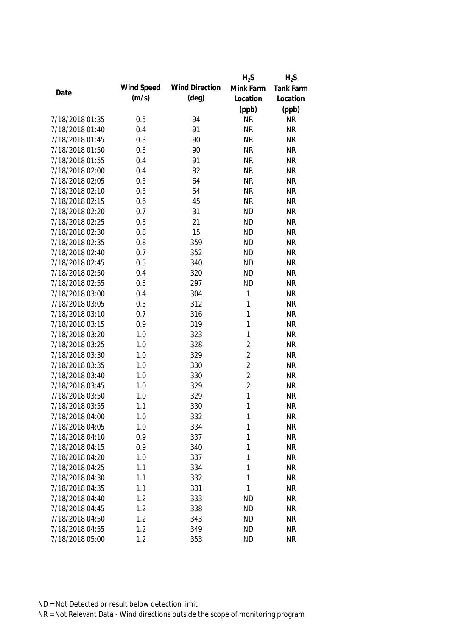|                 |            |                       | $H_2S$         | $H_2S$    |
|-----------------|------------|-----------------------|----------------|-----------|
|                 | Wind Speed | <b>Wind Direction</b> | Mink Farm      | Tank Farm |
| Date            | (m/s)      | $(\text{deg})$        | Location       | Location  |
|                 |            |                       | (ppb)          | (ppb)     |
| 7/18/2018 01:35 | 0.5        | 94                    | <b>NR</b>      | <b>NR</b> |
| 7/18/2018 01:40 | 0.4        | 91                    | <b>NR</b>      | <b>NR</b> |
| 7/18/2018 01:45 | 0.3        | 90                    | <b>NR</b>      | <b>NR</b> |
| 7/18/2018 01:50 | 0.3        | 90                    | <b>NR</b>      | <b>NR</b> |
| 7/18/2018 01:55 | 0.4        | 91                    | <b>NR</b>      | <b>NR</b> |
| 7/18/2018 02:00 | 0.4        | 82                    | <b>NR</b>      | <b>NR</b> |
| 7/18/2018 02:05 | 0.5        | 64                    | <b>NR</b>      | <b>NR</b> |
| 7/18/2018 02:10 | 0.5        | 54                    | <b>NR</b>      | <b>NR</b> |
| 7/18/2018 02:15 | 0.6        | 45                    | <b>NR</b>      | <b>NR</b> |
| 7/18/2018 02:20 | 0.7        | 31                    | <b>ND</b>      | <b>NR</b> |
| 7/18/2018 02:25 | 0.8        | 21                    | <b>ND</b>      | <b>NR</b> |
| 7/18/2018 02:30 | 0.8        | 15                    | <b>ND</b>      | <b>NR</b> |
| 7/18/2018 02:35 | 0.8        | 359                   | <b>ND</b>      | <b>NR</b> |
| 7/18/2018 02:40 | 0.7        | 352                   | <b>ND</b>      | <b>NR</b> |
| 7/18/2018 02:45 | 0.5        | 340                   | <b>ND</b>      | <b>NR</b> |
| 7/18/2018 02:50 | 0.4        | 320                   | <b>ND</b>      | <b>NR</b> |
| 7/18/2018 02:55 | 0.3        | 297                   | <b>ND</b>      | <b>NR</b> |
| 7/18/2018 03:00 | 0.4        | 304                   | 1              | <b>NR</b> |
| 7/18/2018 03:05 | 0.5        | 312                   | 1              | <b>NR</b> |
| 7/18/2018 03:10 | 0.7        | 316                   | $\mathbf{1}$   | <b>NR</b> |
| 7/18/2018 03:15 | 0.9        | 319                   | 1              | <b>NR</b> |
| 7/18/2018 03:20 | 1.0        | 323                   | 1              | <b>NR</b> |
| 7/18/2018 03:25 | 1.0        | 328                   | $\overline{2}$ | <b>NR</b> |
| 7/18/2018 03:30 | 1.0        | 329                   | $\overline{2}$ | <b>NR</b> |
| 7/18/2018 03:35 | 1.0        | 330                   | $\overline{2}$ | <b>NR</b> |
| 7/18/2018 03:40 | 1.0        | 330                   | $\overline{2}$ | <b>NR</b> |
| 7/18/2018 03:45 | 1.0        | 329                   | $\overline{2}$ | <b>NR</b> |
| 7/18/2018 03:50 | 1.0        | 329                   | 1              | <b>NR</b> |
| 7/18/2018 03:55 | 1.1        | 330                   | 1              | <b>NR</b> |
| 7/18/2018 04:00 | 1.0        | 332                   | 1              | <b>NR</b> |
| 7/18/2018 04:05 | 1.0        | 334                   | 1              | <b>NR</b> |
| 7/18/2018 04:10 | 0.9        | 337                   | 1              | <b>NR</b> |
| 7/18/2018 04:15 | 0.9        | 340                   | 1              | <b>NR</b> |
| 7/18/2018 04:20 | 1.0        | 337                   | 1              | <b>NR</b> |
| 7/18/2018 04:25 | 1.1        | 334                   | 1              | <b>NR</b> |
| 7/18/2018 04:30 | 1.1        | 332                   | 1              | <b>NR</b> |
| 7/18/2018 04:35 | 1.1        | 331                   | 1              | <b>NR</b> |
| 7/18/2018 04:40 | 1.2        | 333                   | <b>ND</b>      | <b>NR</b> |
| 7/18/2018 04:45 | 1.2        | 338                   | <b>ND</b>      | <b>NR</b> |
| 7/18/2018 04:50 | 1.2        | 343                   | <b>ND</b>      | <b>NR</b> |
| 7/18/2018 04:55 | 1.2        | 349                   | <b>ND</b>      | <b>NR</b> |
| 7/18/2018 05:00 | 1.2        | 353                   | <b>ND</b>      | <b>NR</b> |
|                 |            |                       |                |           |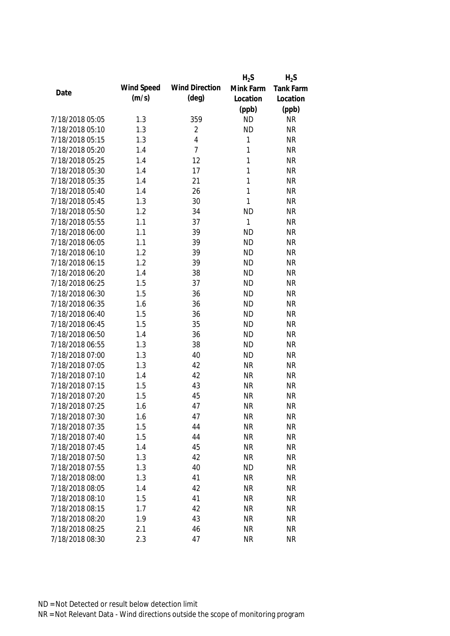|                 |            |                       | $H_2S$       | $H_2S$    |
|-----------------|------------|-----------------------|--------------|-----------|
|                 | Wind Speed | <b>Wind Direction</b> | Mink Farm    | Tank Farm |
| Date            | (m/s)      | $(\text{deg})$        | Location     | Location  |
|                 |            |                       | (ppb)        | (ppb)     |
| 7/18/2018 05:05 | 1.3        | 359                   | <b>ND</b>    | <b>NR</b> |
| 7/18/2018 05:10 | 1.3        | $\overline{2}$        | <b>ND</b>    | <b>NR</b> |
| 7/18/2018 05:15 | 1.3        | $\overline{4}$        | 1            | <b>NR</b> |
| 7/18/2018 05:20 | 1.4        | $\overline{7}$        | 1            | <b>NR</b> |
| 7/18/2018 05:25 | 1.4        | 12                    | 1            | <b>NR</b> |
| 7/18/2018 05:30 | 1.4        | 17                    | 1            | <b>NR</b> |
| 7/18/2018 05:35 | 1.4        | 21                    | 1            | <b>NR</b> |
| 7/18/2018 05:40 | 1.4        | 26                    | 1            | <b>NR</b> |
| 7/18/2018 05:45 | 1.3        | 30                    | $\mathbf{1}$ | <b>NR</b> |
| 7/18/2018 05:50 | 1.2        | 34                    | <b>ND</b>    | <b>NR</b> |
| 7/18/2018 05:55 | 1.1        | 37                    | $\mathbf{1}$ | <b>NR</b> |
| 7/18/2018 06:00 | 1.1        | 39                    | <b>ND</b>    | <b>NR</b> |
| 7/18/2018 06:05 | 1.1        | 39                    | <b>ND</b>    | <b>NR</b> |
| 7/18/2018 06:10 | 1.2        | 39                    | <b>ND</b>    | <b>NR</b> |
| 7/18/2018 06:15 | 1.2        | 39                    | <b>ND</b>    | <b>NR</b> |
| 7/18/2018 06:20 | 1.4        | 38                    | <b>ND</b>    | <b>NR</b> |
| 7/18/2018 06:25 | 1.5        | 37                    | <b>ND</b>    | <b>NR</b> |
| 7/18/2018 06:30 | 1.5        | 36                    | <b>ND</b>    | <b>NR</b> |
| 7/18/2018 06:35 | 1.6        | 36                    | <b>ND</b>    | <b>NR</b> |
| 7/18/2018 06:40 | 1.5        | 36                    | <b>ND</b>    | <b>NR</b> |
| 7/18/2018 06:45 | 1.5        | 35                    | <b>ND</b>    | <b>NR</b> |
| 7/18/2018 06:50 | 1.4        | 36                    | <b>ND</b>    | <b>NR</b> |
| 7/18/2018 06:55 | 1.3        | 38                    | <b>ND</b>    | <b>NR</b> |
| 7/18/2018 07:00 | 1.3        | 40                    | <b>ND</b>    | <b>NR</b> |
| 7/18/2018 07:05 | 1.3        | 42                    | <b>NR</b>    | <b>NR</b> |
| 7/18/2018 07:10 | 1.4        | 42                    | <b>NR</b>    | <b>NR</b> |
| 7/18/2018 07:15 | 1.5        | 43                    | <b>NR</b>    | <b>NR</b> |
| 7/18/2018 07:20 | 1.5        | 45                    | <b>NR</b>    | <b>NR</b> |
| 7/18/2018 07:25 | 1.6        | 47                    | <b>NR</b>    | <b>NR</b> |
| 7/18/2018 07:30 | 1.6        | 47                    | <b>NR</b>    | <b>NR</b> |
| 7/18/2018 07:35 | 1.5        | 44                    | <b>NR</b>    | <b>NR</b> |
| 7/18/2018 07:40 | 1.5        | 44                    | <b>NR</b>    | <b>NR</b> |
| 7/18/2018 07:45 | 1.4        | 45                    | <b>NR</b>    | <b>NR</b> |
| 7/18/2018 07:50 | 1.3        | 42                    | <b>NR</b>    | <b>NR</b> |
| 7/18/2018 07:55 | 1.3        | 40                    | <b>ND</b>    | <b>NR</b> |
| 7/18/2018 08:00 | 1.3        | 41                    | <b>NR</b>    | <b>NR</b> |
| 7/18/2018 08:05 | 1.4        | 42                    | <b>NR</b>    | <b>NR</b> |
| 7/18/2018 08:10 | 1.5        | 41                    | <b>NR</b>    | <b>NR</b> |
| 7/18/2018 08:15 | 1.7        | 42                    | <b>NR</b>    | <b>NR</b> |
| 7/18/2018 08:20 | 1.9        | 43                    | <b>NR</b>    | <b>NR</b> |
| 7/18/2018 08:25 | 2.1        | 46                    | <b>NR</b>    | <b>NR</b> |
| 7/18/2018 08:30 | 2.3        | 47                    | <b>NR</b>    | <b>NR</b> |
|                 |            |                       |              |           |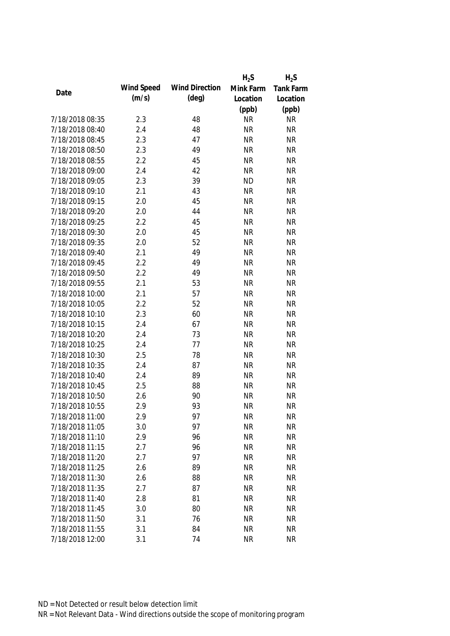|                 |            |                       | $H_2S$    | $H_2S$    |
|-----------------|------------|-----------------------|-----------|-----------|
|                 | Wind Speed | <b>Wind Direction</b> | Mink Farm | Tank Farm |
| Date            | (m/s)      | $(\text{deg})$        | Location  | Location  |
|                 |            |                       | (ppb)     | (ppb)     |
| 7/18/2018 08:35 | 2.3        | 48                    | <b>NR</b> | <b>NR</b> |
| 7/18/2018 08:40 | 2.4        | 48                    | <b>NR</b> | <b>NR</b> |
| 7/18/2018 08:45 | 2.3        | 47                    | <b>NR</b> | <b>NR</b> |
| 7/18/2018 08:50 | 2.3        | 49                    | <b>NR</b> | <b>NR</b> |
| 7/18/2018 08:55 | 2.2        | 45                    | <b>NR</b> | <b>NR</b> |
| 7/18/2018 09:00 | 2.4        | 42                    | <b>NR</b> | <b>NR</b> |
| 7/18/2018 09:05 | 2.3        | 39                    | <b>ND</b> | <b>NR</b> |
| 7/18/2018 09:10 | 2.1        | 43                    | <b>NR</b> | <b>NR</b> |
| 7/18/2018 09:15 | 2.0        | 45                    | <b>NR</b> | <b>NR</b> |
| 7/18/2018 09:20 | 2.0        | 44                    | <b>NR</b> | <b>NR</b> |
| 7/18/2018 09:25 | 2.2        | 45                    | <b>NR</b> | <b>NR</b> |
| 7/18/2018 09:30 | 2.0        | 45                    | <b>NR</b> | <b>NR</b> |
| 7/18/2018 09:35 | 2.0        | 52                    | <b>NR</b> | <b>NR</b> |
| 7/18/2018 09:40 | 2.1        | 49                    | <b>NR</b> | <b>NR</b> |
| 7/18/2018 09:45 | 2.2        | 49                    | <b>NR</b> | <b>NR</b> |
| 7/18/2018 09:50 | 2.2        | 49                    | <b>NR</b> | <b>NR</b> |
| 7/18/2018 09:55 | 2.1        | 53                    | <b>NR</b> | <b>NR</b> |
| 7/18/2018 10:00 | 2.1        | 57                    | <b>NR</b> | <b>NR</b> |
| 7/18/2018 10:05 | 2.2        | 52                    | <b>NR</b> | <b>NR</b> |
| 7/18/2018 10:10 | 2.3        | 60                    | <b>NR</b> | <b>NR</b> |
| 7/18/2018 10:15 | 2.4        | 67                    | <b>NR</b> | <b>NR</b> |
| 7/18/2018 10:20 | 2.4        | 73                    | <b>NR</b> | <b>NR</b> |
| 7/18/2018 10:25 | 2.4        | 77                    | <b>NR</b> | <b>NR</b> |
| 7/18/2018 10:30 | 2.5        | 78                    | <b>NR</b> | <b>NR</b> |
| 7/18/2018 10:35 | 2.4        | 87                    | <b>NR</b> | <b>NR</b> |
| 7/18/2018 10:40 | 2.4        | 89                    | <b>NR</b> | <b>NR</b> |
| 7/18/2018 10:45 | 2.5        | 88                    | <b>NR</b> | <b>NR</b> |
| 7/18/2018 10:50 | 2.6        | 90                    | <b>NR</b> | <b>NR</b> |
| 7/18/2018 10:55 | 2.9        | 93                    | <b>NR</b> | <b>NR</b> |
| 7/18/2018 11:00 | 2.9        | 97                    | <b>NR</b> | ΝR        |
| 7/18/2018 11:05 | 3.0        | 97                    | <b>NR</b> | <b>NR</b> |
| 7/18/2018 11:10 | 2.9        | 96                    | <b>NR</b> | <b>NR</b> |
| 7/18/2018 11:15 | 2.7        | 96                    | <b>NR</b> | <b>NR</b> |
| 7/18/2018 11:20 | 2.7        | 97                    | <b>NR</b> | <b>NR</b> |
| 7/18/2018 11:25 | 2.6        | 89                    | <b>NR</b> | <b>NR</b> |
| 7/18/2018 11:30 | 2.6        | 88                    | <b>NR</b> | <b>NR</b> |
| 7/18/2018 11:35 | 2.7        | 87                    | <b>NR</b> | <b>NR</b> |
| 7/18/2018 11:40 | 2.8        | 81                    | <b>NR</b> | <b>NR</b> |
| 7/18/2018 11:45 | 3.0        | 80                    | <b>NR</b> | <b>NR</b> |
| 7/18/2018 11:50 | 3.1        | 76                    | <b>NR</b> | <b>NR</b> |
| 7/18/2018 11:55 | 3.1        | 84                    | <b>NR</b> | <b>NR</b> |
| 7/18/2018 12:00 | 3.1        | 74                    | <b>NR</b> | <b>NR</b> |
|                 |            |                       |           |           |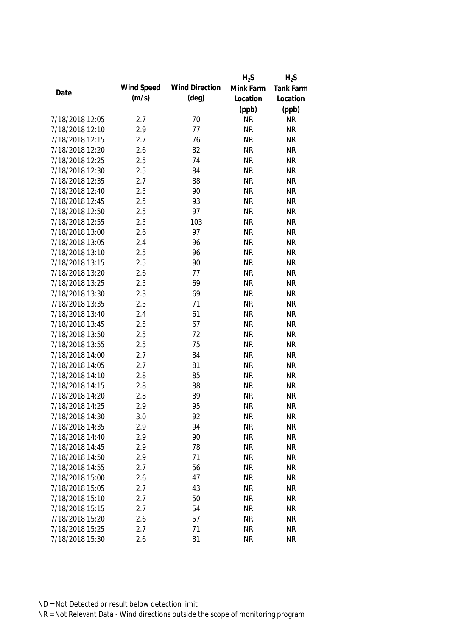|                 |            |                       | $H_2S$    | $H_2S$    |
|-----------------|------------|-----------------------|-----------|-----------|
| Date            | Wind Speed | <b>Wind Direction</b> | Mink Farm | Tank Farm |
|                 | (m/s)      | $(\text{deg})$        | Location  | Location  |
|                 |            |                       | (ppb)     | (ppb)     |
| 7/18/2018 12:05 | 2.7        | 70                    | <b>NR</b> | <b>NR</b> |
| 7/18/2018 12:10 | 2.9        | 77                    | <b>NR</b> | <b>NR</b> |
| 7/18/2018 12:15 | 2.7        | 76                    | <b>NR</b> | <b>NR</b> |
| 7/18/2018 12:20 | 2.6        | 82                    | <b>NR</b> | <b>NR</b> |
| 7/18/2018 12:25 | 2.5        | 74                    | <b>NR</b> | <b>NR</b> |
| 7/18/2018 12:30 | 2.5        | 84                    | <b>NR</b> | <b>NR</b> |
| 7/18/2018 12:35 | 2.7        | 88                    | <b>NR</b> | <b>NR</b> |
| 7/18/2018 12:40 | 2.5        | 90                    | <b>NR</b> | <b>NR</b> |
| 7/18/2018 12:45 | 2.5        | 93                    | <b>NR</b> | <b>NR</b> |
| 7/18/2018 12:50 | 2.5        | 97                    | <b>NR</b> | <b>NR</b> |
| 7/18/2018 12:55 | 2.5        | 103                   | <b>NR</b> | <b>NR</b> |
| 7/18/2018 13:00 | 2.6        | 97                    | <b>NR</b> | <b>NR</b> |
| 7/18/2018 13:05 | 2.4        | 96                    | <b>NR</b> | <b>NR</b> |
| 7/18/2018 13:10 | 2.5        | 96                    | <b>NR</b> | <b>NR</b> |
| 7/18/2018 13:15 | 2.5        | 90                    | <b>NR</b> | <b>NR</b> |
| 7/18/2018 13:20 | 2.6        | 77                    | <b>NR</b> | <b>NR</b> |
| 7/18/2018 13:25 | 2.5        | 69                    | <b>NR</b> | <b>NR</b> |
| 7/18/2018 13:30 | 2.3        | 69                    | <b>NR</b> | <b>NR</b> |
| 7/18/2018 13:35 | 2.5        | 71                    | <b>NR</b> | <b>NR</b> |
| 7/18/2018 13:40 | 2.4        | 61                    | <b>NR</b> | <b>NR</b> |
| 7/18/2018 13:45 | 2.5        | 67                    | <b>NR</b> | <b>NR</b> |
| 7/18/2018 13:50 | 2.5        | 72                    | <b>NR</b> | <b>NR</b> |
| 7/18/2018 13:55 | 2.5        | 75                    | <b>NR</b> | <b>NR</b> |
| 7/18/2018 14:00 | 2.7        | 84                    | <b>NR</b> | <b>NR</b> |
| 7/18/2018 14:05 | 2.7        | 81                    | <b>NR</b> | <b>NR</b> |
| 7/18/2018 14:10 | 2.8        | 85                    | <b>NR</b> | <b>NR</b> |
| 7/18/2018 14:15 | 2.8        | 88                    | <b>NR</b> | <b>NR</b> |
| 7/18/2018 14:20 | 2.8        | 89                    | <b>NR</b> | <b>NR</b> |
| 7/18/2018 14:25 | 2.9        | 95                    | <b>NR</b> | <b>NR</b> |
| 7/18/2018 14:30 | 3.0        | 92                    | <b>NR</b> | <b>NR</b> |
| 7/18/2018 14:35 | 2.9        | 94                    | <b>NR</b> | <b>NR</b> |
| 7/18/2018 14:40 | 2.9        | 90                    | <b>NR</b> | <b>NR</b> |
| 7/18/2018 14:45 | 2.9        | 78                    | <b>NR</b> | <b>NR</b> |
| 7/18/2018 14:50 | 2.9        | 71                    | <b>NR</b> | <b>NR</b> |
| 7/18/2018 14:55 | 2.7        | 56                    | <b>NR</b> | <b>NR</b> |
| 7/18/2018 15:00 | 2.6        | 47                    | <b>NR</b> | <b>NR</b> |
| 7/18/2018 15:05 | 2.7        | 43                    | <b>NR</b> | <b>NR</b> |
| 7/18/2018 15:10 | 2.7        | 50                    | <b>NR</b> | <b>NR</b> |
| 7/18/2018 15:15 | 2.7        | 54                    | <b>NR</b> | <b>NR</b> |
| 7/18/2018 15:20 | 2.6        | 57                    | <b>NR</b> | <b>NR</b> |
| 7/18/2018 15:25 | 2.7        | 71                    | <b>NR</b> | <b>NR</b> |
| 7/18/2018 15:30 | 2.6        | 81                    | <b>NR</b> | <b>NR</b> |
|                 |            |                       |           |           |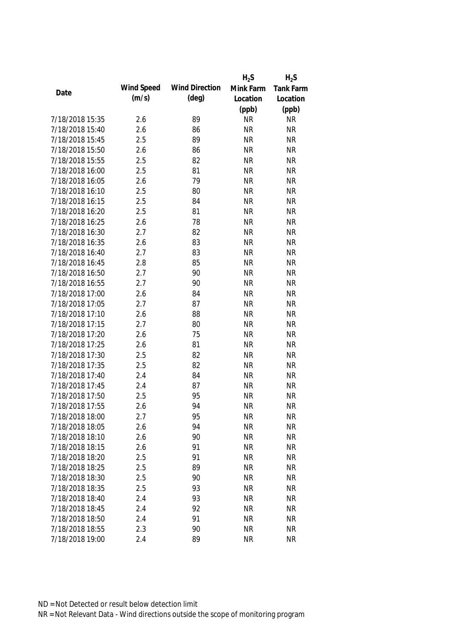|                 |            |                       | $H_2S$    | $H_2S$           |
|-----------------|------------|-----------------------|-----------|------------------|
| Date            | Wind Speed | <b>Wind Direction</b> | Mink Farm | <b>Tank Farm</b> |
|                 | (m/s)      | $(\text{deg})$        | Location  | Location         |
|                 |            |                       | (ppb)     | (ppb)            |
| 7/18/2018 15:35 | 2.6        | 89                    | <b>NR</b> | <b>NR</b>        |
| 7/18/2018 15:40 | 2.6        | 86                    | <b>NR</b> | <b>NR</b>        |
| 7/18/2018 15:45 | 2.5        | 89                    | <b>NR</b> | <b>NR</b>        |
| 7/18/2018 15:50 | 2.6        | 86                    | <b>NR</b> | <b>NR</b>        |
| 7/18/2018 15:55 | 2.5        | 82                    | <b>NR</b> | <b>NR</b>        |
| 7/18/2018 16:00 | 2.5        | 81                    | <b>NR</b> | <b>NR</b>        |
| 7/18/2018 16:05 | 2.6        | 79                    | <b>NR</b> | <b>NR</b>        |
| 7/18/2018 16:10 | 2.5        | 80                    | <b>NR</b> | <b>NR</b>        |
| 7/18/2018 16:15 | 2.5        | 84                    | <b>NR</b> | <b>NR</b>        |
| 7/18/2018 16:20 | 2.5        | 81                    | <b>NR</b> | <b>NR</b>        |
| 7/18/2018 16:25 | 2.6        | 78                    | <b>NR</b> | <b>NR</b>        |
| 7/18/2018 16:30 | 2.7        | 82                    | <b>NR</b> | <b>NR</b>        |
| 7/18/2018 16:35 | 2.6        | 83                    | <b>NR</b> | <b>NR</b>        |
| 7/18/2018 16:40 | 2.7        | 83                    | <b>NR</b> | <b>NR</b>        |
| 7/18/2018 16:45 | 2.8        | 85                    | <b>NR</b> | <b>NR</b>        |
| 7/18/2018 16:50 | 2.7        | 90                    | <b>NR</b> | <b>NR</b>        |
| 7/18/2018 16:55 | 2.7        | 90                    | <b>NR</b> | <b>NR</b>        |
| 7/18/2018 17:00 | 2.6        | 84                    | <b>NR</b> | <b>NR</b>        |
| 7/18/2018 17:05 | 2.7        | 87                    | <b>NR</b> | <b>NR</b>        |
| 7/18/2018 17:10 | 2.6        | 88                    | <b>NR</b> | <b>NR</b>        |
| 7/18/2018 17:15 | 2.7        | 80                    | <b>NR</b> | <b>NR</b>        |
| 7/18/2018 17:20 | 2.6        | 75                    | <b>NR</b> | <b>NR</b>        |
| 7/18/2018 17:25 | 2.6        | 81                    | <b>NR</b> | <b>NR</b>        |
| 7/18/2018 17:30 | 2.5        | 82                    | <b>NR</b> | <b>NR</b>        |
| 7/18/2018 17:35 | 2.5        | 82                    | <b>NR</b> | <b>NR</b>        |
| 7/18/2018 17:40 | 2.4        | 84                    | <b>NR</b> | <b>NR</b>        |
| 7/18/2018 17:45 | 2.4        | 87                    | <b>NR</b> | <b>NR</b>        |
| 7/18/2018 17:50 | 2.5        | 95                    | <b>NR</b> | <b>NR</b>        |
| 7/18/2018 17:55 | 2.6        | 94                    | <b>NR</b> | <b>NR</b>        |
| 7/18/2018 18:00 | 2.7        | 95                    | <b>NR</b> | <b>NR</b>        |
| 7/18/2018 18:05 | 2.6        | 94                    | <b>NR</b> | <b>NR</b>        |
| 7/18/2018 18:10 | 2.6        | 90                    | <b>NR</b> | <b>NR</b>        |
| 7/18/2018 18:15 | 2.6        | 91                    | <b>NR</b> | <b>NR</b>        |
| 7/18/2018 18:20 | 2.5        | 91                    | <b>NR</b> | <b>NR</b>        |
| 7/18/2018 18:25 | 2.5        | 89                    | <b>NR</b> | <b>NR</b>        |
| 7/18/2018 18:30 | 2.5        | 90                    | <b>NR</b> | <b>NR</b>        |
| 7/18/2018 18:35 | 2.5        | 93                    | <b>NR</b> | <b>NR</b>        |
| 7/18/2018 18:40 | 2.4        | 93                    | <b>NR</b> | <b>NR</b>        |
| 7/18/2018 18:45 | 2.4        | 92                    | <b>NR</b> | <b>NR</b>        |
| 7/18/2018 18:50 | 2.4        | 91                    | <b>NR</b> | <b>NR</b>        |
| 7/18/2018 18:55 | 2.3        | 90                    | <b>NR</b> | <b>NR</b>        |
| 7/18/2018 19:00 | 2.4        | 89                    | <b>NR</b> | <b>NR</b>        |
|                 |            |                       |           |                  |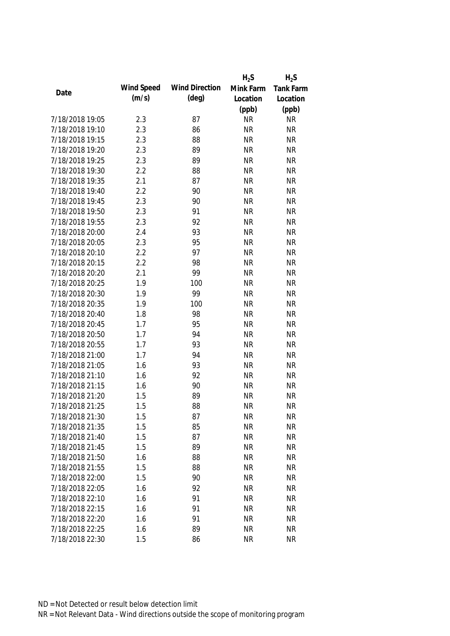|                 |            |                       | $H_2S$    | $H_2S$           |
|-----------------|------------|-----------------------|-----------|------------------|
| Date            | Wind Speed | <b>Wind Direction</b> | Mink Farm | <b>Tank Farm</b> |
|                 | (m/s)      | $(\text{deg})$        | Location  | Location         |
|                 |            |                       | (ppb)     | (ppb)            |
| 7/18/2018 19:05 | 2.3        | 87                    | <b>NR</b> | <b>NR</b>        |
| 7/18/2018 19:10 | 2.3        | 86                    | <b>NR</b> | <b>NR</b>        |
| 7/18/2018 19:15 | 2.3        | 88                    | <b>NR</b> | <b>NR</b>        |
| 7/18/2018 19:20 | 2.3        | 89                    | <b>NR</b> | <b>NR</b>        |
| 7/18/2018 19:25 | 2.3        | 89                    | <b>NR</b> | <b>NR</b>        |
| 7/18/2018 19:30 | 2.2        | 88                    | <b>NR</b> | <b>NR</b>        |
| 7/18/2018 19:35 | 2.1        | 87                    | <b>NR</b> | <b>NR</b>        |
| 7/18/2018 19:40 | 2.2        | 90                    | <b>NR</b> | <b>NR</b>        |
| 7/18/2018 19:45 | 2.3        | 90                    | <b>NR</b> | <b>NR</b>        |
| 7/18/2018 19:50 | 2.3        | 91                    | <b>NR</b> | <b>NR</b>        |
| 7/18/2018 19:55 | 2.3        | 92                    | <b>NR</b> | <b>NR</b>        |
| 7/18/2018 20:00 | 2.4        | 93                    | <b>NR</b> | <b>NR</b>        |
| 7/18/2018 20:05 | 2.3        | 95                    | <b>NR</b> | <b>NR</b>        |
| 7/18/2018 20:10 | 2.2        | 97                    | <b>NR</b> | <b>NR</b>        |
| 7/18/2018 20:15 | 2.2        | 98                    | <b>NR</b> | <b>NR</b>        |
| 7/18/2018 20:20 | 2.1        | 99                    | <b>NR</b> | <b>NR</b>        |
| 7/18/2018 20:25 | 1.9        | 100                   | <b>NR</b> | <b>NR</b>        |
| 7/18/2018 20:30 | 1.9        | 99                    | <b>NR</b> | <b>NR</b>        |
| 7/18/2018 20:35 | 1.9        | 100                   | <b>NR</b> | <b>NR</b>        |
| 7/18/2018 20:40 | 1.8        | 98                    | <b>NR</b> | <b>NR</b>        |
| 7/18/2018 20:45 | 1.7        | 95                    | <b>NR</b> | <b>NR</b>        |
| 7/18/2018 20:50 | 1.7        | 94                    | <b>NR</b> | <b>NR</b>        |
| 7/18/2018 20:55 | 1.7        | 93                    | <b>NR</b> | <b>NR</b>        |
| 7/18/2018 21:00 | 1.7        | 94                    | <b>NR</b> | <b>NR</b>        |
| 7/18/2018 21:05 | 1.6        | 93                    | <b>NR</b> | <b>NR</b>        |
| 7/18/2018 21:10 | 1.6        | 92                    | <b>NR</b> | <b>NR</b>        |
| 7/18/2018 21:15 | 1.6        | 90                    | <b>NR</b> | <b>NR</b>        |
| 7/18/2018 21:20 | 1.5        | 89                    | <b>NR</b> | <b>NR</b>        |
| 7/18/2018 21:25 | 1.5        | 88                    | <b>NR</b> | <b>NR</b>        |
| 7/18/2018 21:30 | 1.5        | 87                    | <b>NR</b> | <b>NR</b>        |
| 7/18/2018 21:35 | 1.5        | 85                    | <b>NR</b> | <b>NR</b>        |
| 7/18/2018 21:40 | 1.5        | 87                    | <b>NR</b> | <b>NR</b>        |
| 7/18/2018 21:45 | 1.5        | 89                    | <b>NR</b> | <b>NR</b>        |
| 7/18/2018 21:50 | 1.6        | 88                    | <b>NR</b> | <b>NR</b>        |
| 7/18/2018 21:55 | 1.5        | 88                    | <b>NR</b> | <b>NR</b>        |
| 7/18/2018 22:00 | 1.5        | 90                    | <b>NR</b> | <b>NR</b>        |
| 7/18/2018 22:05 | 1.6        | 92                    | <b>NR</b> | <b>NR</b>        |
| 7/18/2018 22:10 | 1.6        | 91                    | <b>NR</b> | <b>NR</b>        |
| 7/18/2018 22:15 | 1.6        | 91                    | <b>NR</b> | <b>NR</b>        |
| 7/18/2018 22:20 | 1.6        | 91                    | <b>NR</b> | <b>NR</b>        |
| 7/18/2018 22:25 | 1.6        | 89                    | <b>NR</b> | <b>NR</b>        |
| 7/18/2018 22:30 | 1.5        | 86                    | <b>NR</b> | <b>NR</b>        |
|                 |            |                       |           |                  |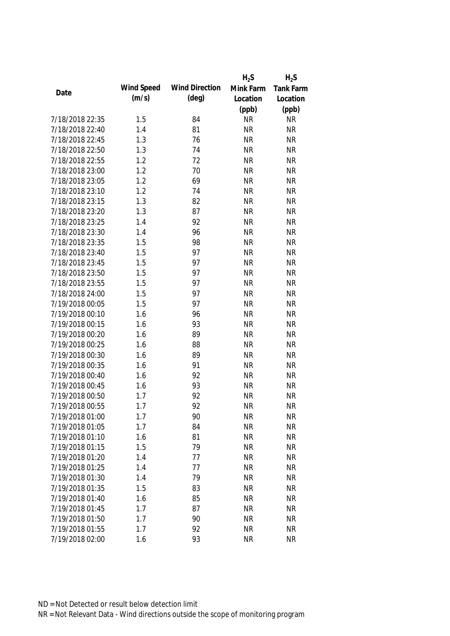|                 |            |                       | $H_2S$    | $H_2S$    |
|-----------------|------------|-----------------------|-----------|-----------|
|                 | Wind Speed | <b>Wind Direction</b> | Mink Farm | Tank Farm |
| Date            | (m/s)      | $(\text{deg})$        | Location  | Location  |
|                 |            |                       | (ppb)     | (ppb)     |
| 7/18/2018 22:35 | 1.5        | 84                    | <b>NR</b> | <b>NR</b> |
| 7/18/2018 22:40 | 1.4        | 81                    | <b>NR</b> | <b>NR</b> |
| 7/18/2018 22:45 | 1.3        | 76                    | <b>NR</b> | <b>NR</b> |
| 7/18/2018 22:50 | 1.3        | 74                    | <b>NR</b> | <b>NR</b> |
| 7/18/2018 22:55 | 1.2        | 72                    | <b>NR</b> | <b>NR</b> |
| 7/18/2018 23:00 | 1.2        | 70                    | <b>NR</b> | <b>NR</b> |
| 7/18/2018 23:05 | 1.2        | 69                    | <b>NR</b> | <b>NR</b> |
| 7/18/2018 23:10 | 1.2        | 74                    | <b>NR</b> | <b>NR</b> |
| 7/18/2018 23:15 | 1.3        | 82                    | <b>NR</b> | <b>NR</b> |
| 7/18/2018 23:20 | 1.3        | 87                    | <b>NR</b> | <b>NR</b> |
| 7/18/2018 23:25 | 1.4        | 92                    | <b>NR</b> | <b>NR</b> |
| 7/18/2018 23:30 | 1.4        | 96                    | <b>NR</b> | <b>NR</b> |
| 7/18/2018 23:35 | 1.5        | 98                    | <b>NR</b> | <b>NR</b> |
| 7/18/2018 23:40 | 1.5        | 97                    | <b>NR</b> | <b>NR</b> |
| 7/18/2018 23:45 | 1.5        | 97                    | <b>NR</b> | <b>NR</b> |
| 7/18/2018 23:50 | 1.5        | 97                    | <b>NR</b> | <b>NR</b> |
| 7/18/2018 23:55 | 1.5        | 97                    | <b>NR</b> | <b>NR</b> |
| 7/18/2018 24:00 | 1.5        | 97                    | <b>NR</b> | <b>NR</b> |
| 7/19/2018 00:05 | 1.5        | 97                    | <b>NR</b> | <b>NR</b> |
| 7/19/2018 00:10 | 1.6        | 96                    | <b>NR</b> | <b>NR</b> |
| 7/19/2018 00:15 | 1.6        | 93                    | <b>NR</b> | <b>NR</b> |
| 7/19/2018 00:20 | 1.6        | 89                    | <b>NR</b> | <b>NR</b> |
| 7/19/2018 00:25 | 1.6        | 88                    | <b>NR</b> | <b>NR</b> |
| 7/19/2018 00:30 | 1.6        | 89                    | <b>NR</b> | <b>NR</b> |
| 7/19/2018 00:35 | 1.6        | 91                    | <b>NR</b> | <b>NR</b> |
| 7/19/2018 00:40 | 1.6        | 92                    | <b>NR</b> | <b>NR</b> |
| 7/19/2018 00:45 | 1.6        | 93                    | <b>NR</b> | <b>NR</b> |
| 7/19/2018 00:50 | 1.7        | 92                    | <b>NR</b> | <b>NR</b> |
| 7/19/2018 00:55 | 1.7        | 92                    | <b>NR</b> | <b>NR</b> |
| 7/19/2018 01:00 | 1.7        | 90                    | <b>NR</b> | <b>NR</b> |
| 7/19/2018 01:05 | 1.7        | 84                    | <b>NR</b> | <b>NR</b> |
| 7/19/2018 01:10 | 1.6        | 81                    | <b>NR</b> | <b>NR</b> |
| 7/19/2018 01:15 | 1.5        | 79                    | <b>NR</b> | <b>NR</b> |
| 7/19/2018 01:20 | 1.4        | 77                    | <b>NR</b> | <b>NR</b> |
| 7/19/2018 01:25 | 1.4        | 77                    | <b>NR</b> | <b>NR</b> |
| 7/19/2018 01:30 | 1.4        | 79                    | <b>NR</b> | <b>NR</b> |
| 7/19/2018 01:35 | 1.5        | 83                    | <b>NR</b> | <b>NR</b> |
| 7/19/2018 01:40 | 1.6        | 85                    | <b>NR</b> | <b>NR</b> |
| 7/19/2018 01:45 | 1.7        | 87                    | <b>NR</b> | <b>NR</b> |
| 7/19/2018 01:50 | 1.7        | 90                    | <b>NR</b> | <b>NR</b> |
| 7/19/2018 01:55 | 1.7        | 92                    | <b>NR</b> | <b>NR</b> |
| 7/19/2018 02:00 | 1.6        | 93                    | <b>NR</b> | <b>NR</b> |
|                 |            |                       |           |           |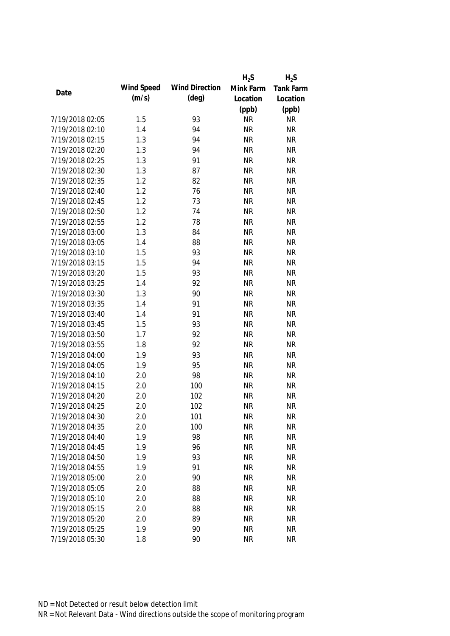|                 |            |                       | $H_2S$    | $H_2S$    |
|-----------------|------------|-----------------------|-----------|-----------|
|                 | Wind Speed | <b>Wind Direction</b> | Mink Farm | Tank Farm |
| Date            | (m/s)      | $(\text{deg})$        | Location  | Location  |
|                 |            |                       | (ppb)     | (ppb)     |
| 7/19/2018 02:05 | 1.5        | 93                    | <b>NR</b> | <b>NR</b> |
| 7/19/2018 02:10 | 1.4        | 94                    | <b>NR</b> | <b>NR</b> |
| 7/19/2018 02:15 | 1.3        | 94                    | <b>NR</b> | <b>NR</b> |
| 7/19/2018 02:20 | 1.3        | 94                    | <b>NR</b> | <b>NR</b> |
| 7/19/2018 02:25 | 1.3        | 91                    | <b>NR</b> | <b>NR</b> |
| 7/19/2018 02:30 | 1.3        | 87                    | <b>NR</b> | <b>NR</b> |
| 7/19/2018 02:35 | 1.2        | 82                    | <b>NR</b> | <b>NR</b> |
| 7/19/2018 02:40 | 1.2        | 76                    | <b>NR</b> | <b>NR</b> |
| 7/19/2018 02:45 | 1.2        | 73                    | <b>NR</b> | <b>NR</b> |
| 7/19/2018 02:50 | 1.2        | 74                    | <b>NR</b> | <b>NR</b> |
| 7/19/2018 02:55 | 1.2        | 78                    | <b>NR</b> | <b>NR</b> |
| 7/19/2018 03:00 | 1.3        | 84                    | <b>NR</b> | <b>NR</b> |
| 7/19/2018 03:05 | 1.4        | 88                    | <b>NR</b> | <b>NR</b> |
| 7/19/2018 03:10 | 1.5        | 93                    | <b>NR</b> | <b>NR</b> |
| 7/19/2018 03:15 | 1.5        | 94                    | <b>NR</b> | <b>NR</b> |
| 7/19/2018 03:20 | 1.5        | 93                    | <b>NR</b> | <b>NR</b> |
| 7/19/2018 03:25 | 1.4        | 92                    | <b>NR</b> | <b>NR</b> |
| 7/19/2018 03:30 | 1.3        | 90                    | <b>NR</b> | <b>NR</b> |
| 7/19/2018 03:35 | 1.4        | 91                    | <b>NR</b> | <b>NR</b> |
| 7/19/2018 03:40 | 1.4        | 91                    | <b>NR</b> | <b>NR</b> |
| 7/19/2018 03:45 | 1.5        | 93                    | <b>NR</b> | <b>NR</b> |
| 7/19/2018 03:50 | 1.7        | 92                    | <b>NR</b> | <b>NR</b> |
| 7/19/2018 03:55 | 1.8        | 92                    | <b>NR</b> | <b>NR</b> |
| 7/19/2018 04:00 | 1.9        | 93                    | <b>NR</b> | <b>NR</b> |
| 7/19/2018 04:05 | 1.9        | 95                    | <b>NR</b> | <b>NR</b> |
| 7/19/2018 04:10 | 2.0        | 98                    | <b>NR</b> | <b>NR</b> |
| 7/19/2018 04:15 | 2.0        | 100                   | <b>NR</b> | <b>NR</b> |
| 7/19/2018 04:20 | 2.0        | 102                   | <b>NR</b> | <b>NR</b> |
| 7/19/2018 04:25 | 2.0        | 102                   | <b>NR</b> | <b>NR</b> |
| 7/19/2018 04:30 | 2.0        | 101                   | <b>NR</b> | <b>NR</b> |
| 7/19/2018 04:35 | 2.0        | 100                   | <b>NR</b> | <b>NR</b> |
| 7/19/2018 04:40 | 1.9        | 98                    | <b>NR</b> | <b>NR</b> |
| 7/19/2018 04:45 | 1.9        | 96                    | <b>NR</b> | <b>NR</b> |
| 7/19/2018 04:50 | 1.9        | 93                    | <b>NR</b> | <b>NR</b> |
| 7/19/2018 04:55 | 1.9        | 91                    | <b>NR</b> | <b>NR</b> |
| 7/19/2018 05:00 | 2.0        | 90                    | <b>NR</b> | <b>NR</b> |
| 7/19/2018 05:05 | 2.0        | 88                    | <b>NR</b> | <b>NR</b> |
| 7/19/2018 05:10 | 2.0        | 88                    | <b>NR</b> | <b>NR</b> |
| 7/19/2018 05:15 | 2.0        | 88                    | <b>NR</b> | <b>NR</b> |
|                 |            |                       |           |           |
| 7/19/2018 05:20 | 2.0        | 89                    | <b>NR</b> | <b>NR</b> |
| 7/19/2018 05:25 | 1.9        | 90                    | <b>NR</b> | <b>NR</b> |
| 7/19/2018 05:30 | 1.8        | 90                    | <b>NR</b> | <b>NR</b> |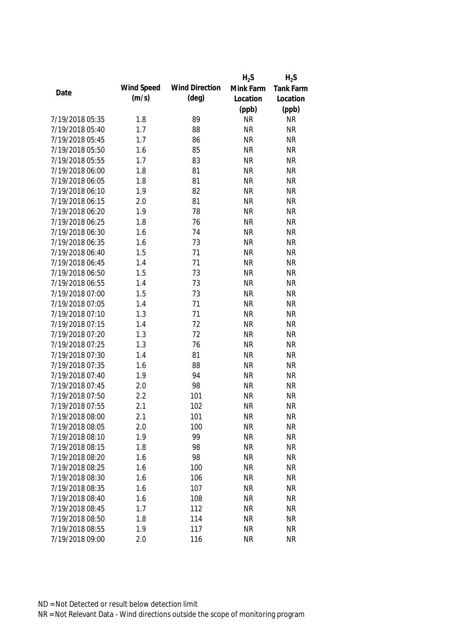|                 |            |                       | $H_2S$    | $H_2S$    |
|-----------------|------------|-----------------------|-----------|-----------|
|                 | Wind Speed | <b>Wind Direction</b> | Mink Farm | Tank Farm |
| Date            | (m/s)      | $(\text{deg})$        | Location  | Location  |
|                 |            |                       | (ppb)     | (ppb)     |
| 7/19/2018 05:35 | 1.8        | 89                    | <b>NR</b> | <b>NR</b> |
| 7/19/2018 05:40 | 1.7        | 88                    | <b>NR</b> | <b>NR</b> |
| 7/19/2018 05:45 | 1.7        | 86                    | <b>NR</b> | <b>NR</b> |
| 7/19/2018 05:50 | 1.6        | 85                    | <b>NR</b> | <b>NR</b> |
| 7/19/2018 05:55 | 1.7        | 83                    | <b>NR</b> | <b>NR</b> |
| 7/19/2018 06:00 | 1.8        | 81                    | <b>NR</b> | <b>NR</b> |
| 7/19/2018 06:05 | 1.8        | 81                    | <b>NR</b> | <b>NR</b> |
| 7/19/2018 06:10 | 1.9        | 82                    | <b>NR</b> | <b>NR</b> |
| 7/19/2018 06:15 | 2.0        | 81                    | <b>NR</b> | <b>NR</b> |
| 7/19/2018 06:20 | 1.9        | 78                    | <b>NR</b> | <b>NR</b> |
| 7/19/2018 06:25 | 1.8        | 76                    | <b>NR</b> | <b>NR</b> |
| 7/19/2018 06:30 | 1.6        | 74                    | <b>NR</b> | <b>NR</b> |
| 7/19/2018 06:35 | 1.6        | 73                    | <b>NR</b> | <b>NR</b> |
| 7/19/2018 06:40 | 1.5        | 71                    | <b>NR</b> | <b>NR</b> |
| 7/19/2018 06:45 | 1.4        | 71                    | <b>NR</b> | <b>NR</b> |
| 7/19/2018 06:50 | 1.5        | 73                    | <b>NR</b> | <b>NR</b> |
| 7/19/2018 06:55 | 1.4        | 73                    | <b>NR</b> | <b>NR</b> |
| 7/19/2018 07:00 | 1.5        | 73                    | <b>NR</b> | <b>NR</b> |
| 7/19/2018 07:05 | 1.4        | 71                    | <b>NR</b> | <b>NR</b> |
| 7/19/2018 07:10 | 1.3        | 71                    | <b>NR</b> | <b>NR</b> |
| 7/19/2018 07:15 | 1.4        | 72                    | <b>NR</b> | <b>NR</b> |
| 7/19/2018 07:20 | 1.3        | 72                    | <b>NR</b> | <b>NR</b> |
| 7/19/2018 07:25 | 1.3        | 76                    | <b>NR</b> | <b>NR</b> |
| 7/19/2018 07:30 | 1.4        | 81                    | <b>NR</b> | <b>NR</b> |
| 7/19/2018 07:35 | 1.6        | 88                    | <b>NR</b> | <b>NR</b> |
| 7/19/2018 07:40 | 1.9        | 94                    | <b>NR</b> | <b>NR</b> |
| 7/19/2018 07:45 | 2.0        | 98                    | <b>NR</b> | <b>NR</b> |
| 7/19/2018 07:50 | 2.2        | 101                   | <b>NR</b> | <b>NR</b> |
| 7/19/2018 07:55 | 2.1        | 102                   | <b>NR</b> | <b>NR</b> |
| 7/19/2018 08:00 | 2.1        | 101                   | <b>NR</b> | <b>NR</b> |
| 7/19/2018 08:05 | 2.0        | 100                   | <b>NR</b> | <b>NR</b> |
| 7/19/2018 08:10 | 1.9        | 99                    | <b>NR</b> | <b>NR</b> |
| 7/19/2018 08:15 | 1.8        | 98                    | <b>NR</b> | <b>NR</b> |
| 7/19/2018 08:20 | 1.6        | 98                    | <b>NR</b> | <b>NR</b> |
| 7/19/2018 08:25 | 1.6        | 100                   | <b>NR</b> | <b>NR</b> |
| 7/19/2018 08:30 | 1.6        | 106                   | <b>NR</b> | <b>NR</b> |
| 7/19/2018 08:35 | 1.6        | 107                   | <b>NR</b> | <b>NR</b> |
| 7/19/2018 08:40 | 1.6        | 108                   | <b>NR</b> | <b>NR</b> |
| 7/19/2018 08:45 | 1.7        | 112                   | <b>NR</b> | <b>NR</b> |
| 7/19/2018 08:50 | 1.8        | 114                   | <b>NR</b> | <b>NR</b> |
| 7/19/2018 08:55 | 1.9        | 117                   | <b>NR</b> | <b>NR</b> |
| 7/19/2018 09:00 | 2.0        | 116                   | <b>NR</b> | <b>NR</b> |
|                 |            |                       |           |           |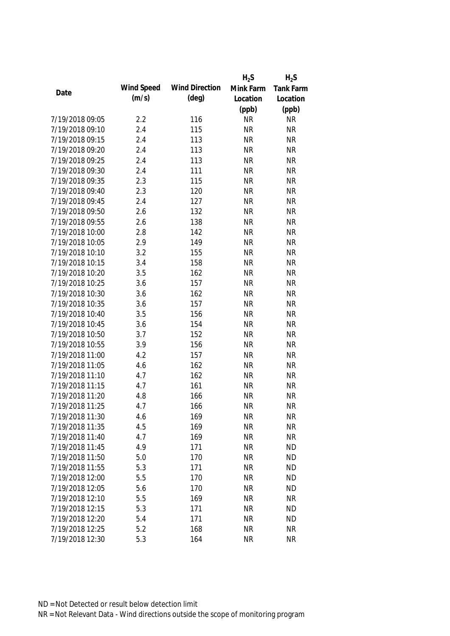|                 |            |                       | $H_2S$    | $H_2S$    |
|-----------------|------------|-----------------------|-----------|-----------|
|                 | Wind Speed | <b>Wind Direction</b> | Mink Farm | Tank Farm |
| Date            | (m/s)      | $(\text{deg})$        | Location  | Location  |
|                 |            |                       | (ppb)     | (ppb)     |
| 7/19/2018 09:05 | 2.2        | 116                   | <b>NR</b> | <b>NR</b> |
| 7/19/2018 09:10 | 2.4        | 115                   | <b>NR</b> | <b>NR</b> |
| 7/19/2018 09:15 | 2.4        | 113                   | <b>NR</b> | <b>NR</b> |
| 7/19/2018 09:20 | 2.4        | 113                   | <b>NR</b> | <b>NR</b> |
| 7/19/2018 09:25 | 2.4        | 113                   | <b>NR</b> | <b>NR</b> |
| 7/19/2018 09:30 | 2.4        | 111                   | <b>NR</b> | <b>NR</b> |
| 7/19/2018 09:35 | 2.3        | 115                   | <b>NR</b> | <b>NR</b> |
| 7/19/2018 09:40 | 2.3        | 120                   | <b>NR</b> | <b>NR</b> |
| 7/19/2018 09:45 | 2.4        | 127                   | <b>NR</b> | <b>NR</b> |
| 7/19/2018 09:50 | 2.6        | 132                   | <b>NR</b> | <b>NR</b> |
| 7/19/2018 09:55 | 2.6        | 138                   | <b>NR</b> | <b>NR</b> |
| 7/19/2018 10:00 | 2.8        | 142                   | <b>NR</b> | <b>NR</b> |
| 7/19/2018 10:05 | 2.9        | 149                   | <b>NR</b> | <b>NR</b> |
| 7/19/2018 10:10 | 3.2        | 155                   | <b>NR</b> | <b>NR</b> |
| 7/19/2018 10:15 | 3.4        | 158                   | <b>NR</b> | <b>NR</b> |
| 7/19/2018 10:20 | 3.5        | 162                   | <b>NR</b> | <b>NR</b> |
| 7/19/2018 10:25 | 3.6        | 157                   | <b>NR</b> | <b>NR</b> |
| 7/19/2018 10:30 | 3.6        | 162                   | <b>NR</b> | <b>NR</b> |
| 7/19/2018 10:35 | 3.6        | 157                   | <b>NR</b> | <b>NR</b> |
| 7/19/2018 10:40 | 3.5        | 156                   | <b>NR</b> | <b>NR</b> |
| 7/19/2018 10:45 | 3.6        | 154                   | <b>NR</b> | <b>NR</b> |
| 7/19/2018 10:50 | 3.7        | 152                   | <b>NR</b> | <b>NR</b> |
| 7/19/2018 10:55 | 3.9        | 156                   | <b>NR</b> | <b>NR</b> |
| 7/19/2018 11:00 | 4.2        | 157                   | <b>NR</b> | <b>NR</b> |
| 7/19/2018 11:05 | 4.6        | 162                   | <b>NR</b> | <b>NR</b> |
| 7/19/2018 11:10 | 4.7        | 162                   | <b>NR</b> | <b>NR</b> |
| 7/19/2018 11:15 | 4.7        | 161                   | <b>NR</b> | <b>NR</b> |
| 7/19/2018 11:20 | 4.8        | 166                   | <b>NR</b> | <b>NR</b> |
| 7/19/2018 11:25 | 4.7        | 166                   | <b>NR</b> | <b>NR</b> |
| 7/19/2018 11:30 | 4.6        | 169                   | <b>NR</b> | <b>NR</b> |
| 7/19/2018 11:35 | 4.5        | 169                   | <b>NR</b> | <b>NR</b> |
| 7/19/2018 11:40 | 4.7        | 169                   | <b>NR</b> | <b>NR</b> |
| 7/19/2018 11:45 | 4.9        | 171                   | <b>NR</b> | <b>ND</b> |
| 7/19/2018 11:50 | 5.0        | 170                   | <b>NR</b> | <b>ND</b> |
| 7/19/2018 11:55 | 5.3        | 171                   | <b>NR</b> | <b>ND</b> |
| 7/19/2018 12:00 | 5.5        | 170                   | <b>NR</b> | <b>ND</b> |
| 7/19/2018 12:05 | 5.6        | 170                   | <b>NR</b> | <b>ND</b> |
| 7/19/2018 12:10 | 5.5        | 169                   | <b>NR</b> | <b>NR</b> |
| 7/19/2018 12:15 | 5.3        | 171                   | <b>NR</b> | <b>ND</b> |
| 7/19/2018 12:20 | 5.4        | 171                   | <b>NR</b> | <b>ND</b> |
| 7/19/2018 12:25 | 5.2        | 168                   | <b>NR</b> | <b>NR</b> |
| 7/19/2018 12:30 | 5.3        | 164                   | <b>NR</b> | <b>NR</b> |
|                 |            |                       |           |           |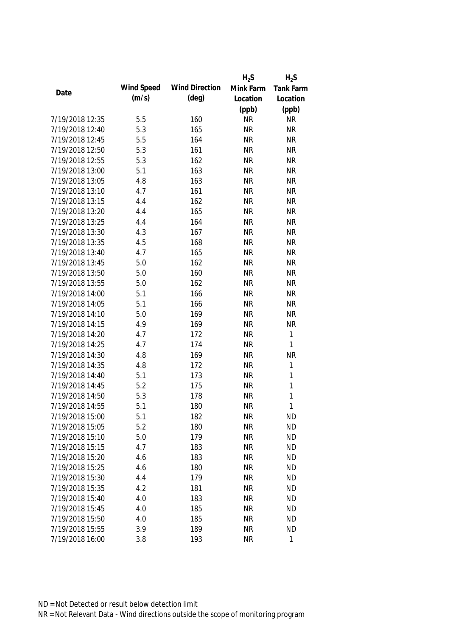|                 |            |                       | $H_2S$    | $H_2S$      |
|-----------------|------------|-----------------------|-----------|-------------|
|                 | Wind Speed | <b>Wind Direction</b> | Mink Farm | Tank Farm   |
| Date            | (m/s)      | $(\text{deg})$        | Location  | Location    |
|                 |            |                       | (ppb)     | (ppb)       |
| 7/19/2018 12:35 | 5.5        | 160                   | <b>NR</b> | <b>NR</b>   |
| 7/19/2018 12:40 | 5.3        | 165                   | <b>NR</b> | <b>NR</b>   |
| 7/19/2018 12:45 | 5.5        | 164                   | <b>NR</b> | <b>NR</b>   |
| 7/19/2018 12:50 | 5.3        | 161                   | <b>NR</b> | <b>NR</b>   |
| 7/19/2018 12:55 | 5.3        | 162                   | <b>NR</b> | <b>NR</b>   |
| 7/19/2018 13:00 | 5.1        | 163                   | <b>NR</b> | <b>NR</b>   |
| 7/19/2018 13:05 | 4.8        | 163                   | <b>NR</b> | <b>NR</b>   |
| 7/19/2018 13:10 | 4.7        | 161                   | <b>NR</b> | <b>NR</b>   |
| 7/19/2018 13:15 | 4.4        | 162                   | <b>NR</b> | <b>NR</b>   |
| 7/19/2018 13:20 | 4.4        | 165                   | <b>NR</b> | <b>NR</b>   |
| 7/19/2018 13:25 | 4.4        | 164                   | <b>NR</b> | <b>NR</b>   |
| 7/19/2018 13:30 | 4.3        | 167                   | <b>NR</b> | <b>NR</b>   |
| 7/19/2018 13:35 | 4.5        | 168                   | <b>NR</b> | <b>NR</b>   |
| 7/19/2018 13:40 | 4.7        | 165                   | <b>NR</b> | <b>NR</b>   |
| 7/19/2018 13:45 | 5.0        | 162                   | <b>NR</b> | <b>NR</b>   |
| 7/19/2018 13:50 | 5.0        | 160                   | <b>NR</b> | <b>NR</b>   |
| 7/19/2018 13:55 | 5.0        | 162                   | <b>NR</b> | <b>NR</b>   |
| 7/19/2018 14:00 | 5.1        | 166                   | <b>NR</b> | <b>NR</b>   |
| 7/19/2018 14:05 | 5.1        | 166                   | <b>NR</b> | <b>NR</b>   |
| 7/19/2018 14:10 | 5.0        | 169                   | <b>NR</b> | <b>NR</b>   |
| 7/19/2018 14:15 | 4.9        | 169                   | <b>NR</b> | <b>NR</b>   |
| 7/19/2018 14:20 | 4.7        | 172                   | <b>NR</b> | $\mathbf 1$ |
| 7/19/2018 14:25 | 4.7        | 174                   | <b>NR</b> | 1           |
| 7/19/2018 14:30 | 4.8        | 169                   | <b>NR</b> | <b>NR</b>   |
| 7/19/2018 14:35 | 4.8        | 172                   | <b>NR</b> | $\mathbf 1$ |
| 7/19/2018 14:40 | 5.1        | 173                   | <b>NR</b> | $\mathbf 1$ |
| 7/19/2018 14:45 | 5.2        | 175                   | <b>NR</b> | $\mathbf 1$ |
| 7/19/2018 14:50 | 5.3        | 178                   | <b>NR</b> | 1           |
| 7/19/2018 14:55 | 5.1        | 180                   | <b>NR</b> | 1           |
| 7/19/2018 15:00 | 5.1        | 182                   | <b>NR</b> | <b>ND</b>   |
| 7/19/2018 15:05 | 5.2        | 180                   | <b>NR</b> | <b>ND</b>   |
| 7/19/2018 15:10 | 5.0        | 179                   | <b>NR</b> | <b>ND</b>   |
| 7/19/2018 15:15 | 4.7        | 183                   | <b>NR</b> | <b>ND</b>   |
| 7/19/2018 15:20 | 4.6        | 183                   | <b>NR</b> | <b>ND</b>   |
| 7/19/2018 15:25 | 4.6        | 180                   | <b>NR</b> | <b>ND</b>   |
| 7/19/2018 15:30 | 4.4        | 179                   | <b>NR</b> | <b>ND</b>   |
| 7/19/2018 15:35 | 4.2        | 181                   | <b>NR</b> | <b>ND</b>   |
| 7/19/2018 15:40 | 4.0        | 183                   | <b>NR</b> | <b>ND</b>   |
| 7/19/2018 15:45 | 4.0        | 185                   | <b>NR</b> | <b>ND</b>   |
| 7/19/2018 15:50 | 4.0        | 185                   | <b>NR</b> | <b>ND</b>   |
| 7/19/2018 15:55 | 3.9        | 189                   | <b>NR</b> | <b>ND</b>   |
| 7/19/2018 16:00 | 3.8        | 193                   | <b>NR</b> | 1           |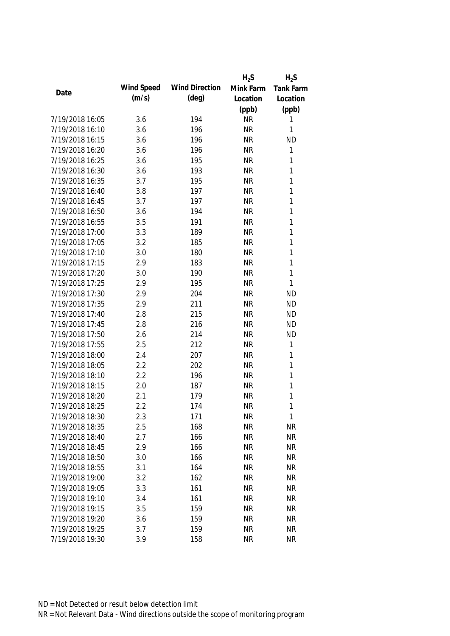|                 |            |                       | $H_2S$    | $H_2S$           |
|-----------------|------------|-----------------------|-----------|------------------|
|                 | Wind Speed | <b>Wind Direction</b> | Mink Farm | <b>Tank Farm</b> |
| Date            | (m/s)      | $(\text{deg})$        | Location  | Location         |
|                 |            |                       | (ppb)     | (ppb)            |
| 7/19/2018 16:05 | 3.6        | 194                   | <b>NR</b> | 1                |
| 7/19/2018 16:10 | 3.6        | 196                   | <b>NR</b> | 1                |
| 7/19/2018 16:15 | 3.6        | 196                   | <b>NR</b> | <b>ND</b>        |
| 7/19/2018 16:20 | 3.6        | 196                   | <b>NR</b> | 1                |
| 7/19/2018 16:25 | 3.6        | 195                   | <b>NR</b> | 1                |
| 7/19/2018 16:30 | 3.6        | 193                   | <b>NR</b> | $\mathbf{1}$     |
| 7/19/2018 16:35 | 3.7        | 195                   | <b>NR</b> | 1                |
| 7/19/2018 16:40 | 3.8        | 197                   | <b>NR</b> | 1                |
| 7/19/2018 16:45 | 3.7        | 197                   | <b>NR</b> | 1                |
| 7/19/2018 16:50 | 3.6        | 194                   | <b>NR</b> | 1                |
| 7/19/2018 16:55 | 3.5        | 191                   | <b>NR</b> | 1                |
| 7/19/2018 17:00 | 3.3        | 189                   | <b>NR</b> | 1                |
| 7/19/2018 17:05 | 3.2        | 185                   | <b>NR</b> | 1                |
| 7/19/2018 17:10 | 3.0        | 180                   | <b>NR</b> | 1                |
| 7/19/2018 17:15 | 2.9        | 183                   | <b>NR</b> | 1                |
| 7/19/2018 17:20 | 3.0        | 190                   | <b>NR</b> | 1                |
| 7/19/2018 17:25 | 2.9        | 195                   | <b>NR</b> | 1                |
| 7/19/2018 17:30 | 2.9        | 204                   | <b>NR</b> | <b>ND</b>        |
| 7/19/2018 17:35 | 2.9        | 211                   | <b>NR</b> | <b>ND</b>        |
| 7/19/2018 17:40 | 2.8        | 215                   | <b>NR</b> | <b>ND</b>        |
| 7/19/2018 17:45 | 2.8        | 216                   | <b>NR</b> | <b>ND</b>        |
| 7/19/2018 17:50 | 2.6        | 214                   | <b>NR</b> | <b>ND</b>        |
| 7/19/2018 17:55 | 2.5        | 212                   | <b>NR</b> | 1                |
| 7/19/2018 18:00 | 2.4        | 207                   | <b>NR</b> | 1                |
| 7/19/2018 18:05 | 2.2        | 202                   | <b>NR</b> | 1                |
| 7/19/2018 18:10 | 2.2        | 196                   | <b>NR</b> | 1                |
| 7/19/2018 18:15 | 2.0        | 187                   | <b>NR</b> | 1                |
| 7/19/2018 18:20 | 2.1        | 179                   | <b>NR</b> | 1                |
| 7/19/2018 18:25 | 2.2        | 174                   | <b>NR</b> | 1                |
| 7/19/2018 18:30 | 2.3        | 171                   | <b>NR</b> | 1                |
| 7/19/2018 18:35 | 2.5        | 168                   | <b>NR</b> | <b>NR</b>        |
| 7/19/2018 18:40 | 2.7        | 166                   | <b>NR</b> | <b>NR</b>        |
| 7/19/2018 18:45 | 2.9        | 166                   | <b>NR</b> | <b>NR</b>        |
| 7/19/2018 18:50 | 3.0        | 166                   | <b>NR</b> | <b>NR</b>        |
| 7/19/2018 18:55 | 3.1        | 164                   | <b>NR</b> | <b>NR</b>        |
| 7/19/2018 19:00 | 3.2        | 162                   | <b>NR</b> | <b>NR</b>        |
| 7/19/2018 19:05 | 3.3        | 161                   | <b>NR</b> | <b>NR</b>        |
| 7/19/2018 19:10 | 3.4        | 161                   | <b>NR</b> | <b>NR</b>        |
| 7/19/2018 19:15 | 3.5        | 159                   | <b>NR</b> | <b>NR</b>        |
| 7/19/2018 19:20 | 3.6        | 159                   | <b>NR</b> | <b>NR</b>        |
| 7/19/2018 19:25 | 3.7        | 159                   | <b>NR</b> | <b>NR</b>        |
| 7/19/2018 19:30 | 3.9        | 158                   | <b>NR</b> | <b>NR</b>        |
|                 |            |                       |           |                  |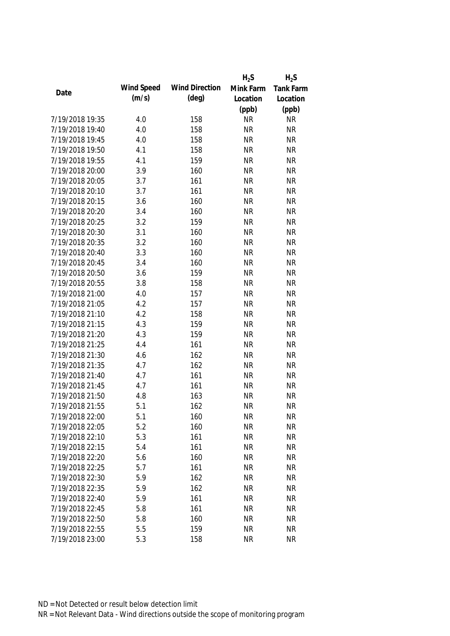|                 |            |                       | $H_2S$    | $H_2S$    |
|-----------------|------------|-----------------------|-----------|-----------|
|                 | Wind Speed | <b>Wind Direction</b> | Mink Farm | Tank Farm |
| Date            | (m/s)      | $(\text{deg})$        | Location  | Location  |
|                 |            |                       | (ppb)     | (ppb)     |
| 7/19/2018 19:35 | 4.0        | 158                   | <b>NR</b> | <b>NR</b> |
| 7/19/2018 19:40 | 4.0        | 158                   | <b>NR</b> | <b>NR</b> |
| 7/19/2018 19:45 | 4.0        | 158                   | <b>NR</b> | <b>NR</b> |
| 7/19/2018 19:50 | 4.1        | 158                   | <b>NR</b> | <b>NR</b> |
| 7/19/2018 19:55 | 4.1        | 159                   | <b>NR</b> | <b>NR</b> |
| 7/19/2018 20:00 | 3.9        | 160                   | <b>NR</b> | <b>NR</b> |
| 7/19/2018 20:05 | 3.7        | 161                   | <b>NR</b> | <b>NR</b> |
| 7/19/2018 20:10 | 3.7        | 161                   | <b>NR</b> | <b>NR</b> |
| 7/19/2018 20:15 | 3.6        | 160                   | <b>NR</b> | <b>NR</b> |
| 7/19/2018 20:20 | 3.4        | 160                   | <b>NR</b> | <b>NR</b> |
| 7/19/2018 20:25 | 3.2        | 159                   | <b>NR</b> | <b>NR</b> |
| 7/19/2018 20:30 | 3.1        | 160                   | <b>NR</b> | <b>NR</b> |
| 7/19/2018 20:35 | 3.2        | 160                   | <b>NR</b> | <b>NR</b> |
| 7/19/2018 20:40 | 3.3        | 160                   | <b>NR</b> | <b>NR</b> |
| 7/19/2018 20:45 | 3.4        | 160                   | <b>NR</b> | <b>NR</b> |
| 7/19/2018 20:50 | 3.6        | 159                   | <b>NR</b> | <b>NR</b> |
| 7/19/2018 20:55 | 3.8        | 158                   | <b>NR</b> | <b>NR</b> |
| 7/19/2018 21:00 | 4.0        | 157                   | <b>NR</b> | <b>NR</b> |
| 7/19/2018 21:05 | 4.2        | 157                   | <b>NR</b> | <b>NR</b> |
| 7/19/2018 21:10 | 4.2        | 158                   | <b>NR</b> | <b>NR</b> |
| 7/19/2018 21:15 | 4.3        | 159                   | <b>NR</b> | <b>NR</b> |
| 7/19/2018 21:20 | 4.3        | 159                   | <b>NR</b> | <b>NR</b> |
| 7/19/2018 21:25 | 4.4        | 161                   | <b>NR</b> | <b>NR</b> |
| 7/19/2018 21:30 | 4.6        | 162                   | <b>NR</b> | <b>NR</b> |
| 7/19/2018 21:35 | 4.7        | 162                   | <b>NR</b> | <b>NR</b> |
| 7/19/2018 21:40 | 4.7        | 161                   | <b>NR</b> | <b>NR</b> |
| 7/19/2018 21:45 | 4.7        | 161                   | <b>NR</b> | <b>NR</b> |
| 7/19/2018 21:50 | 4.8        | 163                   | <b>NR</b> | <b>NR</b> |
| 7/19/2018 21:55 | 5.1        | 162                   | <b>NR</b> | <b>NR</b> |
| 7/19/2018 22:00 | 5.1        | 160                   | <b>NR</b> | <b>NR</b> |
| 7/19/2018 22:05 | 5.2        | 160                   | <b>NR</b> | <b>NR</b> |
| 7/19/2018 22:10 | 5.3        | 161                   | <b>NR</b> | <b>NR</b> |
| 7/19/2018 22:15 | 5.4        | 161                   | <b>NR</b> | <b>NR</b> |
| 7/19/2018 22:20 | 5.6        | 160                   | <b>NR</b> | <b>NR</b> |
| 7/19/2018 22:25 | 5.7        | 161                   | <b>NR</b> | <b>NR</b> |
| 7/19/2018 22:30 | 5.9        | 162                   | <b>NR</b> | <b>NR</b> |
| 7/19/2018 22:35 | 5.9        | 162                   | <b>NR</b> | <b>NR</b> |
| 7/19/2018 22:40 | 5.9        | 161                   | <b>NR</b> | <b>NR</b> |
| 7/19/2018 22:45 | 5.8        | 161                   | <b>NR</b> | <b>NR</b> |
| 7/19/2018 22:50 | 5.8        | 160                   | <b>NR</b> | <b>NR</b> |
| 7/19/2018 22:55 | 5.5        | 159                   | <b>NR</b> | <b>NR</b> |
| 7/19/2018 23:00 | 5.3        | 158                   | <b>NR</b> | <b>NR</b> |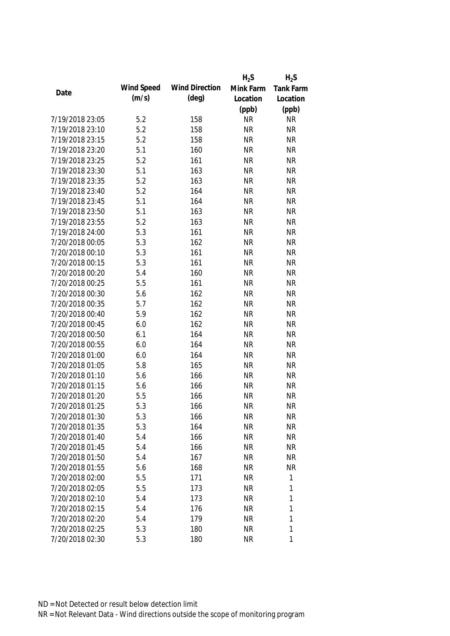|                 |            |                       | $H_2S$    | $H_2S$    |
|-----------------|------------|-----------------------|-----------|-----------|
|                 | Wind Speed | <b>Wind Direction</b> | Mink Farm | Tank Farm |
| Date            | (m/s)      | $(\text{deg})$        | Location  | Location  |
|                 |            |                       | (ppb)     | (ppb)     |
| 7/19/2018 23:05 | 5.2        | 158                   | <b>NR</b> | <b>NR</b> |
| 7/19/2018 23:10 | 5.2        | 158                   | <b>NR</b> | <b>NR</b> |
| 7/19/2018 23:15 | 5.2        | 158                   | <b>NR</b> | <b>NR</b> |
| 7/19/2018 23:20 | 5.1        | 160                   | <b>NR</b> | <b>NR</b> |
| 7/19/2018 23:25 | 5.2        | 161                   | <b>NR</b> | <b>NR</b> |
| 7/19/2018 23:30 | 5.1        | 163                   | <b>NR</b> | <b>NR</b> |
| 7/19/2018 23:35 | 5.2        | 163                   | <b>NR</b> | <b>NR</b> |
| 7/19/2018 23:40 | 5.2        | 164                   | <b>NR</b> | <b>NR</b> |
| 7/19/2018 23:45 | 5.1        | 164                   | <b>NR</b> | <b>NR</b> |
| 7/19/2018 23:50 | 5.1        | 163                   | <b>NR</b> | <b>NR</b> |
| 7/19/2018 23:55 | 5.2        | 163                   | <b>NR</b> | <b>NR</b> |
| 7/19/2018 24:00 | 5.3        | 161                   | <b>NR</b> | <b>NR</b> |
| 7/20/2018 00:05 | 5.3        | 162                   | <b>NR</b> | <b>NR</b> |
| 7/20/2018 00:10 | 5.3        | 161                   | <b>NR</b> | <b>NR</b> |
| 7/20/2018 00:15 | 5.3        | 161                   | <b>NR</b> | <b>NR</b> |
| 7/20/2018 00:20 | 5.4        | 160                   | <b>NR</b> | <b>NR</b> |
| 7/20/2018 00:25 | 5.5        | 161                   | <b>NR</b> | <b>NR</b> |
| 7/20/2018 00:30 | 5.6        | 162                   | <b>NR</b> | <b>NR</b> |
| 7/20/2018 00:35 | 5.7        | 162                   | <b>NR</b> | <b>NR</b> |
| 7/20/2018 00:40 | 5.9        | 162                   | <b>NR</b> | <b>NR</b> |
| 7/20/2018 00:45 | 6.0        | 162                   | <b>NR</b> | <b>NR</b> |
| 7/20/2018 00:50 | 6.1        | 164                   | <b>NR</b> | <b>NR</b> |
| 7/20/2018 00:55 | 6.0        | 164                   | <b>NR</b> | <b>NR</b> |
| 7/20/2018 01:00 | 6.0        | 164                   | <b>NR</b> | <b>NR</b> |
| 7/20/2018 01:05 | 5.8        | 165                   | <b>NR</b> | <b>NR</b> |
| 7/20/2018 01:10 | 5.6        | 166                   | <b>NR</b> | <b>NR</b> |
| 7/20/2018 01:15 | 5.6        | 166                   | <b>NR</b> | <b>NR</b> |
| 7/20/2018 01:20 | 5.5        | 166                   | <b>NR</b> | <b>NR</b> |
| 7/20/2018 01:25 | 5.3        | 166                   | <b>NR</b> | <b>NR</b> |
| 7/20/2018 01:30 | 5.3        | 166                   | <b>NR</b> | <b>NR</b> |
| 7/20/2018 01:35 | 5.3        | 164                   | <b>NR</b> | <b>NR</b> |
| 7/20/2018 01:40 | 5.4        | 166                   | <b>NR</b> | <b>NR</b> |
| 7/20/2018 01:45 | 5.4        | 166                   | <b>NR</b> | <b>NR</b> |
| 7/20/2018 01:50 | 5.4        | 167                   | <b>NR</b> | <b>NR</b> |
| 7/20/2018 01:55 | 5.6        | 168                   | <b>NR</b> | <b>NR</b> |
| 7/20/2018 02:00 | 5.5        | 171                   | <b>NR</b> | 1         |
| 7/20/2018 02:05 | 5.5        | 173                   | <b>NR</b> | 1         |
| 7/20/2018 02:10 | 5.4        | 173                   | <b>NR</b> | 1         |
| 7/20/2018 02:15 | 5.4        | 176                   | <b>NR</b> | 1         |
| 7/20/2018 02:20 | 5.4        | 179                   | <b>NR</b> | 1         |
| 7/20/2018 02:25 | 5.3        | 180                   | <b>NR</b> | 1         |
| 7/20/2018 02:30 | 5.3        | 180                   | <b>NR</b> | 1         |
|                 |            |                       |           |           |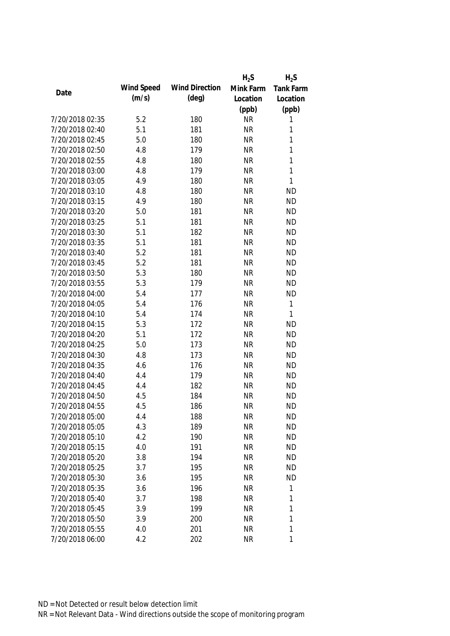|                 |            |                       | $H_2S$    | $H_2S$       |
|-----------------|------------|-----------------------|-----------|--------------|
|                 | Wind Speed | <b>Wind Direction</b> | Mink Farm | Tank Farm    |
| Date            | (m/s)      | $(\text{deg})$        | Location  | Location     |
|                 |            |                       | (ppb)     | (ppb)        |
| 7/20/2018 02:35 | 5.2        | 180                   | <b>NR</b> | 1            |
| 7/20/2018 02:40 | 5.1        | 181                   | <b>NR</b> | 1            |
| 7/20/2018 02:45 | 5.0        | 180                   | <b>NR</b> | $\mathbf{1}$ |
| 7/20/2018 02:50 | 4.8        | 179                   | <b>NR</b> | $\mathbf{1}$ |
| 7/20/2018 02:55 | 4.8        | 180                   | <b>NR</b> | $\mathbf{1}$ |
| 7/20/2018 03:00 | 4.8        | 179                   | <b>NR</b> | $\mathbf{1}$ |
| 7/20/2018 03:05 | 4.9        | 180                   | <b>NR</b> | $\mathbf{1}$ |
| 7/20/2018 03:10 | 4.8        | 180                   | <b>NR</b> | <b>ND</b>    |
| 7/20/2018 03:15 | 4.9        | 180                   | <b>NR</b> | <b>ND</b>    |
| 7/20/2018 03:20 | 5.0        | 181                   | <b>NR</b> | <b>ND</b>    |
| 7/20/2018 03:25 | 5.1        | 181                   | <b>NR</b> | <b>ND</b>    |
| 7/20/2018 03:30 | 5.1        | 182                   | <b>NR</b> | <b>ND</b>    |
| 7/20/2018 03:35 | 5.1        | 181                   | <b>NR</b> | <b>ND</b>    |
| 7/20/2018 03:40 | 5.2        | 181                   | <b>NR</b> | <b>ND</b>    |
| 7/20/2018 03:45 | 5.2        | 181                   | <b>NR</b> | <b>ND</b>    |
| 7/20/2018 03:50 | 5.3        | 180                   | <b>NR</b> | <b>ND</b>    |
| 7/20/2018 03:55 | 5.3        | 179                   | <b>NR</b> | <b>ND</b>    |
| 7/20/2018 04:00 | 5.4        | 177                   | <b>NR</b> | <b>ND</b>    |
| 7/20/2018 04:05 | 5.4        | 176                   | <b>NR</b> | $\mathbf{1}$ |
| 7/20/2018 04:10 | 5.4        | 174                   | <b>NR</b> | $\mathbf{1}$ |
| 7/20/2018 04:15 | 5.3        | 172                   | <b>NR</b> | <b>ND</b>    |
| 7/20/2018 04:20 | 5.1        | 172                   | <b>NR</b> | <b>ND</b>    |
| 7/20/2018 04:25 | 5.0        | 173                   | <b>NR</b> | <b>ND</b>    |
| 7/20/2018 04:30 | 4.8        | 173                   | <b>NR</b> | <b>ND</b>    |
| 7/20/2018 04:35 | 4.6        | 176                   | <b>NR</b> | <b>ND</b>    |
| 7/20/2018 04:40 | 4.4        | 179                   | <b>NR</b> | <b>ND</b>    |
| 7/20/2018 04:45 | 4.4        | 182                   | <b>NR</b> | <b>ND</b>    |
| 7/20/2018 04:50 | 4.5        | 184                   | <b>NR</b> | <b>ND</b>    |
| 7/20/2018 04:55 | 4.5        | 186                   | <b>NR</b> | <b>ND</b>    |
| 7/20/2018 05:00 | 4.4        | 188                   | <b>NR</b> | <b>ND</b>    |
| 7/20/2018 05:05 | 4.3        | 189                   | <b>NR</b> | <b>ND</b>    |
| 7/20/2018 05:10 | 4.2        | 190                   | <b>NR</b> | <b>ND</b>    |
| 7/20/2018 05:15 | 4.0        | 191                   | <b>NR</b> | <b>ND</b>    |
| 7/20/2018 05:20 | 3.8        | 194                   | <b>NR</b> | <b>ND</b>    |
| 7/20/2018 05:25 | 3.7        | 195                   | <b>NR</b> | <b>ND</b>    |
| 7/20/2018 05:30 | 3.6        | 195                   | <b>NR</b> | <b>ND</b>    |
| 7/20/2018 05:35 | 3.6        | 196                   | <b>NR</b> | $\mathbf 1$  |
| 7/20/2018 05:40 | 3.7        | 198                   | <b>NR</b> | 1            |
| 7/20/2018 05:45 | 3.9        | 199                   | <b>NR</b> | 1            |
| 7/20/2018 05:50 | 3.9        | 200                   | <b>NR</b> | 1            |
| 7/20/2018 05:55 | 4.0        | 201                   | <b>NR</b> | 1            |
| 7/20/2018 06:00 | 4.2        | 202                   | <b>NR</b> | 1            |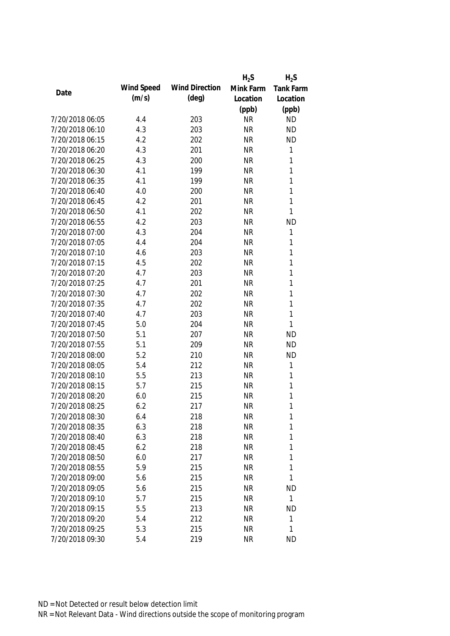|                                    |            |                       | $H_2S$    | $H_2S$       |
|------------------------------------|------------|-----------------------|-----------|--------------|
| Date                               | Wind Speed | <b>Wind Direction</b> | Mink Farm | Tank Farm    |
|                                    | (m/s)      | (deg)                 | Location  | Location     |
|                                    |            |                       | (ppb)     | (ppb)        |
| 7/20/2018 06:05                    | 4.4        | 203                   | <b>NR</b> | <b>ND</b>    |
| 7/20/2018 06:10                    | 4.3        | 203                   | <b>NR</b> | <b>ND</b>    |
| 7/20/2018 06:15                    | 4.2        | 202                   | <b>NR</b> | <b>ND</b>    |
| 7/20/2018 06:20                    | 4.3        | 201                   | <b>NR</b> | $\mathbf{1}$ |
| 7/20/2018 06:25                    | 4.3        | 200                   | <b>NR</b> | 1            |
| 7/20/2018 06:30                    | 4.1        | 199                   | <b>NR</b> | 1            |
| 7/20/2018 06:35                    | 4.1        | 199                   | <b>NR</b> | 1            |
| 7/20/2018 06:40                    | 4.0        | 200                   | <b>NR</b> | $\mathbf{1}$ |
| 7/20/2018 06:45                    | 4.2        | 201                   | <b>NR</b> | 1            |
| 7/20/2018 06:50                    | 4.1        | 202                   | <b>NR</b> | 1            |
| 7/20/2018 06:55                    | 4.2        | 203                   | <b>NR</b> | <b>ND</b>    |
| 7/20/2018 07:00                    | 4.3        | 204                   | <b>NR</b> | $\mathbf{1}$ |
| 7/20/2018 07:05                    | 4.4        | 204                   | <b>NR</b> | 1            |
| 7/20/2018 07:10                    | 4.6        | 203                   | <b>NR</b> | $\mathbf{1}$ |
| 7/20/2018 07:15                    | 4.5        | 202                   | <b>NR</b> | $\mathbf{1}$ |
| 7/20/2018 07:20                    | 4.7        | 203                   | <b>NR</b> | $\mathbf{1}$ |
| 7/20/2018 07:25                    | 4.7        | 201                   | <b>NR</b> | 1            |
| 7/20/2018 07:30                    | 4.7        | 202                   | <b>NR</b> | 1            |
| 7/20/2018 07:35                    | 4.7        | 202                   | <b>NR</b> | 1            |
| 7/20/2018 07:40                    | 4.7        | 203                   | <b>NR</b> | 1            |
| 7/20/2018 07:45                    | 5.0        | 204                   | <b>NR</b> | 1            |
| 7/20/2018 07:50                    | 5.1        | 207                   | <b>NR</b> | <b>ND</b>    |
| 7/20/2018 07:55                    | 5.1        | 209                   | <b>NR</b> | <b>ND</b>    |
| 7/20/2018 08:00                    | 5.2        | 210                   | <b>NR</b> | <b>ND</b>    |
| 7/20/2018 08:05                    | 5.4        | 212                   | <b>NR</b> | 1            |
| 7/20/2018 08:10                    | 5.5        | 213                   | <b>NR</b> | 1            |
| 7/20/2018 08:15                    | 5.7        | 215                   | <b>NR</b> | 1            |
| 7/20/2018 08:20                    | 6.0        | 215                   | <b>NR</b> | 1            |
| 7/20/2018 08:25                    | 6.2        | 217                   | <b>NR</b> | 1            |
| 7/20/2018 08:30                    | 6.4        | 218                   | <b>NR</b> | 1            |
| 7/20/2018 08:35                    | 6.3        | 218                   | <b>NR</b> | 1            |
| 7/20/2018 08:40                    | 6.3        | 218                   | <b>NR</b> | 1            |
| 7/20/2018 08:45                    | 6.2        | 218                   | <b>NR</b> | 1            |
|                                    |            |                       |           | 1            |
| 7/20/2018 08:50<br>7/20/2018 08:55 | 6.0        | 217                   | <b>NR</b> | 1            |
|                                    | 5.9        | 215                   | <b>NR</b> | 1            |
| 7/20/2018 09:00                    | 5.6        | 215                   | <b>NR</b> |              |
| 7/20/2018 09:05                    | 5.6        | 215                   | <b>NR</b> | <b>ND</b>    |
| 7/20/2018 09:10                    | 5.7        | 215                   | <b>NR</b> | $\mathbf{1}$ |
| 7/20/2018 09:15                    | 5.5        | 213                   | <b>NR</b> | <b>ND</b>    |
| 7/20/2018 09:20                    | 5.4        | 212                   | <b>NR</b> | 1            |
| 7/20/2018 09:25                    | 5.3        | 215                   | <b>NR</b> | 1            |
| 7/20/2018 09:30                    | 5.4        | 219                   | <b>NR</b> | <b>ND</b>    |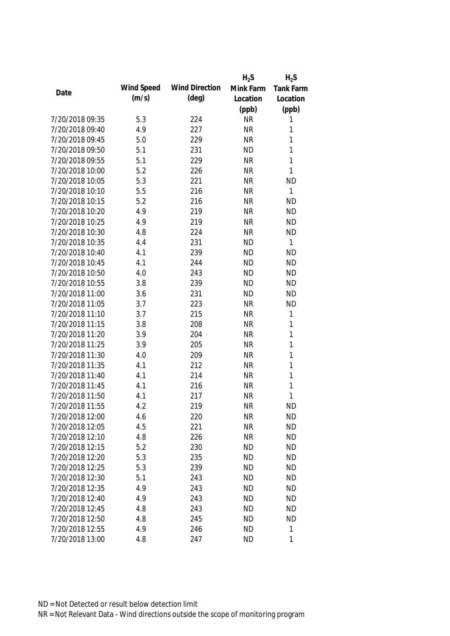|                 |            |                       | $H_2S$    | $H_2S$           |
|-----------------|------------|-----------------------|-----------|------------------|
|                 | Wind Speed | <b>Wind Direction</b> | Mink Farm | <b>Tank Farm</b> |
| Date            | (m/s)      | $(\text{deg})$        | Location  | Location         |
|                 |            |                       | (ppb)     | (ppb)            |
| 7/20/2018 09:35 | 5.3        | 224                   | <b>NR</b> | 1                |
| 7/20/2018 09:40 | 4.9        | 227                   | <b>NR</b> | 1                |
| 7/20/2018 09:45 | 5.0        | 229                   | <b>NR</b> | 1                |
| 7/20/2018 09:50 | 5.1        | 231                   | <b>ND</b> | 1                |
| 7/20/2018 09:55 | 5.1        | 229                   | <b>NR</b> | 1                |
| 7/20/2018 10:00 | 5.2        | 226                   | <b>NR</b> | $\mathbf{1}$     |
| 7/20/2018 10:05 | 5.3        | 221                   | <b>NR</b> | <b>ND</b>        |
| 7/20/2018 10:10 | 5.5        | 216                   | <b>NR</b> | 1                |
| 7/20/2018 10:15 | 5.2        | 216                   | <b>NR</b> | <b>ND</b>        |
| 7/20/2018 10:20 | 4.9        | 219                   | <b>NR</b> | <b>ND</b>        |
| 7/20/2018 10:25 | 4.9        | 219                   | <b>NR</b> | <b>ND</b>        |
| 7/20/2018 10:30 | 4.8        | 224                   | <b>NR</b> | <b>ND</b>        |
| 7/20/2018 10:35 | 4.4        | 231                   | <b>ND</b> | 1                |
| 7/20/2018 10:40 | 4.1        | 239                   | <b>ND</b> | <b>ND</b>        |
| 7/20/2018 10:45 | 4.1        | 244                   | <b>ND</b> | <b>ND</b>        |
| 7/20/2018 10:50 | 4.0        | 243                   | <b>ND</b> | <b>ND</b>        |
| 7/20/2018 10:55 | 3.8        | 239                   | <b>ND</b> | <b>ND</b>        |
| 7/20/2018 11:00 | 3.6        | 231                   | <b>ND</b> | <b>ND</b>        |
| 7/20/2018 11:05 | 3.7        | 223                   | <b>NR</b> | <b>ND</b>        |
| 7/20/2018 11:10 | 3.7        | 215                   | <b>NR</b> | 1                |
| 7/20/2018 11:15 | 3.8        | 208                   | <b>NR</b> | 1                |
| 7/20/2018 11:20 | 3.9        | 204                   | <b>NR</b> | 1                |
| 7/20/2018 11:25 | 3.9        | 205                   | <b>NR</b> | 1                |
| 7/20/2018 11:30 | 4.0        | 209                   | <b>NR</b> | 1                |
| 7/20/2018 11:35 | 4.1        | 212                   | <b>NR</b> | 1                |
| 7/20/2018 11:40 | 4.1        | 214                   | <b>NR</b> | 1                |
| 7/20/2018 11:45 | 4.1        | 216                   | <b>NR</b> | 1                |
| 7/20/2018 11:50 | 4.1        | 217                   | <b>NR</b> | 1                |
| 7/20/2018 11:55 | 4.2        | 219                   | <b>NR</b> | <b>ND</b>        |
| 7/20/2018 12:00 | 4.6        | 220                   | <b>NR</b> | <b>ND</b>        |
| 7/20/2018 12:05 | 4.5        | 221                   | <b>NR</b> | <b>ND</b>        |
| 7/20/2018 12:10 | 4.8        | 226                   | <b>NR</b> | <b>ND</b>        |
| 7/20/2018 12:15 | 5.2        | 230                   | <b>ND</b> | <b>ND</b>        |
| 7/20/2018 12:20 | 5.3        | 235                   | <b>ND</b> | <b>ND</b>        |
| 7/20/2018 12:25 | 5.3        | 239                   | <b>ND</b> | <b>ND</b>        |
| 7/20/2018 12:30 | 5.1        | 243                   | <b>ND</b> | <b>ND</b>        |
| 7/20/2018 12:35 | 4.9        | 243                   | <b>ND</b> | <b>ND</b>        |
| 7/20/2018 12:40 | 4.9        | 243                   | <b>ND</b> | ND               |
| 7/20/2018 12:45 | 4.8        | 243                   | <b>ND</b> | <b>ND</b>        |
| 7/20/2018 12:50 | 4.8        | 245                   | <b>ND</b> | <b>ND</b>        |
| 7/20/2018 12:55 | 4.9        | 246                   | <b>ND</b> | 1                |
| 7/20/2018 13:00 | 4.8        | 247                   | <b>ND</b> | 1                |
|                 |            |                       |           |                  |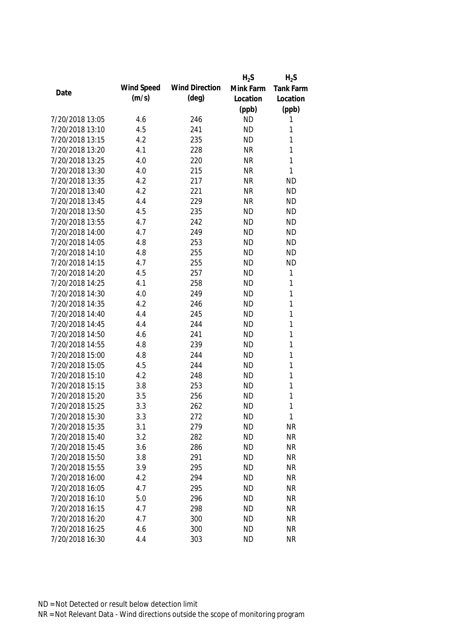|                 |            |                       | $H_2S$    | $H_2S$           |
|-----------------|------------|-----------------------|-----------|------------------|
|                 | Wind Speed | <b>Wind Direction</b> | Mink Farm | <b>Tank Farm</b> |
| Date            | (m/s)      | $(\text{deg})$        | Location  | Location         |
|                 |            |                       | (ppb)     | (ppb)            |
| 7/20/2018 13:05 | 4.6        | 246                   | <b>ND</b> | 1                |
| 7/20/2018 13:10 | 4.5        | 241                   | <b>ND</b> | 1                |
| 7/20/2018 13:15 | 4.2        | 235                   | <b>ND</b> | 1                |
| 7/20/2018 13:20 | 4.1        | 228                   | <b>NR</b> | 1                |
| 7/20/2018 13:25 | 4.0        | 220                   | <b>NR</b> | 1                |
| 7/20/2018 13:30 | 4.0        | 215                   | <b>NR</b> | $\mathbf{1}$     |
| 7/20/2018 13:35 | 4.2        | 217                   | <b>NR</b> | <b>ND</b>        |
| 7/20/2018 13:40 | 4.2        | 221                   | <b>NR</b> | <b>ND</b>        |
| 7/20/2018 13:45 | 4.4        | 229                   | <b>NR</b> | <b>ND</b>        |
| 7/20/2018 13:50 | 4.5        | 235                   | <b>ND</b> | <b>ND</b>        |
| 7/20/2018 13:55 | 4.7        | 242                   | <b>ND</b> | <b>ND</b>        |
| 7/20/2018 14:00 | 4.7        | 249                   | <b>ND</b> | <b>ND</b>        |
| 7/20/2018 14:05 | 4.8        | 253                   | <b>ND</b> | <b>ND</b>        |
| 7/20/2018 14:10 | 4.8        | 255                   | <b>ND</b> | <b>ND</b>        |
| 7/20/2018 14:15 | 4.7        | 255                   | <b>ND</b> | <b>ND</b>        |
| 7/20/2018 14:20 | 4.5        | 257                   | <b>ND</b> | 1                |
| 7/20/2018 14:25 | 4.1        | 258                   | <b>ND</b> | 1                |
| 7/20/2018 14:30 | 4.0        | 249                   | <b>ND</b> | 1                |
| 7/20/2018 14:35 | 4.2        | 246                   | <b>ND</b> | 1                |
| 7/20/2018 14:40 | 4.4        | 245                   | <b>ND</b> | 1                |
| 7/20/2018 14:45 | 4.4        | 244                   | <b>ND</b> | 1                |
| 7/20/2018 14:50 | 4.6        | 241                   | <b>ND</b> | 1                |
| 7/20/2018 14:55 | 4.8        | 239                   | <b>ND</b> | 1                |
| 7/20/2018 15:00 | 4.8        | 244                   | <b>ND</b> | 1                |
| 7/20/2018 15:05 | 4.5        | 244                   | <b>ND</b> | 1                |
| 7/20/2018 15:10 | 4.2        | 248                   | <b>ND</b> | 1                |
| 7/20/2018 15:15 | 3.8        | 253                   | <b>ND</b> | 1                |
| 7/20/2018 15:20 | 3.5        | 256                   | <b>ND</b> | 1                |
| 7/20/2018 15:25 | 3.3        | 262                   | <b>ND</b> | 1                |
| 7/20/2018 15:30 | 3.3        | 272                   | <b>ND</b> | 1                |
| 7/20/2018 15:35 | 3.1        | 279                   | <b>ND</b> | <b>NR</b>        |
| 7/20/2018 15:40 | 3.2        | 282                   | <b>ND</b> | <b>NR</b>        |
| 7/20/2018 15:45 | 3.6        | 286                   | <b>ND</b> | <b>NR</b>        |
| 7/20/2018 15:50 | 3.8        | 291                   | <b>ND</b> | <b>NR</b>        |
| 7/20/2018 15:55 | 3.9        | 295                   | <b>ND</b> | <b>NR</b>        |
| 7/20/2018 16:00 | 4.2        | 294                   | <b>ND</b> | <b>NR</b>        |
| 7/20/2018 16:05 | 4.7        | 295                   | <b>ND</b> | <b>NR</b>        |
| 7/20/2018 16:10 | 5.0        | 296                   | <b>ND</b> | <b>NR</b>        |
| 7/20/2018 16:15 | 4.7        | 298                   | <b>ND</b> | <b>NR</b>        |
| 7/20/2018 16:20 | 4.7        | 300                   | <b>ND</b> | <b>NR</b>        |
| 7/20/2018 16:25 | 4.6        | 300                   | <b>ND</b> | <b>NR</b>        |
| 7/20/2018 16:30 | 4.4        | 303                   | <b>ND</b> | <b>NR</b>        |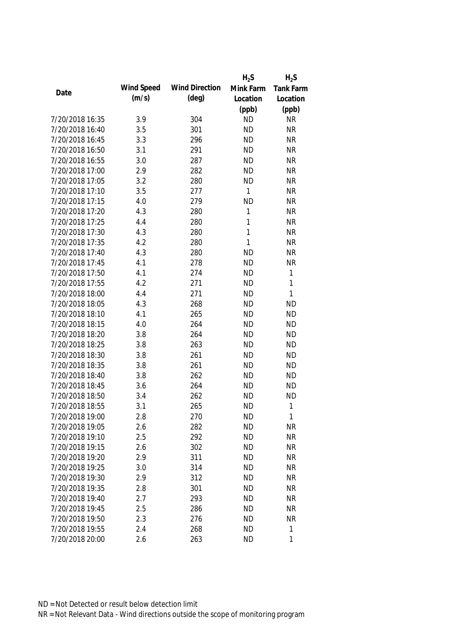|                 |            |                       | $H_2S$    | $H_2S$           |
|-----------------|------------|-----------------------|-----------|------------------|
|                 | Wind Speed | <b>Wind Direction</b> | Mink Farm | <b>Tank Farm</b> |
| Date            | (m/s)      | $(\text{deg})$        | Location  | Location         |
|                 |            |                       | (ppb)     | (ppb)            |
| 7/20/2018 16:35 | 3.9        | 304                   | <b>ND</b> | <b>NR</b>        |
| 7/20/2018 16:40 | 3.5        | 301                   | <b>ND</b> | <b>NR</b>        |
| 7/20/2018 16:45 | 3.3        | 296                   | <b>ND</b> | <b>NR</b>        |
| 7/20/2018 16:50 | 3.1        | 291                   | <b>ND</b> | <b>NR</b>        |
| 7/20/2018 16:55 | 3.0        | 287                   | <b>ND</b> | <b>NR</b>        |
| 7/20/2018 17:00 | 2.9        | 282                   | <b>ND</b> | <b>NR</b>        |
| 7/20/2018 17:05 | 3.2        | 280                   | <b>ND</b> | <b>NR</b>        |
| 7/20/2018 17:10 | 3.5        | 277                   | 1         | <b>NR</b>        |
| 7/20/2018 17:15 | 4.0        | 279                   | <b>ND</b> | <b>NR</b>        |
| 7/20/2018 17:20 | 4.3        | 280                   | 1         | <b>NR</b>        |
| 7/20/2018 17:25 | 4.4        | 280                   | 1         | <b>NR</b>        |
| 7/20/2018 17:30 | 4.3        | 280                   | 1         | <b>NR</b>        |
| 7/20/2018 17:35 | 4.2        | 280                   | 1         | <b>NR</b>        |
| 7/20/2018 17:40 | 4.3        | 280                   | <b>ND</b> | <b>NR</b>        |
| 7/20/2018 17:45 | 4.1        | 278                   | <b>ND</b> | <b>NR</b>        |
| 7/20/2018 17:50 | 4.1        | 274                   | <b>ND</b> | $\mathbf{1}$     |
| 7/20/2018 17:55 | 4.2        | 271                   | <b>ND</b> | $\mathbf{1}$     |
| 7/20/2018 18:00 | 4.4        | 271                   | <b>ND</b> | $\mathbf{1}$     |
| 7/20/2018 18:05 | 4.3        | 268                   | <b>ND</b> | <b>ND</b>        |
| 7/20/2018 18:10 | 4.1        | 265                   | <b>ND</b> | <b>ND</b>        |
| 7/20/2018 18:15 | 4.0        | 264                   | <b>ND</b> | <b>ND</b>        |
| 7/20/2018 18:20 | 3.8        | 264                   | <b>ND</b> | <b>ND</b>        |
| 7/20/2018 18:25 | 3.8        | 263                   | <b>ND</b> | <b>ND</b>        |
| 7/20/2018 18:30 | 3.8        | 261                   | <b>ND</b> | <b>ND</b>        |
| 7/20/2018 18:35 | 3.8        | 261                   | <b>ND</b> | <b>ND</b>        |
| 7/20/2018 18:40 | 3.8        | 262                   | <b>ND</b> | <b>ND</b>        |
| 7/20/2018 18:45 | 3.6        | 264                   | <b>ND</b> | <b>ND</b>        |
| 7/20/2018 18:50 | 3.4        | 262                   | <b>ND</b> | <b>ND</b>        |
| 7/20/2018 18:55 | 3.1        | 265                   | <b>ND</b> | $\mathbf{1}$     |
| 7/20/2018 19:00 | 2.8        | 270                   | <b>ND</b> | $\mathbf{1}$     |
| 7/20/2018 19:05 | 2.6        | 282                   | <b>ND</b> | <b>NR</b>        |
| 7/20/2018 19:10 | 2.5        | 292                   | <b>ND</b> | <b>NR</b>        |
| 7/20/2018 19:15 | 2.6        | 302                   | <b>ND</b> | <b>NR</b>        |
| 7/20/2018 19:20 |            |                       |           |                  |
|                 | 2.9        | 311                   | <b>ND</b> | <b>NR</b>        |
| 7/20/2018 19:25 | 3.0        | 314                   | <b>ND</b> | <b>NR</b>        |
| 7/20/2018 19:30 | 2.9        | 312                   | <b>ND</b> | <b>NR</b>        |
| 7/20/2018 19:35 | 2.8        | 301                   | <b>ND</b> | <b>NR</b>        |
| 7/20/2018 19:40 | 2.7        | 293                   | <b>ND</b> | <b>NR</b>        |
| 7/20/2018 19:45 | 2.5        | 286                   | <b>ND</b> | <b>NR</b>        |
| 7/20/2018 19:50 | 2.3        | 276                   | <b>ND</b> | <b>NR</b>        |
| 7/20/2018 19:55 | 2.4        | 268                   | <b>ND</b> | $\mathbf{1}$     |
| 7/20/2018 20:00 | 2.6        | 263                   | <b>ND</b> | 1                |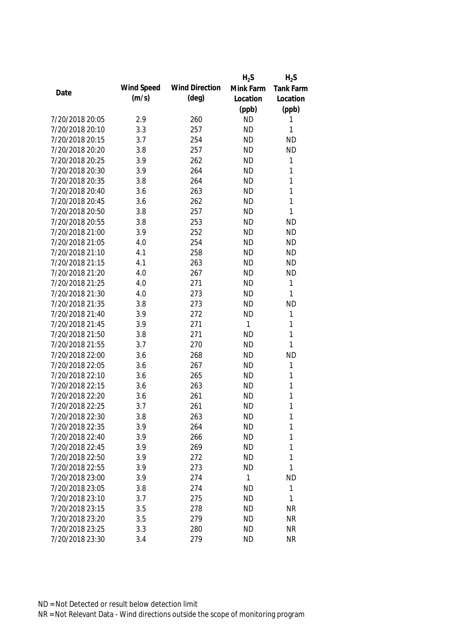|                 |            |                       | $H_2S$    | $H_2S$           |
|-----------------|------------|-----------------------|-----------|------------------|
|                 | Wind Speed | <b>Wind Direction</b> | Mink Farm | <b>Tank Farm</b> |
| Date            | (m/s)      | $(\text{deg})$        | Location  | Location         |
|                 |            |                       | (ppb)     | (ppb)            |
| 7/20/2018 20:05 | 2.9        | 260                   | <b>ND</b> | 1                |
| 7/20/2018 20:10 | 3.3        | 257                   | <b>ND</b> | 1                |
| 7/20/2018 20:15 | 3.7        | 254                   | <b>ND</b> | <b>ND</b>        |
| 7/20/2018 20:20 | 3.8        | 257                   | <b>ND</b> | <b>ND</b>        |
| 7/20/2018 20:25 | 3.9        | 262                   | <b>ND</b> | 1                |
| 7/20/2018 20:30 | 3.9        | 264                   | <b>ND</b> | 1                |
| 7/20/2018 20:35 | 3.8        | 264                   | <b>ND</b> | 1                |
| 7/20/2018 20:40 | 3.6        | 263                   | <b>ND</b> | 1                |
| 7/20/2018 20:45 | 3.6        | 262                   | <b>ND</b> | $\mathbf{1}$     |
| 7/20/2018 20:50 | 3.8        | 257                   | <b>ND</b> | $\mathbf{1}$     |
| 7/20/2018 20:55 | 3.8        | 253                   | <b>ND</b> | <b>ND</b>        |
| 7/20/2018 21:00 | 3.9        | 252                   | <b>ND</b> | <b>ND</b>        |
| 7/20/2018 21:05 | 4.0        | 254                   | <b>ND</b> | <b>ND</b>        |
| 7/20/2018 21:10 | 4.1        | 258                   | <b>ND</b> | <b>ND</b>        |
| 7/20/2018 21:15 | 4.1        | 263                   | <b>ND</b> | <b>ND</b>        |
| 7/20/2018 21:20 | 4.0        | 267                   | <b>ND</b> | <b>ND</b>        |
| 7/20/2018 21:25 | 4.0        | 271                   | <b>ND</b> | 1                |
| 7/20/2018 21:30 | 4.0        | 273                   | <b>ND</b> | 1                |
| 7/20/2018 21:35 | 3.8        | 273                   | <b>ND</b> | <b>ND</b>        |
| 7/20/2018 21:40 | 3.9        | 272                   | <b>ND</b> | 1                |
| 7/20/2018 21:45 | 3.9        | 271                   | 1         | 1                |
| 7/20/2018 21:50 | 3.8        | 271                   | <b>ND</b> | 1                |
| 7/20/2018 21:55 | 3.7        | 270                   | <b>ND</b> | 1                |
| 7/20/2018 22:00 | 3.6        | 268                   | <b>ND</b> | <b>ND</b>        |
| 7/20/2018 22:05 | 3.6        | 267                   | <b>ND</b> | 1                |
| 7/20/2018 22:10 | 3.6        | 265                   | <b>ND</b> | 1                |
| 7/20/2018 22:15 | 3.6        | 263                   | <b>ND</b> | 1                |
| 7/20/2018 22:20 | 3.6        | 261                   | <b>ND</b> | 1                |
| 7/20/2018 22:25 | 3.7        | 261                   | <b>ND</b> | 1                |
| 7/20/2018 22:30 | 3.8        | 263                   | ND        | 1                |
| 7/20/2018 22:35 | 3.9        | 264                   | <b>ND</b> | 1                |
| 7/20/2018 22:40 | 3.9        | 266                   | <b>ND</b> | 1                |
| 7/20/2018 22:45 | 3.9        | 269                   | <b>ND</b> | 1                |
| 7/20/2018 22:50 | 3.9        | 272                   | <b>ND</b> | 1                |
| 7/20/2018 22:55 | 3.9        | 273                   | <b>ND</b> | 1                |
| 7/20/2018 23:00 | 3.9        | 274                   | 1         | <b>ND</b>        |
| 7/20/2018 23:05 | 3.8        | 274                   | <b>ND</b> | 1                |
| 7/20/2018 23:10 | 3.7        | 275                   | <b>ND</b> | $\mathbf{1}$     |
| 7/20/2018 23:15 | 3.5        | 278                   | <b>ND</b> | <b>NR</b>        |
| 7/20/2018 23:20 | 3.5        | 279                   | <b>ND</b> | <b>NR</b>        |
| 7/20/2018 23:25 | 3.3        | 280                   | <b>ND</b> | <b>NR</b>        |
| 7/20/2018 23:30 | 3.4        | 279                   | <b>ND</b> | <b>NR</b>        |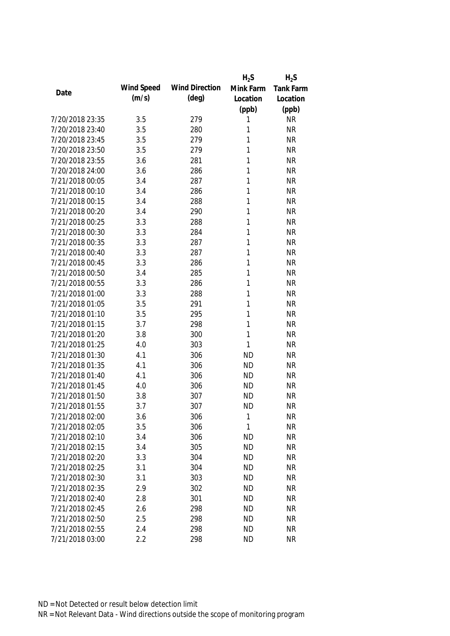|                 |            |                       | $H_2S$    | $H_2S$           |
|-----------------|------------|-----------------------|-----------|------------------|
| Date            | Wind Speed | <b>Wind Direction</b> | Mink Farm | <b>Tank Farm</b> |
|                 | (m/s)      | $(\text{deg})$        | Location  | Location         |
|                 |            |                       | (ppb)     | (ppb)            |
| 7/20/2018 23:35 | 3.5        | 279                   | 1         | <b>NR</b>        |
| 7/20/2018 23:40 | 3.5        | 280                   | 1         | <b>NR</b>        |
| 7/20/2018 23:45 | 3.5        | 279                   | 1         | <b>NR</b>        |
| 7/20/2018 23:50 | 3.5        | 279                   | 1         | <b>NR</b>        |
| 7/20/2018 23:55 | 3.6        | 281                   | 1         | <b>NR</b>        |
| 7/20/2018 24:00 | 3.6        | 286                   | 1         | <b>NR</b>        |
| 7/21/2018 00:05 | 3.4        | 287                   | 1         | <b>NR</b>        |
| 7/21/2018 00:10 | 3.4        | 286                   | 1         | <b>NR</b>        |
| 7/21/2018 00:15 | 3.4        | 288                   | 1         | <b>NR</b>        |
| 7/21/2018 00:20 | 3.4        | 290                   | 1         | <b>NR</b>        |
| 7/21/2018 00:25 | 3.3        | 288                   | 1         | <b>NR</b>        |
| 7/21/2018 00:30 | 3.3        | 284                   | 1         | <b>NR</b>        |
| 7/21/2018 00:35 | 3.3        | 287                   | 1         | <b>NR</b>        |
| 7/21/2018 00:40 | 3.3        | 287                   | 1         | <b>NR</b>        |
| 7/21/2018 00:45 | 3.3        | 286                   | 1         | <b>NR</b>        |
| 7/21/2018 00:50 | 3.4        | 285                   | 1         | <b>NR</b>        |
| 7/21/2018 00:55 | 3.3        | 286                   | 1         | <b>NR</b>        |
| 7/21/2018 01:00 | 3.3        | 288                   | 1         | <b>NR</b>        |
| 7/21/2018 01:05 | 3.5        | 291                   | 1         | <b>NR</b>        |
| 7/21/2018 01:10 | 3.5        | 295                   | 1         | <b>NR</b>        |
| 7/21/2018 01:15 | 3.7        | 298                   | 1         | <b>NR</b>        |
| 7/21/2018 01:20 | 3.8        | 300                   | 1         | <b>NR</b>        |
| 7/21/2018 01:25 | 4.0        | 303                   | 1         | <b>NR</b>        |
| 7/21/2018 01:30 | 4.1        | 306                   | <b>ND</b> | <b>NR</b>        |
| 7/21/2018 01:35 | 4.1        | 306                   | <b>ND</b> | <b>NR</b>        |
| 7/21/2018 01:40 | 4.1        | 306                   | <b>ND</b> | <b>NR</b>        |
| 7/21/2018 01:45 | 4.0        | 306                   | <b>ND</b> | <b>NR</b>        |
| 7/21/2018 01:50 | 3.8        | 307                   | <b>ND</b> | <b>NR</b>        |
| 7/21/2018 01:55 | 3.7        | 307                   | <b>ND</b> | <b>NR</b>        |
| 7/21/2018 02:00 | 3.6        | 306                   | 1         | <b>NR</b>        |
| 7/21/2018 02:05 | 3.5        | 306                   | 1         | <b>NR</b>        |
| 7/21/2018 02:10 | 3.4        | 306                   | <b>ND</b> | <b>NR</b>        |
| 7/21/2018 02:15 | 3.4        | 305                   | <b>ND</b> | <b>NR</b>        |
| 7/21/2018 02:20 | 3.3        | 304                   | <b>ND</b> | <b>NR</b>        |
| 7/21/2018 02:25 | 3.1        | 304                   | <b>ND</b> | <b>NR</b>        |
| 7/21/2018 02:30 | 3.1        | 303                   | <b>ND</b> | <b>NR</b>        |
| 7/21/2018 02:35 | 2.9        | 302                   | <b>ND</b> | <b>NR</b>        |
| 7/21/2018 02:40 | 2.8        | 301                   | <b>ND</b> | <b>NR</b>        |
| 7/21/2018 02:45 | 2.6        | 298                   | <b>ND</b> | <b>NR</b>        |
| 7/21/2018 02:50 | 2.5        | 298                   | <b>ND</b> | <b>NR</b>        |
| 7/21/2018 02:55 | 2.4        | 298                   | <b>ND</b> | <b>NR</b>        |
| 7/21/2018 03:00 | 2.2        | 298                   | <b>ND</b> | <b>NR</b>        |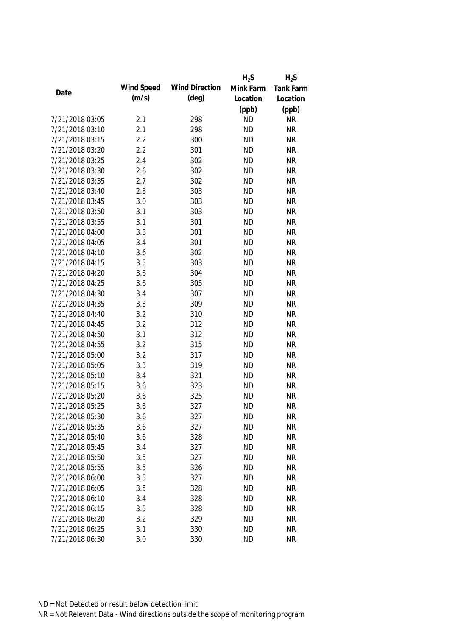|                 |            |                       | $H_2S$    | $H_2S$           |
|-----------------|------------|-----------------------|-----------|------------------|
|                 | Wind Speed | <b>Wind Direction</b> | Mink Farm | <b>Tank Farm</b> |
| Date            | (m/s)      | $(\text{deg})$        | Location  | Location         |
|                 |            |                       | (ppb)     | (ppb)            |
| 7/21/2018 03:05 | 2.1        | 298                   | <b>ND</b> | <b>NR</b>        |
| 7/21/2018 03:10 | 2.1        | 298                   | <b>ND</b> | <b>NR</b>        |
| 7/21/2018 03:15 | 2.2        | 300                   | <b>ND</b> | <b>NR</b>        |
| 7/21/2018 03:20 | 2.2        | 301                   | <b>ND</b> | <b>NR</b>        |
| 7/21/2018 03:25 | 2.4        | 302                   | <b>ND</b> | <b>NR</b>        |
| 7/21/2018 03:30 | 2.6        | 302                   | <b>ND</b> | <b>NR</b>        |
| 7/21/2018 03:35 | 2.7        | 302                   | <b>ND</b> | <b>NR</b>        |
| 7/21/2018 03:40 | 2.8        | 303                   | <b>ND</b> | <b>NR</b>        |
| 7/21/2018 03:45 | 3.0        | 303                   | <b>ND</b> | <b>NR</b>        |
| 7/21/2018 03:50 | 3.1        | 303                   | <b>ND</b> | <b>NR</b>        |
| 7/21/2018 03:55 | 3.1        | 301                   | <b>ND</b> | <b>NR</b>        |
| 7/21/2018 04:00 | 3.3        | 301                   | <b>ND</b> | <b>NR</b>        |
| 7/21/2018 04:05 | 3.4        | 301                   | <b>ND</b> | <b>NR</b>        |
| 7/21/2018 04:10 | 3.6        | 302                   | <b>ND</b> | <b>NR</b>        |
| 7/21/2018 04:15 | 3.5        | 303                   | <b>ND</b> | <b>NR</b>        |
| 7/21/2018 04:20 | 3.6        | 304                   | <b>ND</b> | <b>NR</b>        |
| 7/21/2018 04:25 | 3.6        | 305                   | <b>ND</b> | <b>NR</b>        |
| 7/21/2018 04:30 | 3.4        | 307                   | <b>ND</b> | <b>NR</b>        |
| 7/21/2018 04:35 | 3.3        | 309                   | <b>ND</b> | <b>NR</b>        |
| 7/21/2018 04:40 | 3.2        | 310                   | <b>ND</b> | <b>NR</b>        |
| 7/21/2018 04:45 | 3.2        | 312                   | <b>ND</b> | <b>NR</b>        |
| 7/21/2018 04:50 | 3.1        | 312                   | <b>ND</b> | <b>NR</b>        |
| 7/21/2018 04:55 | 3.2        | 315                   | <b>ND</b> | <b>NR</b>        |
| 7/21/2018 05:00 | 3.2        | 317                   | <b>ND</b> | <b>NR</b>        |
| 7/21/2018 05:05 | 3.3        | 319                   | <b>ND</b> | <b>NR</b>        |
| 7/21/2018 05:10 | 3.4        | 321                   | <b>ND</b> | <b>NR</b>        |
| 7/21/2018 05:15 | 3.6        | 323                   | <b>ND</b> | <b>NR</b>        |
| 7/21/2018 05:20 | 3.6        | 325                   | <b>ND</b> | <b>NR</b>        |
| 7/21/2018 05:25 | 3.6        | 327                   | <b>ND</b> | <b>NR</b>        |
| 7/21/2018 05:30 | 3.6        | 327                   | <b>ND</b> | <b>NR</b>        |
| 7/21/2018 05:35 | 3.6        | 327                   | <b>ND</b> | <b>NR</b>        |
| 7/21/2018 05:40 | 3.6        | 328                   | <b>ND</b> | <b>NR</b>        |
| 7/21/2018 05:45 | 3.4        | 327                   | <b>ND</b> | <b>NR</b>        |
| 7/21/2018 05:50 | 3.5        | 327                   | <b>ND</b> | <b>NR</b>        |
| 7/21/2018 05:55 | 3.5        | 326                   | <b>ND</b> | <b>NR</b>        |
| 7/21/2018 06:00 | 3.5        | 327                   | <b>ND</b> | <b>NR</b>        |
| 7/21/2018 06:05 | 3.5        | 328                   | <b>ND</b> | <b>NR</b>        |
| 7/21/2018 06:10 | 3.4        | 328                   | <b>ND</b> | <b>NR</b>        |
| 7/21/2018 06:15 | 3.5        | 328                   | <b>ND</b> | <b>NR</b>        |
| 7/21/2018 06:20 | 3.2        | 329                   | <b>ND</b> | <b>NR</b>        |
| 7/21/2018 06:25 | 3.1        | 330                   | <b>ND</b> | <b>NR</b>        |
| 7/21/2018 06:30 | 3.0        | 330                   | <b>ND</b> | <b>NR</b>        |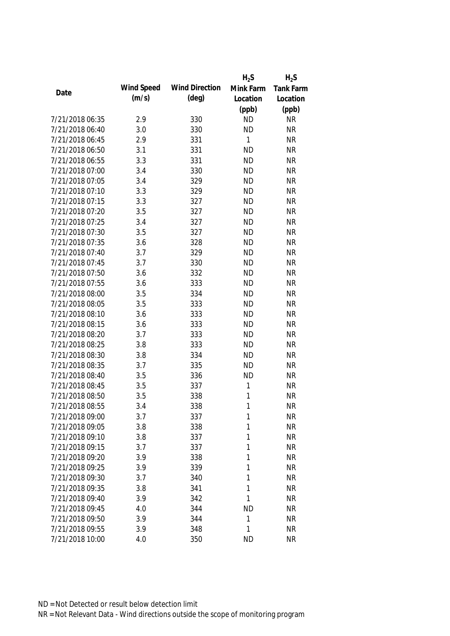|                 |            |                       | $H_2S$    | $H_2S$    |
|-----------------|------------|-----------------------|-----------|-----------|
|                 | Wind Speed | <b>Wind Direction</b> | Mink Farm | Tank Farm |
| Date            | (m/s)      | (deg)                 | Location  | Location  |
|                 |            |                       | (ppb)     | (ppb)     |
| 7/21/2018 06:35 | 2.9        | 330                   | <b>ND</b> | <b>NR</b> |
| 7/21/2018 06:40 | 3.0        | 330                   | <b>ND</b> | <b>NR</b> |
| 7/21/2018 06:45 | 2.9        | 331                   | 1         | <b>NR</b> |
| 7/21/2018 06:50 | 3.1        | 331                   | <b>ND</b> | <b>NR</b> |
| 7/21/2018 06:55 | 3.3        | 331                   | <b>ND</b> | <b>NR</b> |
| 7/21/2018 07:00 | 3.4        | 330                   | <b>ND</b> | <b>NR</b> |
| 7/21/2018 07:05 | 3.4        | 329                   | <b>ND</b> | <b>NR</b> |
| 7/21/2018 07:10 | 3.3        | 329                   | <b>ND</b> | <b>NR</b> |
| 7/21/2018 07:15 | 3.3        | 327                   | <b>ND</b> | <b>NR</b> |
| 7/21/2018 07:20 | 3.5        | 327                   | <b>ND</b> | <b>NR</b> |
| 7/21/2018 07:25 | 3.4        | 327                   | <b>ND</b> | <b>NR</b> |
| 7/21/2018 07:30 | 3.5        | 327                   | <b>ND</b> | <b>NR</b> |
| 7/21/2018 07:35 | 3.6        | 328                   | <b>ND</b> | <b>NR</b> |
| 7/21/2018 07:40 | 3.7        | 329                   | <b>ND</b> | <b>NR</b> |
| 7/21/2018 07:45 | 3.7        | 330                   | <b>ND</b> | <b>NR</b> |
| 7/21/2018 07:50 | 3.6        | 332                   | <b>ND</b> | <b>NR</b> |
| 7/21/2018 07:55 | 3.6        | 333                   | <b>ND</b> | <b>NR</b> |
| 7/21/2018 08:00 | 3.5        | 334                   | <b>ND</b> | <b>NR</b> |
| 7/21/2018 08:05 | 3.5        | 333                   | <b>ND</b> | <b>NR</b> |
| 7/21/2018 08:10 | 3.6        | 333                   | <b>ND</b> | <b>NR</b> |
| 7/21/2018 08:15 | 3.6        | 333                   | <b>ND</b> | <b>NR</b> |
| 7/21/2018 08:20 | 3.7        | 333                   | <b>ND</b> | <b>NR</b> |
| 7/21/2018 08:25 | 3.8        | 333                   | <b>ND</b> | <b>NR</b> |
| 7/21/2018 08:30 | 3.8        | 334                   | <b>ND</b> | <b>NR</b> |
| 7/21/2018 08:35 | 3.7        | 335                   | <b>ND</b> | <b>NR</b> |
| 7/21/2018 08:40 | 3.5        | 336                   | <b>ND</b> | <b>NR</b> |
| 7/21/2018 08:45 | 3.5        | 337                   | 1         | <b>NR</b> |
| 7/21/2018 08:50 | 3.5        | 338                   | 1         | <b>NR</b> |
| 7/21/2018 08:55 | 3.4        | 338                   | 1         | <b>NR</b> |
| 7/21/2018 09:00 | 3.7        | 337                   | 1         | <b>NR</b> |
| 7/21/2018 09:05 | 3.8        | 338                   | 1         | <b>NR</b> |
| 7/21/2018 09:10 | 3.8        | 337                   | 1         | <b>NR</b> |
| 7/21/2018 09:15 | 3.7        | 337                   | 1         | <b>NR</b> |
| 7/21/2018 09:20 | 3.9        | 338                   | 1         | <b>NR</b> |
| 7/21/2018 09:25 | 3.9        | 339                   | 1         | <b>NR</b> |
| 7/21/2018 09:30 | 3.7        | 340                   | 1         | <b>NR</b> |
| 7/21/2018 09:35 | 3.8        | 341                   | 1         | <b>NR</b> |
| 7/21/2018 09:40 | 3.9        | 342                   | 1         | <b>NR</b> |
| 7/21/2018 09:45 | 4.0        | 344                   | <b>ND</b> | <b>NR</b> |
| 7/21/2018 09:50 | 3.9        | 344                   | 1         | <b>NR</b> |
| 7/21/2018 09:55 | 3.9        | 348                   | 1         | <b>NR</b> |
| 7/21/2018 10:00 | 4.0        | 350                   | <b>ND</b> | <b>NR</b> |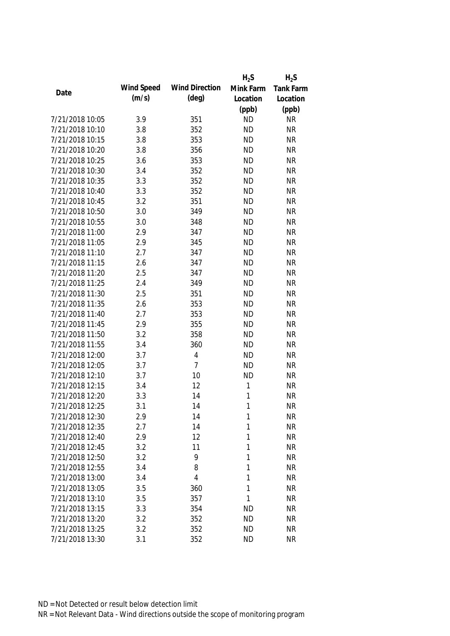|                 |            |                       | $H_2S$    | $H_2S$           |
|-----------------|------------|-----------------------|-----------|------------------|
| Date            | Wind Speed | <b>Wind Direction</b> | Mink Farm | <b>Tank Farm</b> |
|                 | (m/s)      | $(\text{deg})$        | Location  | Location         |
|                 |            |                       | (ppb)     | (ppb)            |
| 7/21/2018 10:05 | 3.9        | 351                   | <b>ND</b> | <b>NR</b>        |
| 7/21/2018 10:10 | 3.8        | 352                   | <b>ND</b> | <b>NR</b>        |
| 7/21/2018 10:15 | 3.8        | 353                   | <b>ND</b> | <b>NR</b>        |
| 7/21/2018 10:20 | 3.8        | 356                   | <b>ND</b> | <b>NR</b>        |
| 7/21/2018 10:25 | 3.6        | 353                   | <b>ND</b> | <b>NR</b>        |
| 7/21/2018 10:30 | 3.4        | 352                   | <b>ND</b> | <b>NR</b>        |
| 7/21/2018 10:35 | 3.3        | 352                   | <b>ND</b> | <b>NR</b>        |
| 7/21/2018 10:40 | 3.3        | 352                   | <b>ND</b> | <b>NR</b>        |
| 7/21/2018 10:45 | 3.2        | 351                   | <b>ND</b> | <b>NR</b>        |
| 7/21/2018 10:50 | 3.0        | 349                   | <b>ND</b> | <b>NR</b>        |
| 7/21/2018 10:55 | 3.0        | 348                   | <b>ND</b> | <b>NR</b>        |
| 7/21/2018 11:00 | 2.9        | 347                   | <b>ND</b> | <b>NR</b>        |
| 7/21/2018 11:05 | 2.9        | 345                   | <b>ND</b> | <b>NR</b>        |
| 7/21/2018 11:10 | 2.7        | 347                   | <b>ND</b> | <b>NR</b>        |
| 7/21/2018 11:15 | 2.6        | 347                   | <b>ND</b> | <b>NR</b>        |
| 7/21/2018 11:20 | 2.5        | 347                   | <b>ND</b> | <b>NR</b>        |
| 7/21/2018 11:25 | 2.4        | 349                   | <b>ND</b> | <b>NR</b>        |
| 7/21/2018 11:30 | 2.5        | 351                   | <b>ND</b> | <b>NR</b>        |
| 7/21/2018 11:35 | 2.6        | 353                   | <b>ND</b> | <b>NR</b>        |
| 7/21/2018 11:40 | 2.7        | 353                   | <b>ND</b> | <b>NR</b>        |
| 7/21/2018 11:45 | 2.9        | 355                   | <b>ND</b> | <b>NR</b>        |
| 7/21/2018 11:50 | 3.2        | 358                   | <b>ND</b> | <b>NR</b>        |
| 7/21/2018 11:55 | 3.4        | 360                   | <b>ND</b> | <b>NR</b>        |
| 7/21/2018 12:00 | 3.7        | $\overline{4}$        | <b>ND</b> | <b>NR</b>        |
| 7/21/2018 12:05 | 3.7        | 7                     | <b>ND</b> | <b>NR</b>        |
| 7/21/2018 12:10 | 3.7        | 10                    | <b>ND</b> | <b>NR</b>        |
| 7/21/2018 12:15 | 3.4        | 12                    | 1         | <b>NR</b>        |
| 7/21/2018 12:20 | 3.3        | 14                    | 1         | <b>NR</b>        |
| 7/21/2018 12:25 | 3.1        | 14                    | 1         | <b>NR</b>        |
| 7/21/2018 12:30 | 2.9        | 14                    | 1         | <b>NR</b>        |
| 7/21/2018 12:35 | 2.7        | 14                    | 1         | <b>NR</b>        |
| 7/21/2018 12:40 | 2.9        | 12                    | 1         | <b>NR</b>        |
| 7/21/2018 12:45 | 3.2        | 11                    | 1         | <b>NR</b>        |
| 7/21/2018 12:50 | 3.2        | 9                     | 1         | <b>NR</b>        |
| 7/21/2018 12:55 | 3.4        | 8                     | 1         | <b>NR</b>        |
| 7/21/2018 13:00 | 3.4        | 4                     | 1         | <b>NR</b>        |
| 7/21/2018 13:05 | 3.5        | 360                   | 1         | <b>NR</b>        |
| 7/21/2018 13:10 | 3.5        | 357                   | 1         | <b>NR</b>        |
| 7/21/2018 13:15 | 3.3        | 354                   | <b>ND</b> | <b>NR</b>        |
| 7/21/2018 13:20 | 3.2        | 352                   | <b>ND</b> | <b>NR</b>        |
| 7/21/2018 13:25 | 3.2        | 352                   | <b>ND</b> | <b>NR</b>        |
| 7/21/2018 13:30 | 3.1        | 352                   | <b>ND</b> | <b>NR</b>        |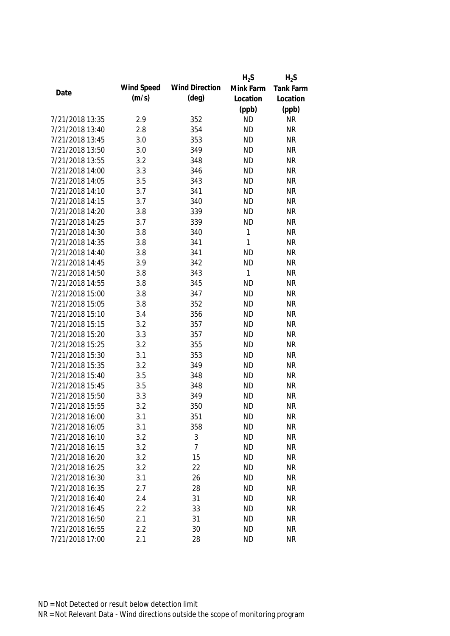|                 |            |                       | $H_2S$       | $H_2S$           |
|-----------------|------------|-----------------------|--------------|------------------|
|                 | Wind Speed | <b>Wind Direction</b> | Mink Farm    | <b>Tank Farm</b> |
| Date            | (m/s)      | $(\text{deg})$        | Location     | Location         |
|                 |            |                       | (ppb)        | (ppb)            |
| 7/21/2018 13:35 | 2.9        | 352                   | <b>ND</b>    | <b>NR</b>        |
| 7/21/2018 13:40 | 2.8        | 354                   | <b>ND</b>    | <b>NR</b>        |
| 7/21/2018 13:45 | 3.0        | 353                   | <b>ND</b>    | <b>NR</b>        |
| 7/21/2018 13:50 | 3.0        | 349                   | <b>ND</b>    | <b>NR</b>        |
| 7/21/2018 13:55 | 3.2        | 348                   | <b>ND</b>    | <b>NR</b>        |
| 7/21/2018 14:00 | 3.3        | 346                   | <b>ND</b>    | <b>NR</b>        |
| 7/21/2018 14:05 | 3.5        | 343                   | <b>ND</b>    | <b>NR</b>        |
| 7/21/2018 14:10 | 3.7        | 341                   | <b>ND</b>    | <b>NR</b>        |
| 7/21/2018 14:15 | 3.7        | 340                   | <b>ND</b>    | <b>NR</b>        |
| 7/21/2018 14:20 | 3.8        | 339                   | <b>ND</b>    | <b>NR</b>        |
| 7/21/2018 14:25 | 3.7        | 339                   | <b>ND</b>    | <b>NR</b>        |
| 7/21/2018 14:30 | 3.8        | 340                   | 1            | <b>NR</b>        |
| 7/21/2018 14:35 | 3.8        | 341                   | $\mathbf{1}$ | <b>NR</b>        |
| 7/21/2018 14:40 | 3.8        | 341                   | <b>ND</b>    | <b>NR</b>        |
| 7/21/2018 14:45 | 3.9        | 342                   | <b>ND</b>    | <b>NR</b>        |
| 7/21/2018 14:50 | 3.8        | 343                   | 1            | <b>NR</b>        |
| 7/21/2018 14:55 | 3.8        | 345                   | <b>ND</b>    | <b>NR</b>        |
| 7/21/2018 15:00 | 3.8        | 347                   | <b>ND</b>    | <b>NR</b>        |
| 7/21/2018 15:05 | 3.8        | 352                   | <b>ND</b>    | <b>NR</b>        |
| 7/21/2018 15:10 | 3.4        | 356                   | <b>ND</b>    | <b>NR</b>        |
| 7/21/2018 15:15 | 3.2        | 357                   | <b>ND</b>    | <b>NR</b>        |
| 7/21/2018 15:20 | 3.3        | 357                   | <b>ND</b>    | <b>NR</b>        |
| 7/21/2018 15:25 | 3.2        | 355                   | <b>ND</b>    | <b>NR</b>        |
| 7/21/2018 15:30 | 3.1        | 353                   | <b>ND</b>    | <b>NR</b>        |
| 7/21/2018 15:35 | 3.2        | 349                   | <b>ND</b>    | <b>NR</b>        |
| 7/21/2018 15:40 | 3.5        | 348                   | <b>ND</b>    | <b>NR</b>        |
| 7/21/2018 15:45 | 3.5        | 348                   | <b>ND</b>    | <b>NR</b>        |
| 7/21/2018 15:50 | 3.3        | 349                   | <b>ND</b>    | <b>NR</b>        |
| 7/21/2018 15:55 | 3.2        | 350                   | <b>ND</b>    | <b>NR</b>        |
| 7/21/2018 16:00 | 3.1        | 351                   | <b>ND</b>    | <b>NR</b>        |
| 7/21/2018 16:05 | 3.1        | 358                   | <b>ND</b>    | <b>NR</b>        |
| 7/21/2018 16:10 | 3.2        | 3                     | <b>ND</b>    | <b>NR</b>        |
| 7/21/2018 16:15 | 3.2        | $\overline{7}$        | <b>ND</b>    | <b>NR</b>        |
| 7/21/2018 16:20 | 3.2        | 15                    | <b>ND</b>    | <b>NR</b>        |
| 7/21/2018 16:25 | 3.2        | 22                    | <b>ND</b>    | <b>NR</b>        |
| 7/21/2018 16:30 | 3.1        | 26                    | <b>ND</b>    | <b>NR</b>        |
| 7/21/2018 16:35 | 2.7        | 28                    | <b>ND</b>    | <b>NR</b>        |
| 7/21/2018 16:40 | 2.4        | 31                    | <b>ND</b>    | <b>NR</b>        |
| 7/21/2018 16:45 | 2.2        | 33                    | <b>ND</b>    | <b>NR</b>        |
| 7/21/2018 16:50 | 2.1        | 31                    | <b>ND</b>    | <b>NR</b>        |
| 7/21/2018 16:55 | 2.2        | 30                    | <b>ND</b>    | <b>NR</b>        |
| 7/21/2018 17:00 | 2.1        | 28                    | <b>ND</b>    | <b>NR</b>        |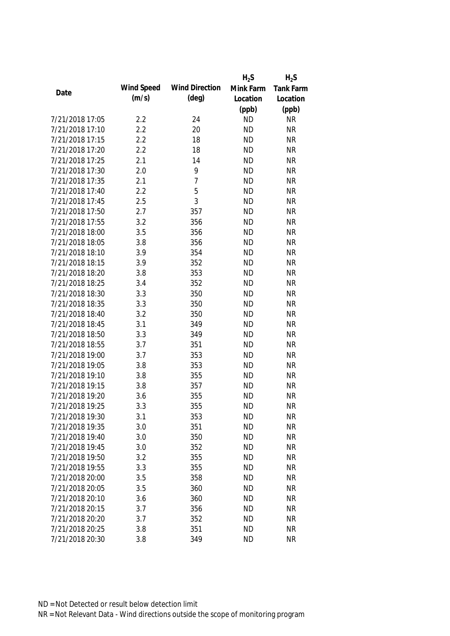|                 |            |                       | $H_2S$    | $H_2S$           |
|-----------------|------------|-----------------------|-----------|------------------|
| Date            | Wind Speed | <b>Wind Direction</b> | Mink Farm | <b>Tank Farm</b> |
|                 | (m/s)      | $(\text{deg})$        | Location  | Location         |
|                 |            |                       | (ppb)     | (ppb)            |
| 7/21/2018 17:05 | 2.2        | 24                    | <b>ND</b> | <b>NR</b>        |
| 7/21/2018 17:10 | 2.2        | 20                    | <b>ND</b> | <b>NR</b>        |
| 7/21/2018 17:15 | 2.2        | 18                    | <b>ND</b> | <b>NR</b>        |
| 7/21/2018 17:20 | 2.2        | 18                    | <b>ND</b> | <b>NR</b>        |
| 7/21/2018 17:25 | 2.1        | 14                    | <b>ND</b> | <b>NR</b>        |
| 7/21/2018 17:30 | 2.0        | 9                     | <b>ND</b> | <b>NR</b>        |
| 7/21/2018 17:35 | 2.1        | $\overline{7}$        | <b>ND</b> | <b>NR</b>        |
| 7/21/2018 17:40 | 2.2        | 5                     | <b>ND</b> | <b>NR</b>        |
| 7/21/2018 17:45 | 2.5        | 3                     | <b>ND</b> | <b>NR</b>        |
| 7/21/2018 17:50 | 2.7        | 357                   | <b>ND</b> | <b>NR</b>        |
| 7/21/2018 17:55 | 3.2        | 356                   | <b>ND</b> | <b>NR</b>        |
| 7/21/2018 18:00 | 3.5        | 356                   | <b>ND</b> | <b>NR</b>        |
| 7/21/2018 18:05 | 3.8        | 356                   | <b>ND</b> | <b>NR</b>        |
| 7/21/2018 18:10 | 3.9        | 354                   | <b>ND</b> | <b>NR</b>        |
| 7/21/2018 18:15 | 3.9        | 352                   | <b>ND</b> | <b>NR</b>        |
| 7/21/2018 18:20 | 3.8        | 353                   | <b>ND</b> | <b>NR</b>        |
| 7/21/2018 18:25 | 3.4        | 352                   | <b>ND</b> | <b>NR</b>        |
| 7/21/2018 18:30 | 3.3        | 350                   | <b>ND</b> | <b>NR</b>        |
| 7/21/2018 18:35 | 3.3        | 350                   | <b>ND</b> | <b>NR</b>        |
| 7/21/2018 18:40 | 3.2        | 350                   | <b>ND</b> | <b>NR</b>        |
| 7/21/2018 18:45 | 3.1        | 349                   | <b>ND</b> | <b>NR</b>        |
| 7/21/2018 18:50 | 3.3        | 349                   | <b>ND</b> | <b>NR</b>        |
| 7/21/2018 18:55 | 3.7        | 351                   | <b>ND</b> | <b>NR</b>        |
| 7/21/2018 19:00 | 3.7        | 353                   | <b>ND</b> | <b>NR</b>        |
| 7/21/2018 19:05 | 3.8        | 353                   | <b>ND</b> | <b>NR</b>        |
| 7/21/2018 19:10 | 3.8        | 355                   | <b>ND</b> | <b>NR</b>        |
| 7/21/2018 19:15 | 3.8        | 357                   | <b>ND</b> | <b>NR</b>        |
| 7/21/2018 19:20 | 3.6        | 355                   | <b>ND</b> | <b>NR</b>        |
| 7/21/2018 19:25 | 3.3        | 355                   | <b>ND</b> | <b>NR</b>        |
| 7/21/2018 19:30 | 3.1        | 353                   | <b>ND</b> | <b>NR</b>        |
| 7/21/2018 19:35 | 3.0        | 351                   | <b>ND</b> | <b>NR</b>        |
| 7/21/2018 19:40 | 3.0        | 350                   | <b>ND</b> | <b>NR</b>        |
| 7/21/2018 19:45 | 3.0        | 352                   | <b>ND</b> | <b>NR</b>        |
| 7/21/2018 19:50 | 3.2        | 355                   | <b>ND</b> | <b>NR</b>        |
| 7/21/2018 19:55 | 3.3        | 355                   | <b>ND</b> | <b>NR</b>        |
| 7/21/2018 20:00 | 3.5        | 358                   | <b>ND</b> | <b>NR</b>        |
| 7/21/2018 20:05 | 3.5        | 360                   | <b>ND</b> | <b>NR</b>        |
| 7/21/2018 20:10 | 3.6        | 360                   | <b>ND</b> | <b>NR</b>        |
| 7/21/2018 20:15 | 3.7        | 356                   | <b>ND</b> | <b>NR</b>        |
| 7/21/2018 20:20 | 3.7        | 352                   | <b>ND</b> | <b>NR</b>        |
| 7/21/2018 20:25 | 3.8        | 351                   | <b>ND</b> | <b>NR</b>        |
| 7/21/2018 20:30 | 3.8        | 349                   | <b>ND</b> | <b>NR</b>        |
|                 |            |                       |           |                  |